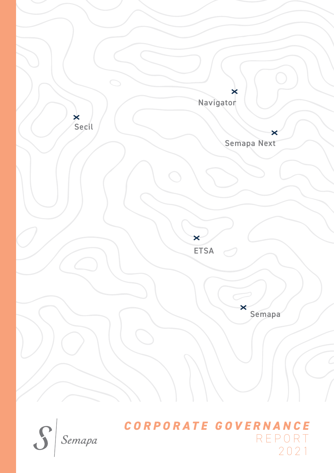



# *CORPORATE GOVERNANCE* REPORT 2021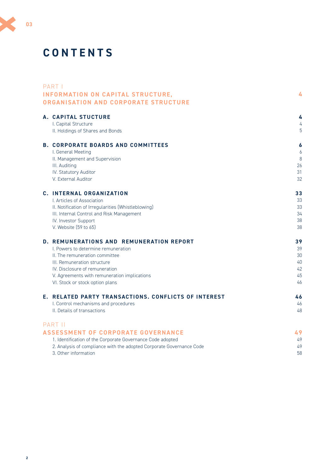# **CONTENTS**

| PART I                                                               |    |
|----------------------------------------------------------------------|----|
| <b>INFORMATION ON CAPITAL STRUCTURE,</b>                             | 4  |
| ORGANISATION AND CORPORATE STRUCTURE                                 |    |
| <b>A. CAPITAL STUCTURE</b>                                           | 4  |
| I. Capital Structure                                                 | 4  |
| II. Holdings of Shares and Bonds                                     | 5  |
| <b>B. CORPORATE BOARDS AND COMMITTEES</b>                            | 6  |
| I. General Meeting                                                   | 6  |
| II. Management and Supervision                                       | 8  |
| III. Auditing                                                        | 26 |
| IV. Statutory Auditor                                                | 31 |
| V. External Auditor                                                  | 32 |
| C. INTERNAL ORGANIZATION                                             | 33 |
| L. Articles of Association                                           | 33 |
| II. Notification of Irregularities (Whistleblowing)                  | 33 |
| III. Internal Control and Risk Management                            | 34 |
| IV. Investor Support                                                 | 38 |
| V. Website (59 to 65)                                                | 38 |
| D. REMUNERATIONS AND REMUNERATION REPORT                             | 39 |
| I. Powers to determine remuneration                                  | 39 |
| II. The remuneration committee                                       | 30 |
| III. Remuneration structure                                          | 40 |
| IV. Disclosure of remuneration                                       | 42 |
| V. Agreements with remuneration implications                         | 45 |
| VI. Stock or stock option plans                                      | 46 |
| E. RELATED PARTY TRANSACTIONS. CONFLICTS OF INTEREST                 | 46 |
| I. Control mechanisms and procedures                                 | 46 |
| II. Details of transactions                                          | 48 |
| PART II                                                              |    |
| <b>ASSESSMENT OF CORPORATE GOVERNANCE</b>                            | 49 |
| 1. Identification of the Corporate Governance Code adopted           | 49 |
| 2. Analysis of compliance with the adopted Corporate Governance Code | 49 |
| 3. Other information                                                 | 58 |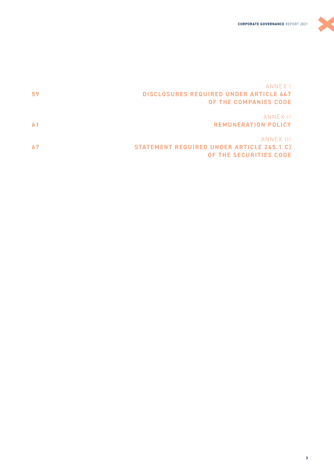

X

| 59 | ANNEX I<br><b>DISCLOSURES REQUIRED UNDER ARTICLE 447</b><br>OF THE COMPANIES CODE |
|----|-----------------------------------------------------------------------------------|
|    | ANNEX II<br><b>REMUNERATION POLICY</b>                                            |
|    | ANNEX III<br>STATEMENT REQUIRED UNDER ARTICLE 245.1 C)<br>OF THE SECURITIES CODE  |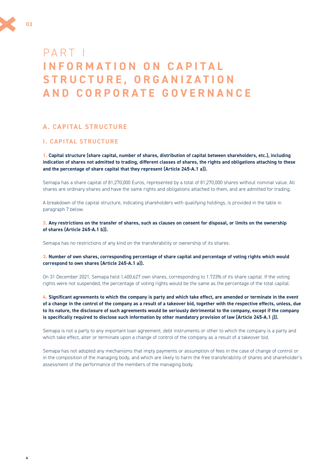<span id="page-3-0"></span>

# **A. CAPITAL STRUCTURE**

# **I. CAPITAL STRUCTURE**

**1. Capital structure (share capital, number of shares, distribution of capital between shareholders, etc.), including indication of shares not admitted to trading, different classes of shares, the rights and obligations attaching to these and the percentage of share capital that they represent (Article 245-A.1 a)).**

Semapa has a share capital of 81,270,000 Euros, represented by a total of 81,270,000 shares without nominal value. All shares are ordinary shares and have the same rights and obligations attached to them, and are admitted for trading.

A breakdown of the capital structure, indicating shareholders with qualifying holdings, is provided in the table in paragraph 7 below.

**2. Any restrictions on the transfer of shares, such as clauses on consent for disposal, or limits on the ownership of shares (Article 245-A.1 b)).**

Semapa has no restrictions of any kind on the transferability or ownership of its shares.

**3. Number of own shares, corresponding percentage of share capital and percentage of voting rights which would correspond to own shares (Article 245-A.1 a)).** 

On 31 December 2021, Semapa held 1,400,627 own shares, corresponding to 1.723% of its share capital. If the voting rights were not suspended, the percentage of voting rights would be the same as the percentage of the total capital.

**4. Significant agreements to which the company is party and which take effect, are amended or terminate in the event of a change in the control of the company as a result of a takeover bid, together with the respective effects, unless, due to its nature, the disclosure of such agreements would be seriously detrimental to the company, except if the company is specifically required to disclose such information by other mandatory provision of law (Article 245-A.1 j)).** 

Semapa is not a party to any important loan agreement, debt instruments or other to which the company is a party and which take effect, alter or terminate upon a change of control of the company as a result of a takeover bid.

Semapa has not adopted any mechanisms that imply payments or assumption of fees in the case of change of control or in the composition of the managing body, and which are likely to harm the free transferability of shares and shareholder's assessment of the performance of the members of the managing body.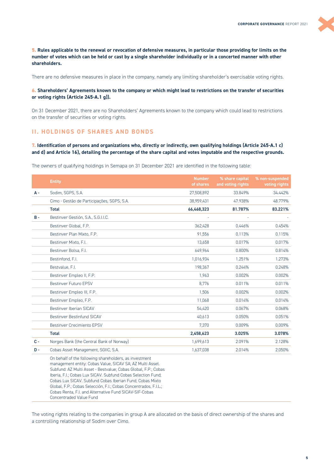<span id="page-4-0"></span>**5. Rules applicable to the renewal or revocation of defensive measures, in particular those providing for limits on the number of votes which can be held or cast by a single shareholder individually or in a concerted manner with other shareholders.** 

There are no defensive measures in place in the company, namely any limiting shareholder's exercisable voting rights.

#### **6. Shareholders' Agreements known to the company or which might lead to restrictions on the transfer of securities or voting rights (Article 245-A.1 g)).**

On 31 December 2021, there are no Shareholders' Agreements known to the company which could lead to restrictions on the transfer of securities or voting rights.

# **II. HOLDINGS OF SHARES AND BONDS**

**7. Identification of persons and organizations who, directly or indirectly, own qualifying holdings (Article 245-A.1 c) and d) and Article 16), detailing the percentage of the share capital and votes imputable and the respective grounds.** 

The owners of qualifying holdings in Semapa on 31 December 2021 are identified in the following table:

|       | <b>Entity</b>                                                                                                                                                                                                                                                                                                     | <b>Number</b><br>of shares | % share capital<br>and voting rights | % non-suspended<br>voting rights |
|-------|-------------------------------------------------------------------------------------------------------------------------------------------------------------------------------------------------------------------------------------------------------------------------------------------------------------------|----------------------------|--------------------------------------|----------------------------------|
| A -   | Sodim, SGPS, S.A.                                                                                                                                                                                                                                                                                                 | 27,508,892                 | 33.849%                              | 34.442%                          |
|       | Cimo - Gestão de Participações, SGPS, S.A.                                                                                                                                                                                                                                                                        | 38,959,431                 | 47.938%                              | 48.779%                          |
|       | <b>Total</b>                                                                                                                                                                                                                                                                                                      | 66,468,323                 | 81.787%                              | 83.221%                          |
| $B -$ | Bestinver Gestión, S.A., S.G.I.I.C.                                                                                                                                                                                                                                                                               |                            |                                      |                                  |
|       | Bestinver Global, F.P.                                                                                                                                                                                                                                                                                            | 362,428                    | 0.446%                               | 0.454%                           |
|       | Bestinver Plan Mixto, F.P.                                                                                                                                                                                                                                                                                        | 91.556                     | 0.113%                               | 0.115%                           |
|       | Bestinver Mixto, F.I.                                                                                                                                                                                                                                                                                             | 13.658                     | 0.017%                               | 0.017%                           |
|       | Bestinver Bolsa, F.I.                                                                                                                                                                                                                                                                                             | 649,964                    | 0.800%                               | 0.814%                           |
|       | Bestinfond, F.I.                                                                                                                                                                                                                                                                                                  | 1,016,934                  | 1.251%                               | 1.273%                           |
|       | Bestvalue, F.I.                                                                                                                                                                                                                                                                                                   | 198,367                    | 0.244%                               | 0.248%                           |
|       | Bestinver Empleo II, F.P.                                                                                                                                                                                                                                                                                         | 1.963                      | 0.002%                               | 0.002%                           |
|       | <b>Bestinver Futuro EPSV</b>                                                                                                                                                                                                                                                                                      | 8.776                      | 0.011%                               | 0.011%                           |
|       | Bestinver Empleo III, F.P.                                                                                                                                                                                                                                                                                        | 1.506                      | 0.002%                               | 0.002%                           |
|       | Bestinver Empleo, F.P.                                                                                                                                                                                                                                                                                            | 11,068                     | 0.014%                               | 0.014%                           |
|       | Bestinver Iberian SICAV                                                                                                                                                                                                                                                                                           | 54,420                     | 0.067%                               | 0.068%                           |
|       | Bestinver Bestinfund SICAV                                                                                                                                                                                                                                                                                        | 40,613                     | 0.050%                               | 0.051%                           |
|       | <b>Bestinver Crecimiento EPSV</b>                                                                                                                                                                                                                                                                                 | 7.370                      | 0.009%                               | 0.009%                           |
|       | <b>Total</b>                                                                                                                                                                                                                                                                                                      | 2,458,623                  | 3.025%                               | 3.078%                           |
| $C -$ | Norges Bank (the Central Bank of Norway)                                                                                                                                                                                                                                                                          | 1,699,613                  | 2.091%                               | 2.128%                           |
| $D -$ | Cobas Asset Management, SGIIC, S.A.                                                                                                                                                                                                                                                                               | 1,637,038                  | 2.014%                               | 2.050%                           |
|       | On behalf of the following shareholders, as investment<br>management entity: Cobas Value, SICAV SA; AZ Multi Asset.<br>Subfund: AZ Multi Asset - Bestvalue; Cobas Global, F.P.; Cobas<br>Iberia, F.I.; Cobas Lux SICAV. Subfund Cobas Selection Fund;<br>Cobas Lux SICAV. Subfund Cobas Iberian Fund; Cobas Mixto |                            |                                      |                                  |

Global, F.P.; Cobas Selección, F.I.; Cobas Concentrados, F.I.L.;

Cobas Renta, F.I. and Alternative Fund SICAV-SIF-Cobas

Concentraded Value Fund

The voting rights relating to the companies in group A are allocated on the basis of direct ownership of the shares and a controlling relationship of Sodim over Cimo.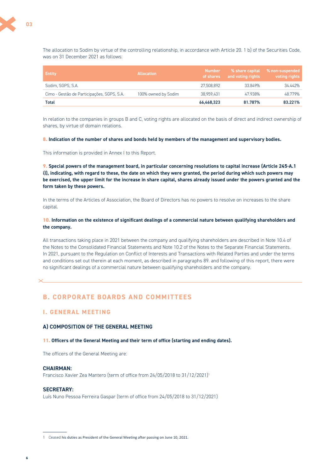<span id="page-5-0"></span>The allocation to Sodim by virtue of the controlling relationship, in accordance with Article 20. 1 b) of the Securities Code, was on 31 December 2021 as follows:

| <b>Entity</b>                              | <b>Allocation</b>   | <b>Number</b><br>of shares | % share capital<br>and voting rights | % non-suspended<br>voting rights |
|--------------------------------------------|---------------------|----------------------------|--------------------------------------|----------------------------------|
| Sodim. SGPS. S.A.                          |                     | 27.508.892                 | 33.849%                              | 34.442%                          |
| Cimo - Gestão de Participações, SGPS, S.A. | 100% owned by Sodim | 38.959.431                 | 47.938%                              | 48.779%                          |
| Total                                      |                     | 66,468,323                 | 81.787%                              | 83.221%                          |

In relation to the companies in groups B and C, voting rights are allocated on the basis of direct and indirect ownership of shares, by virtue of domain relations.

#### **8. Indication of the number of shares and bonds held by members of the management and supervisory bodies.**

This information is provided in Annex I to this Report.

**9. Special powers of the management board, in particular concerning resolutions to capital increase (Article 245-A.1 i)), indicating, with regard to these, the date on which they were granted, the period during which such powers may be exercised, the upper limit for the increase in share capital, shares already issued under the powers granted and the form taken by these powers.** 

In the terms of the Articles of Association, the Board of Directors has no powers to resolve on increases to the share capital.

#### **10. Information on the existence of significant dealings of a commercial nature between qualifying shareholders and the company.**

All transactions taking place in 2021 between the company and qualifying shareholders are described in Note 10.4 of the Notes to the Consolidated Financial Statements and Note 10.2 of the Notes to the Separate Financial Statements. In 2021, pursuant to the Regulation on Conflict of Interests and Transactions with Related Parties and under the terms and conditions set out therein at each moment, as described in paragraphs 89. and following of this report, there were no significant dealings of a commercial nature between qualifying shareholders and the company.

# **B. CORPORATE BOARDS AND COMMITTEES**

# **I. GENERAL MEETING**

#### **A) COMPOSITION OF THE GENERAL MEETING**

#### **11. Officers of the General Meeting and their term of office (starting and ending dates).**

The officers of the General Meeting are:

#### **CHAIRMAN:**

Francisco Xavier Zea Mantero (term of office from 24/05/2018 to 31/12/2021)1

#### **SECRETARY:**

Luís Nuno Pessoa Ferreira Gaspar (term of office from 24/05/2018 to 31/12/2021)

<sup>1</sup> Ceased his duties as President of the General Meeting after passing on June 10, 2021.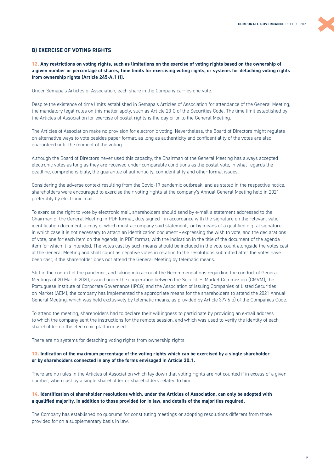### **B) EXERCISE OF VOTING RIGHTS**

**12. Any restrictions on voting rights, such as limitations on the exercise of voting rights based on the ownership of a given number or percentage of shares, time limits for exercising voting rights, or systems for detaching voting rights from ownership rights (Article 245-A.1 f)).** 

Under Semapa's Articles of Association, each share in the Company carries one vote.

Despite the existence of time limits established in Semapa's Articles of Association for attendance of the General Meeting, the mandatory legal rules on this matter apply, such as Article 23-C of the Securities Code. The time limit established by the Articles of Association for exercise of postal rights is the day prior to the General Meeting.

The Articles of Association make no provision for electronic voting. Nevertheless, the Board of Directors might regulate on alternative ways to vote besides paper format, as long as authenticity and confidentiality of the votes are also guaranteed until the moment of the voting.

Although the Board of Directors never used this capacity, the Chairman of the General Meeting has always accepted electronic votes as long as they are received under comparable conditions as the postal vote, in what regards the deadline, comprehensibility, the guarantee of authenticity, confidentiality and other formal issues.

Considering the adverse context resulting from the Covid-19 pandemic outbreak, and as stated in the respective notice, shareholders were encouraged to exercise their voting rights at the company's Annual General Meeting held in 2021 preferably by electronic mail.

To exercise the right to vote by electronic mail, shareholders should send by e-mail a statement addressed to the Chairman of the General Meeting in PDF format, duly signed - in accordance with the signature on the relevant valid identification document, a copy of which must accompany said statement, or by means of a qualified digital signature, in which case it is not necessary to attach an identification document - expressing the wish to vote, and the declarations of vote, one for each item on the Agenda, in PDF format, with the indication in the title of the document of the agenda item for which it is intended. The votes cast by such means should be included in the vote count alongside the votes cast at the General Meeting and shall count as negative votes in relation to the resolutions submitted after the votes have been cast, if the shareholder does not attend the General Meeting by telematic means.

Still in the context of the pandemic, and taking into account the Recommendations regarding the conduct of General Meetings of 20 March 2020, issued under the cooperation between the Securities Market Commission (CMVM), the Portuguese Institute of Corporate Governance (IPCG) and the Association of Issuing Companies of Listed Securities on Market (AEM), the company has implemented the appropriate means for the shareholders to attend the 2021 Annual General Meeting, which was held exclusively by telematic means, as provided by Article 377.6 b) of the Companies Code.

To attend the meeting, shareholders had to declare their willingness to participate by providing an e-mail address to which the company sent the instructions for the remote session, and which was used to verify the identity of each shareholder on the electronic platform used.

There are no systems for detaching voting rights from ownership rights.

#### **13. Indication of the maximum percentage of the voting rights which can be exercised by a single shareholder or by shareholders connected in any of the forms envisaged in Article 20.1.**

There are no rules in the Articles of Association which lay down that voting rights are not counted if in excess of a given number, when cast by a single shareholder or shareholders related to him.

#### **14. Identification of shareholder resolutions which, under the Articles of Association, can only be adopted with a qualified majority, in addition to those provided for in law, and details of the majorities required.**

The Company has established no quorums for constituting meetings or adopting resolutions different from those provided for on a supplementary basis in law.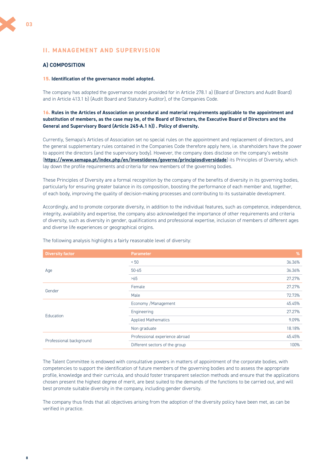# <span id="page-7-0"></span>**II. MANAGEMENT AND SUPERVISION**

# **A) COMPOSITION**

#### **15. Identification of the governance model adopted.**

The company has adopted the governance model provided for in Article 278.1 a) (Board of Directors and Audit Board) and in Article 413.1 b) (Audit Board and Statutory Auditor), of the Companies Code.

#### **16. Rules in the Articles of Association on procedural and material requirements applicable to the appointment and substitution of members, as the case may be, of the Board of Directors, the Executive Board of Directors and the General and Supervisory Board (Article 245-A.1 h)) . Policy of diversity.**

Currently, Semapa's Articles of Association set no special rules on the appointment and replacement of directors, and the general supplementary rules contained in the Companies Code therefore apply here, i.e. shareholders have the power to appoint the directors (and the supervisory body). However, the company does disclose on the company's website (**<https://www.semapa.pt/index.php/en/investidores/governo/principiosdiversidade>**) its Principles of Diversity, which lay down the profile requirements and criteria for new members of the governing bodies.

These Principles of Diversity are a formal recognition by the company of the benefits of diversity in its governing bodies, particularly for ensuring greater balance in its composition, boosting the performance of each member and, together, of each body, improving the quality of decision-making processes and contributing to its sustainable development.

Accordingly, and to promote corporate diversity, in addition to the individual features, such as competence, independence, integrity, availability and expertise, the company also acknowledged the importance of other requirements and criteria of diversity, such as diversity in gender, qualifications and professional expertise, inclusion of members of different ages and diverse life experiences or geographical origins.

| <b>Diversity factor</b> | <b>Parameter</b>               | %      |
|-------------------------|--------------------------------|--------|
|                         | < 50                           | 36.36% |
| Age                     | $50 - 65$                      | 36.36% |
|                         | >65                            | 27.27% |
|                         | Female                         | 27.27% |
| Gender                  | Male                           | 72.73% |
|                         | Economy / Management           | 45.45% |
| Education               | Engineering                    | 27.27% |
|                         | <b>Applied Mathematics</b>     | 9.09%  |
|                         | Non graduate                   | 18.18% |
|                         | Professional experience abroad | 45.45% |
| Professional background | Different sectors of the group | 100%   |

The following analysis highlights a fairly reasonable level of diversity:

The Talent Committee is endowed with consultative powers in matters of appointment of the corporate bodies, with competencies to support the identification of future members of the governing bodies and to assess the appropriate profile, knowledge and their curricula, and should foster transparent selection methods and ensure that the applications chosen present the highest degree of merit, are best suited to the demands of the functions to be carried out, and will best promote suitable diversity in the company, including gender diversity.

The company thus finds that all objectives arising from the adoption of the diversity policy have been met, as can be verified in practice.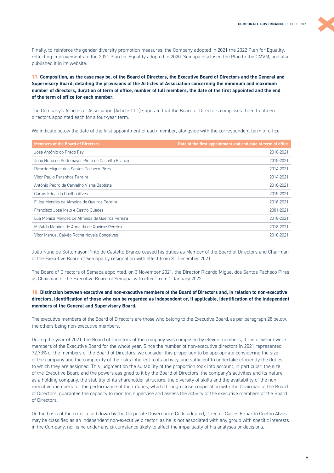Finally, to reinforce the gender diversity promotion measures, the Company adopted in 2021 the 2022 Plan for Equality, reflecting improvements to the 2021 Plan for Equality adopted in 2020. Semapa disclosed the Plan to the CMVM, and also published it in its website.

**17. Composition, as the case may be, of the Board of Directors, the Executive Board of Directors and the General and Supervisory Board, detailing the provisions of the Articles of Association concerning the minimum and maximum number of directors, duration of term of office, number of full members, the date of the first appointed and the end of the term of office for each member.** 

The Company's Articles of Association (Article 11.1) stipulate that the Board of Directors comprises three to fifteen directors appointed each for a four-year term.

We indicate below the date of the first appointment of each member, alongside with the correspondent term of office:

| <b>Members of the Board of Directors</b>         | Date of the first appointment and end date of term of office |
|--------------------------------------------------|--------------------------------------------------------------|
| José Antônio do Prado Fay                        | 2018-2021                                                    |
| João Nuno de Sottomayor Pinto de Castello Branco | 2015-2021                                                    |
| Ricardo Miguel dos Santos Pacheco Pires          | 2014-2021                                                    |
| Vítor Paulo Paranhos Pereira                     | 2014-2021                                                    |
| António Pedro de Carvalho Viana-Baptista         | 2010-2021                                                    |
| Carlos Eduardo Coelho Alves                      | 2015-2021                                                    |
| Filipa Mendes de Almeida de Queiroz Pereira      | 2018-2021                                                    |
| Francisco José Melo e Castro Guedes              | 2001-2021                                                    |
| Lua Mónica Mendes de Almeida de Queiroz Pereira  | 2018-2021                                                    |
| Mafalda Mendes de Almeida de Queiroz Pereira     | 2018-2021                                                    |
| Vítor Manuel Galvão Rocha Novais Gonçalves       | 2010-2021                                                    |

João Nuno de Sottomayor Pinto de Castello Branco ceased his duties as Member of the Board of Directors and Chairman of the Executive Board of Semapa by resignation with effect from 31 December 2021.

The Board of Directors of Semapa appointed, on 3 November 2021, the Director Ricardo Miguel dos Santos Pacheco Pires as Chairman of the Executive Board of Semapa, with effect from 1 January 2022.

### **18. Distinction between executive and non-executive members of the Board of Directors and, in relation to non-executive directors, identification of those who can be regarded as independent or, if applicable, identification of the independent members of the General and Supervisory Board.**

The executive members of the Board of Directors are those who belong to the Executive Board, as per paragraph 28 below, the others being non-executive members.

During the year of 2021, the Board of Directors of the company was composed by eleven members, three of whom were members of the Executive Board for the whole year. Since the number of non-executive directors in 2021 represented 72.73% of the members of the Board of Directors, we consider this proportion to be appropriate considering the size of the company and the complexity of the risks inherent to its activity, and sufficient to undertake efficiently the duties to which they are assigned. This judgment on the suitability of the proportion took into account, in particular, the size of the Executive Board and the powers assigned to it by the Board of Directors, the company's activities and its nature as a holding company, the stability of its shareholder structure, the diversity of skills and the availability of the nonexecutive members for the performance of their duties, which through close cooperation with the Chairman of the Board of Directors, guarantee the capacity to monitor, supervise and assess the activity of the executive members of the Board of Directors.

On the basis of the criteria laid down by the Corporate Governance Code adopted, Director Carlos Eduardo Coelho Alves may be classified as an independent non-executive director, as he is not associated with any group with specific interests in the Company, nor is he under any circumstance likely to affect the impartiality of his analyses or decisions.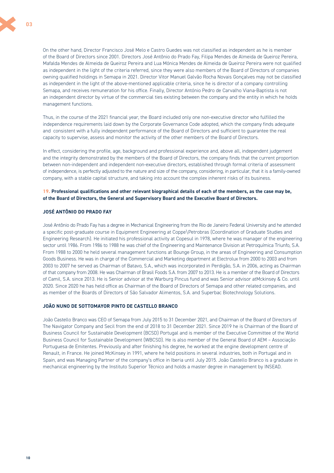

On the other hand, Director Francisco José Melo e Castro Guedes was not classified as independent as he is member of the Board of Directors since 2001. Directors José Antônio do Prado Fay, Filipa Mendes de Almeida de Queiroz Pereira, Mafalda Mendes de Almeida de Queiroz Pereira and Lua Mónica Mendes de Almeida de Queiroz Pereira were not qualified as independent in the light of the criteria referred, since they were also members of the Board of Directors of companies owning qualified holdings in Semapa in 2021. Director Vitor Manuel Galvão Rocha Novais Gonçalves may not be classified as independent in the light of the above-mentioned applicable criteria, since he is director of a company controlling Semapa, and receives remuneration for his office. Finally, Director António Pedro de Carvalho Viana-Baptista is not an independent director by virtue of the commercial ties existing between the company and the entity in which he holds management functions.

Thus, in the course of the 2021 financial year, the Board included only one non-executive director who fulfilled the independence requirements laid down by the Corporate Governance Code adopted, which the company finds adequate and consistent with a fully independent performance of the Board of Directors and sufficient to guarantee the real capacity to supervise, assess and monitor the activity of the other members of the Board of Directors.

In effect, considering the profile, age, background and professional experience and, above all, independent judgement and the integrity demonstrated by the members of the Board of Directors, the company finds that the current proportion between non-independent and independent non-executive directors, established through formal criteria of assessment of independence, is perfectly adjusted to the nature and size of the company, considering, in particular, that it is a family-owned company, with a stable capital structure, and taking into account the complex inherent risks of its business.

#### **19. Professional qualifications and other relevant biographical details of each of the members, as the case may be, of the Board of Directors, the General and Supervisory Board and the Executive Board of Directors.**

# **JOSÉ ANTÔNIO DO PRADO FAY**

José Antônio do Prado Fay has a degree in Mechanical Engineering from the Rio de Janeiro Federal University and he attended a specific post-graduate course in Equipment Engineering at Coppe\Petrobras (Coordination of Graduate Studies and Engineering Research). He initiated his professional activity at Copesul in 1978, where he was manager of the engineering sector until 1986. From 1986 to 1988 he was chief of the Engineering and Maintenance Division at Petroquímica Triunfo, S.A. From 1988 to 2000 he held several management functions at Bounge Group, in the areas of Engineering and Consumption Goods Business. He was in charge of the Commercial and Marketing department at Electrolux from 2000 to 2003 and from 2003 to 2007 he served as Chairman of Batavo, S.A., which was incorporated in Perdigão, S.A. in 2006, acting as Chairman of that company from 2008. He was Chairman of Brasil Foods S.A. from 2007 to 2013. He is a member of the Board of Directors of Camil, S.A. since 2013. He is Senior advisor at the Warburg Pincus fund and was Senior advisor atMckinsey & Co. until 2020. Since 2020 he has held office as Chairman of the Board of Directors of Semapa and other related companies, and as member of the Boards of Directors of São Salvador Alimentos, S.A. and Superbac Biotechnology Solutions.

#### **JOÃO NUNO DE SOTTOMAYOR PINTO DE CASTELLO BRANCO**

João Castello Branco was CEO of Semapa from July 2015 to 31 December 2021, and Chairman of the Board of Directors of The Navigator Company and Secil from the end of 2018 to 31 December 2021. Since 2019 he is Chairman of the Board of Business Council for Sustainable Development (BCSD) Portugal and is member of the Executive Committee of the World Business Council for Sustainable Development (WBCSD). He is also member of the General Board of AEM – Associação Portuguesa de Emitentes. Previously and after finishing his degree, he worked at the engine development centre of Renault, in France. He joined McKinsey in 1991, where he held positions in several industries, both in Portugal and in Spain, and was Managing Partner of the company's office in Iberia until July 2015. João Castello Branco is a graduate in mechanical engineering by the Instituto Superior Técnico and holds a master degree in management by INSEAD.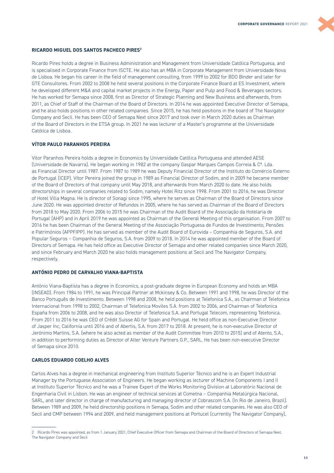#### **RICARDO MIGUEL DOS SANTOS PACHECO PIRES2**

Ricardo Pires holds a degree in Business Administration and Management from Universidade Católica Portuguesa, and is specialised in Corporate Finance from ISCTE. He also has an MBA in Corporate Management from Universidade Nova de Lisboa. He began his career in the field of management consulting, from 1999 to 2002 for BDO Binder and later for GTE Consultores. From 2002 to 2008 he held several positions in the Corporate Finance Board at ES Investment, where he developed different M&A and capital market projects in the Energy, Paper and Pulp and Food & Beverages sectors. He has worked for Semapa since 2008, first as Director of Strategic Planning and New Business and afterwards, from 2011, as Chief of Staff of the Chairman of the Board of Directors. In 2014 he was appointed Executive Director of Semapa, and he also holds positions in other related companies. Since 2015, he has held positions in the board of The Navigator Company and Secil. He has been CEO of Semapa Next since 2017 and took over in March 2020 duties as Chairman of the Board of Directors in the ETSA group. In 2021 he was lecturer of a Master's programme at the Universidade Católica de Lisboa.

# **VÍTOR PAULO PARANHOS PEREIRA**

Vitor Paranhos Pereira holds a degree in Economics by Universidade Católica Portuguesa and attended AESE (Universidade de Navarra). He began working in 1982 at the company Gaspar Marques Campos Correia & Cª. Lda. as Financial Director until 1987. From 1987 to 1989 he was Deputy Financial Director of the Instituto do Comércio Externo de Portugal (ICEP). Vítor Pereira joined the group in 1989 as Financial Director of Sodim, and in 2009 he became member of the Board of Directors of that company until May 2018, and afterwards from March 2020 to date. He also holds directorships in several companies related to Sodim, namely Hotel Ritz since 1998. From 2001 to 2016, he was Director of Hotel Villa Magna. He is director of Sonagi since 1995, where he serves as Chairman of the Board of Directors since June 2020. He was appointed director of Refundos in 2005, where he has served as Chairman of the Board of Directors from 2018 to May 2020. From 2006 to 2015 he was Chairman of the Audit Board of the Associação da Hotelaria de Portugal (AHP) and in April 2019 he was appointed as Chairman of the General Meeting of this organisation. From 2007 to 2016 he has been Chairman of the General Meeting of the Associação Portuguesa de Fundos de Investimento, Pensões e Patrimónios (APPFIPP). He has served as member of the Audit Board of Eurovida – Companhia de Seguros, S.A. and Popular Seguros – Companhia de Seguros, S.A. from 2009 to 2018. In 2014 he was appointed member of the Board of Directors of Semapa. He has held office as Executive Director of Semapa and other related companies since March 2020, and since February and March 2020 he also holds management positions at Secil and The Navigator Company, respectively.

#### **ANTÓNIO PEDRO DE CARVALHO VIANA-BAPTISTA**

António Viana-Baptista has a degree in Economics, a post-graduate degree in European Economy and holds an MBA (INSEAD). From 1984 to 1991, he was Principal Partner at Mckinsey & Co. Between 1991 and 1998, he was Director of the Banco Português de Investimento. Between 1998 and 2008, he held positions at Telefonica S.A., as Chairman of Telefonica Internacional from 1998 to 2002, Chairman of Telefonica Moviles S.A. from 2002 to 2006, and Chairman of Telefonica España from 2006 to 2008, and he was also Director of Telefonica S.A. and Portugal Telecom, representing Telefonica. From 2011 to 2016 he was CEO of Crédit Suisse AG for Spain and Portugal. He held office as non-Executive Director of Jasper Inc, California until 2016 and of Abertis, S.A. from 2017 to 2018. At present, he is non-executive Director of Jerónimo Martins, S.A. (where he also acted as member of the Audit Committee from 2010 to 2015) and of Atento, S.A., in addition to performing duties as Director of Alter Venture Partners G.P., SARL. He has been non-executive Director of Semapa since 2010.

#### **CARLOS EDUARDO COELHO ALVES**

Carlos Alves has a degree in mechanical engineering from Instituto Superior Técnico and he is an Expert Industrial Manager by the Portuguese Association of Engineers. He began working as lecturer of Machine Components I and II at Instituto Superior Técnico and he was a Trainee Expert of the Works Monitoring Division at Laboratório Nacional de Engenharia Civil in Lisbon. He was an engineer of technical services at Cometna – Companhia Metalúrgica Nacional, SARL, and later director in charge of manufacturing and managing director of Cobrascom S.A. (In Rio de Janeiro, Brazil). Between 1989 and 2009, he held directorship positions in Semapa, Sodim and other related companies. He was also CEO of Secil and CMP between 1994 and 2009, and held management positions at Portucel (currently The Navigator Company),

<sup>2</sup> Ricardo Pires was appointed, as from 1 January 2021, Chief Executive Officer from Semapa and Chairman of the Board of Directors of Semapa Next, The Navigator Company and Secil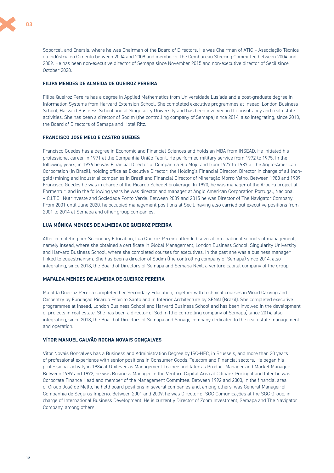

Soporcel, and Enersis, where he was Chairman of the Board of Directors. He was Chairman of ATIC – Associação Técnica da Indústria do Cimento between 2004 and 2009 and member of the Cembureau Steering Committee between 2004 and 2009. He has been non-executive director of Semapa since November 2015 and non-executive director of Secil since October 2020.

#### **FILIPA MENDES DE ALMEIDA DE QUEIROZ PEREIRA**

Filipa Queiroz Pereira has a degree in Applied Mathematics from Universidade Lusíada and a post-graduate degree in Information Systems from Harvard Extension School. She completed executive programmes at Insead, London Business School, Harvard Business School and at Singularity University and has been involved in IT consultancy and real estate activities. She has been a director of Sodim (the controlling company of Semapa) since 2014, also integrating, since 2018, the Board of Directors of Semapa and Hotel Ritz.

#### **FRANCISCO JOSÉ MELO E CASTRO GUEDES**

Francisco Guedes has a degree in Economic and Financial Sciences and holds an MBA from INSEAD. He initiated his professional career in 1971 at the Companhia União Fabril. He performed military service from 1972 to 1975. In the following years, in 1976 he was Financial Director of Companhia Rio Moju and from 1977 to 1987 at the Anglo-American Corporation (in Brazil), holding office as Executive Director, the Holding's Financial Director, Director in charge of all (nongold) mining and industrial companies in Brazil and Financial Director of Mineração Morro Velho. Between 1988 and 1989 Francisco Guedes he was in charge of the Ricardo Schedel brokerage. In 1990, he was manager of the Aroeira project at Formentur, and in the following years he was director and manager at Anglo American Corporation Portugal, Nacional – C.I.T.C., Nutrinveste and Sociedade Ponto Verde. Between 2009 and 2015 he was Director of The Navigator Company. From 2001 until June 2020, he occupied management positions at Secil, having also carried out executive positions from 2001 to 2014 at Semapa and other group companies.

#### **LUA MÓNICA MENDES DE ALMEIDA DE QUEIROZ PEREIRA**

After completing her Secondary Education, Lua Queiroz Pereira attended several international schools of management, namely Insead, where she obtained a certificate in Global Management, London Business School, Singularity University and Harvard Business School, where she completed courses for executives. In the past she was a business manager linked to equestrianism. She has been a director of Sodim (the controlling company of Semapa) since 2014, also integrating, since 2018, the Board of Directors of Semapa and Semapa Next, a venture capital company of the group.

#### **MAFALDA MENDES DE ALMEIDA DE QUEIROZ PEREIRA**

Mafalda Queiroz Pereira completed her Secondary Education, together with technical courses in Wood Carving and Carpentry by Fundação Ricardo Espírito Santo and in Interior Architecture by SENAI (Brazil). She completed executive programmes at Insead, London Business School and Harvard Business School and has been involved in the development of projects in real estate. She has been a director of Sodim (the controlling company of Semapa) since 2014, also integrating, since 2018, the Board of Directors of Semapa and Sonagi, company dedicated to the real estate management and operation.

#### **VÍTOR MANUEL GALVÃO ROCHA NOVAIS GONÇALVES**

Vítor Novais Gonçalves has a Business and Administration Degree by ISC-HEC, in Brussels, and more than 30 years of professional experience with senior positions in Consumer Goods, Telecom and Financial sectors. He began his professional activity in 1984 at Unilever as Management Trainee and later as Product Manager and Market Manager. Between 1989 and 1992, he was Business Manager in the Venture Capital Area at Citibank Portugal and later he was Corporate Finance Head and member of the Management Committee. Between 1992 and 2000, in the financial area of Group José de Mello, he held board positions in several companies and, among others, was General Manager of Companhia de Seguros Império. Between 2001 and 2009, he was Director of SGC Comunicações at the SGC Group, in charge of International Business Development. He is currently Director of Zoom Investment, Semapa and The Navigator Company, among others.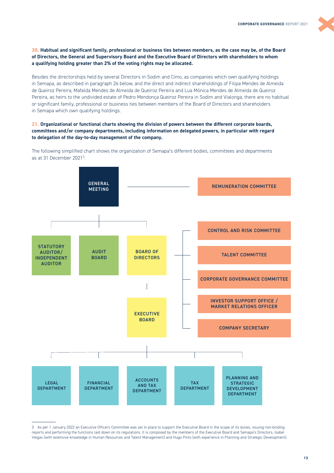**20. Habitual and significant family, professional or business ties between members, as the case may be, of the Board of Directors, the General and Supervisory Board and the Executive Board of Directors with shareholders to whom a qualifying holding greater than 2% of the voting rights may be allocated.** 

Besides the directorships held by several Directors in Sodim and Cimo, as companies which own qualifying holdings in Semapa, as described in paragraph 26 below, and the direct and indirect shareholdings of Filipa Mendes de Almeida de Queiroz Pereira, Mafalda Mendes de Almeida de Queiroz Pereira and Lua Mónica Mendes de Almeida de Queiroz Pereira, as heirs to the undivided estate of Pedro Mendonça Queiroz Pereira in Sodim and Vialonga, there are no habitual or significant family, professional or business ties between members of the Board of Directors and shareholders in Semapa which own qualifying holdings.

#### **21. Organizational or functional charts showing the division of powers between the different corporate boards, committees and/or company departments, including information on delegated powers, in particular with regard to delegation of the day-to-day management of the company.**

The following simplified chart shows the organization of Semapa's different bodies, committees and departments as at 31 December 2021<sup>3</sup>: :



<sup>3</sup> As per 1 January 2022 an Executive Officers Committee was set in place to support the Executive Board in the scope of its duties, issuing non-binding reports and performing the functions laid down on its regulations. It is composed by the members of the Executive Board and Semapa's Directors, Isabel Viegas (with extensive knowledge in Human Resources and Talent Management) and Hugo Pinto (with experience in Planning and Strategic Development).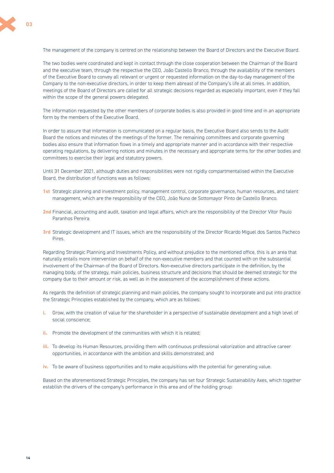The two bodies were coordinated and kept in contact through the close cooperation between the Chairman of the Board and the executive team, through the respective the CEO, João Castello Branco, through the availability of the members of the Executive Board to convey all relevant or urgent or requested information on the day-to-day management of the Company to the non-executive directors, in order to keep them abreast of the Company's life at all times. In addition, meetings of the Board of Directors are called for all strategic decisions regarded as especially important, even if they fall within the scope of the general powers delegated.

The information requested by the other members of corporate bodies is also provided in good time and in an appropriate form by the members of the Executive Board.

In order to assure that information is communicated on a regular basis, the Executive Board also sends to the Audit Board the notices and minutes of the meetings of the former. The remaining committees and corporate governing bodies also ensure that information flows in a timely and appropriate manner and in accordance with their respective operating regulations, by delivering notices and minutes in the necessary and appropriate terms for the other bodies and committees to exercise their legal and statutory powers.

Until 31 December 2021, although duties and responsibilities were not rigidly compartmentalised within the Executive Board, the distribution of functions was as follows:

- **1st** Strategic planning and investment policy, management control, corporate governance, human resources, and talent management, which are the responsibility of the CEO, João Nuno de Sottomayor Pinto de Castello Branco.
- **2nd** Financial, accounting and audit, taxation and legal affairs, which are the responsibility of the Director Vítor Paulo Paranhos Pereira
- **3rd** Strategic development and IT issues, which are the responsibility of the Director Ricardo Miguel dos Santos Pacheco Pires.

Regarding Strategic Planning and Investments Policy, and without prejudice to the mentioned office, this is an area that naturally entails more intervention on behalf of the non-executive members and that counted with on the substantial involvement of the Chairman of the Board of Directors. Non-executive directors participate in the definition, by the managing body, of the strategy, main policies, business structure and decisions that should be deemed strategic for the company due to their amount or risk, as well as in the assessment of the accomplishment of these actions.

As regards the definition of strategic planning and main policies, the company sought to incorporate and put into practice the Strategic Principles established by the company, which are as follows:

- **i.** Grow, with the creation of value for the shareholder in a perspective of sustainable development and a high level of social conscience;
- **ii.** Promote the development of the communities with which it is related;
- **iii.** To develop its Human Resources, providing them with continuous professional valorization and attractive career opportunities, in accordance with the ambition and skills demonstrated; and
- **iv.** To be aware of business opportunities and to make acquisitions with the potential for generating value.

Based on the aforementioned Strategic Principles, the company has set four Strategic Sustainability Axes, which together establish the drivers of the company's performance in this area and of the holding group: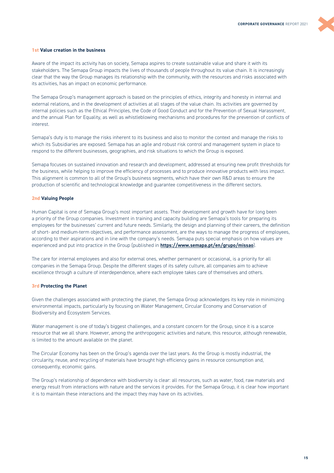#### **1st Value creation in the business**

Aware of the impact its activity has on society, Semapa aspires to create sustainable value and share it with its stakeholders. The Semapa Group impacts the lives of thousands of people throughout its value chain. It is increasingly clear that the way the Group manages its relationship with the community, with the resources and risks associated with its activities, has an impact on economic performance.

The Semapa Group's management approach is based on the principles of ethics, integrity and honesty in internal and external relations, and in the development of activities at all stages of the value chain. Its activities are governed by internal policies such as the Ethical Principles, the Code of Good Conduct and for the Prevention of Sexual Harassment, and the annual Plan for Equality, as well as whistleblowing mechanisms and procedures for the prevention of conflicts of interest.

Semapa's duty is to manage the risks inherent to its business and also to monitor the context and manage the risks to which its Subsidiaries are exposed. Semapa has an agile and robust risk control and management system in place to respond to the different businesses, geographies, and risk situations to which the Group is exposed.

Semapa focuses on sustained innovation and research and development, addressed at ensuring new profit thresholds for the business, while helping to improve the efficiency of processes and to produce innovative products with less impact. This alignment is common to all of the Group's business segments, which have their own R&D areas to ensure the production of scientific and technological knowledge and guarantee competitiveness in the different sectors.

#### **2nd Valuing People**

Human Capital is one of Semapa Group's most important assets. Their development and growth have for long been a priority of the Group companies. Investment in training and capacity building are Semapa's tools for preparing its employees for the businesses' current and future needs. Similarly, the design and planning of their careers, the definition of short- and medium-term objectives, and performance assessment, are the ways to manage the progress of employees, according to their aspirations and in line with the company's needs. Semapa puts special emphasis on how values are experienced and put into practice in the Group (published in **<https://www.semapa.pt/en/grupo/missao>**).

The care for internal employees and also for external ones, whether permanent or occasional, is a priority for all companies in the Semapa Group. Despite the different stages of its safety culture, all companies aim to achieve excellence through a culture of interdependence, where each employee takes care of themselves and others.

#### **3rd Protecting the Planet**

Given the challenges associated with protecting the planet, the Semapa Group acknowledges its key role in minimizing environmental impacts, particularly by focusing on Water Management, Circular Economy and Conservation of Biodiversity and Ecosystem Services.

Water management is one of today's biggest challenges, and a constant concern for the Group, since it is a scarce resource that we all share. However, among the anthropogenic activities and nature, this resource, although renewable, is limited to the amount available on the planet.

The Circular Economy has been on the Group's agenda over the last years. As the Group is mostly industrial, the circularity, reuse, and recycling of materials have brought high efficiency gains in resource consumption and, consequently, economic gains.

The Group's relationship of dependence with biodiversity is clear: all resources, such as water, food, raw materials and energy result from interactions with nature and the services it provides. For the Semapa Group, it is clear how important it is to maintain these interactions and the impact they may have on its activities.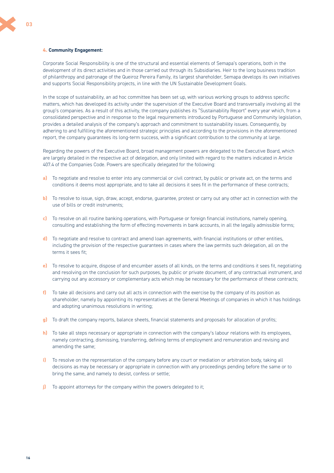#### **4. Community Engagement:**

Corporate Social Responsibility is one of the structural and essential elements of Semapa's operations, both in the development of its direct activities and in those carried out through its Subsidiaries. Heir to the long business tradition of philanthropy and patronage of the Queiroz Pereira Family, its largest shareholder, Semapa develops its own initiatives and supports Social Responsibility projects, in line with the UN Sustainable Development Goals.

In the scope of sustainability, an ad hoc committee has been set up, with various working groups to address specific matters, which has developed its activity under the supervision of the Executive Board and transversally involving all the group's companies. As a result of this activity, the company publishes its "Sustainability Report" every year which, from a consolidated perspective and in response to the legal requirements introduced by Portuguese and Community legislation, provides a detailed analysis of the company's approach and commitment to sustainability issues. Consequently, by adhering to and fulfilling the aforementioned strategic principles and according to the provisions in the aforementioned report, the company guarantees its long-term success, with a significant contribution to the community at large.

Regarding the powers of the Executive Board, broad management powers are delegated to the Executive Board, which are largely detailed in the respective act of delegation, and only limited with regard to the matters indicated in Article 407.4 of the Companies Code. Powers are specifically delegated for the following:

- **a)** To negotiate and resolve to enter into any commercial or civil contract, by public or private act, on the terms and conditions it deems most appropriate, and to take all decisions it sees fit in the performance of these contracts;
- **b)** To resolve to issue, sign, draw, accept, endorse, guarantee, protest or carry out any other act in connection with the use of bills or credit instruments;
- **c)** To resolve on all routine banking operations, with Portuguese or foreign financial institutions, namely opening, consulting and establishing the form of effecting movements in bank accounts, in all the legally admissible forms;
- **d)** To negotiate and resolve to contract and amend loan agreements, with financial institutions or other entities, including the provision of the respective guarantees in cases where the law permits such delegation, all on the terms it sees fit;
- **e)** To resolve to acquire, dispose of and encumber assets of all kinds, on the terms and conditions it sees fit, negotiating and resolving on the conclusion for such purposes, by public or private document, of any contractual instrument, and carrying out any accessory or complementary acts which may be necessary for the performance of these contracts;
- **f)** To take all decisions and carry out all acts in connection with the exercise by the company of its position as shareholder, namely by appointing its representatives at the General Meetings of companies in which it has holdings and adopting unanimous resolutions in writing;
- **g)** To draft the company reports, balance sheets, financial statements and proposals for allocation of profits;
- **h)** To take all steps necessary or appropriate in connection with the company's labour relations with its employees, namely contracting, dismissing, transferring, defining terms of employment and remuneration and revising and amending the same;
- **i)** To resolve on the representation of the company before any court or mediation or arbitration body, taking all decisions as may be necessary or appropriate in connection with any proceedings pending before the same or to bring the same, and namely to desist, confess or settle;
- **j)** To appoint attorneys for the company within the powers delegated to it;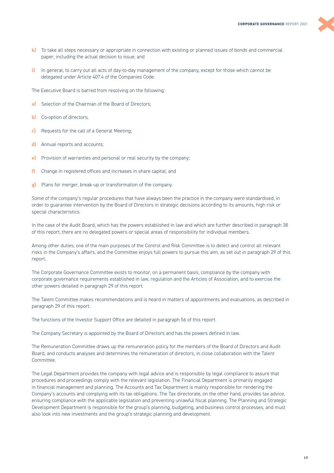

- **k)** To take all steps necessary or appropriate in connection with existing or planned issues of bonds and commercial paper, including the actual decision to issue; and
- **l)** In general, to carry out all acts of day-to-day management of the company, except for those which cannot be delegated under Article 407.4 of the Companies Code.

The Executive Board is barred from resolving on the following:

- **a)** Selection of the Chairman of the Board of Directors:
- **b)** Co-option of directors;
- **c)** Requests for the call of a General Meeting;
- **d)** Annual reports and accounts;
- **e)** Provision of warranties and personal or real security by the company;
- **f)** Change in registered offices and increases in share capital; and
- **g)** Plans for merger, break-up or transformation of the company.

Some of the company's regular procedures that have always been the practice in the company were standardised, in order to guarantee intervention by the Board of Directors in strategic decisions according to its amounts, high risk or special characteristics.

In the case of the Audit Board, which has the powers established in law and which are further described in paragraph 38 of this report, there are no delegated powers or special areas of responsibility for individual members.

Among other duties, one of the main purposes of the Control and Risk Committee is to detect and control all relevant risks in the Company's affairs, and the Committee enjoys full powers to pursue this aim, as set out in paragraph 29 of this report.

The Corporate Governance Committee exists to monitor, on a permanent basis, compliance by the company with corporate governance requirements established in law, regulation and the Articles of Association, and to exercise the other powers detailed in paragraph 29 of this report.

The Talent Committee makes recommendations and is heard in matters of appointments and evaluations, as described in paragraph 29 of this report.

The functions of the Investor Support Office are detailed in paragraph 56 of this report.

The Company Secretary is appointed by the Board of Directors and has the powers defined in law.

The Remuneration Committee draws up the remuneration policy for the members of the Board of Directors and Audit Board, and conducts analyses and determines the remuneration of directors, in close collaboration with the Talent Committee.

The Legal Department provides the company with legal advice and is responsible by legal compliance to assure that procedures and proceedings comply with the relevant legislation. The Financial Department is primarily engaged in financial management and planning. The Accounts and Tax Department is mainly responsible for rendering the Company's accounts and complying with its tax obligations. The Tax directorate, on the other hand, provides tax advice, ensuring compliance with the applicable legislation and preventing unlawful fiscal planning. The Planning and Strategic Development Department is responsible for the group's planning, budgeting, and business control processes, and must also look into new investments and the group's strategic planning and development.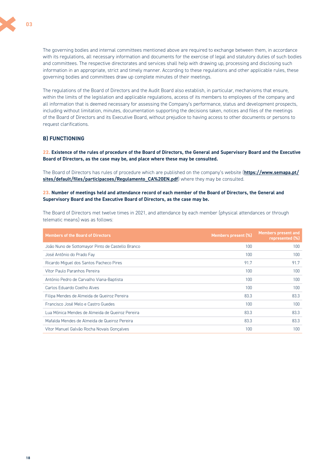

The governing bodies and internal committees mentioned above are required to exchange between them, in accordance with its regulations, all necessary information and documents for the exercise of legal and statutory duties of such bodies and committees. The respective directorates and services shall help with drawing up, processing and disclosing such information in an appropriate, strict and timely manner. According to these regulations and other applicable rules, these governing bodies and committees draw up complete minutes of their meetings.

The regulations of the Board of Directors and the Audit Board also establish, in particular, mechanisms that ensure, within the limits of the legislation and applicable regulations, access of its members to employees of the company and all information that is deemed necessary for assessing the Company's performance, status and development prospects, including without limitation, minutes, documentation supporting the decisions taken, notices and files of the meetings of the Board of Directors and its Executive Board, without prejudice to having access to other documents or persons to request clarifications.

## **B) FUNCTIONING**

**22. Existence of the rules of procedure of the Board of Directors, the General and Supervisory Board and the Executive Board of Directors, as the case may be, and place where these may be consulted.** 

The Board of Directors has rules of procedure which are published on the company's website (**[https://www.semapa.pt/](https://www.semapa.pt/sites/default/files/participacoes/Regulamento_CA%20EN.pdf) [sites/default/files/participacoes/Regulamento\\_CA%20EN.pdf](https://www.semapa.pt/sites/default/files/participacoes/Regulamento_CA%20EN.pdf)**) where they may be consulted.

#### **23. Number of meetings held and attendance record of each member of the Board of Directors, the General and Supervisory Board and the Executive Board of Directors, as the case may be.**

The Board of Directors met twelve times in 2021, and attendance by each member (physical attendances or through telematic means) was as follows:

| <b>Members of the Board of Directors</b>         | Members present (%) | <b>Members present and</b><br>represented (%) |
|--------------------------------------------------|---------------------|-----------------------------------------------|
| João Nuno de Sottomayor Pinto de Castello Branco | 100                 | 100                                           |
| José Antônio do Prado Fay                        | 100                 | 100                                           |
| Ricardo Miguel dos Santos Pacheco Pires          | 91.7                | 91.7                                          |
| Vítor Paulo Paranhos Pereira                     | 100                 | 100                                           |
| António Pedro de Carvalho Viana-Baptista         | 100                 | 100                                           |
| Carlos Eduardo Coelho Alves                      | 100                 | 100                                           |
| Filipa Mendes de Almeida de Queiroz Pereira      | 83.3                | 83.3                                          |
| Francisco José Melo e Castro Guedes              | 100                 | 100                                           |
| Lua Mónica Mendes de Almeida de Queiroz Pereira  | 83.3                | 83.3                                          |
| Mafalda Mendes de Almeida de Queiroz Pereira     | 83.3                | 83.3                                          |
| Vítor Manuel Galvão Rocha Novais Gonçalves       | 100                 | 100                                           |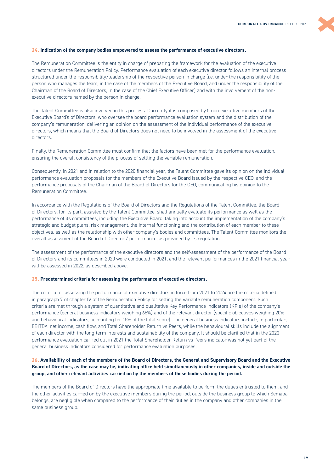#### **24. Indication of the company bodies empowered to assess the performance of executive directors.**

The Remuneration Committee is the entity in charge of preparing the framework for the evaluation of the executive directors under the Remuneration Policy. Performance evaluation of each executive director follows an internal process structured under the responsibility/leadership of the respective person in charge (i.e. under the responsibility of the person who manages the team, in the case of the members of the Executive Board, and under the responsibility of the Chairman of the Board of Directors, in the case of the Chief Executive Officer) and with the involvement of the nonexecutive directors named by the person in charge.

The Talent Committee is also involved in this process. Currently it is composed by 5 non-executive members of the Executive Board's of Directors, who oversee the board performance evaluation system and the distribution of the company's remuneration, delivering an opinion on the assessment of the individual performance of the executive directors, which means that the Board of Directors does not need to be involved in the assessment of the executive directors.

Finally, the Remuneration Committee must confirm that the factors have been met for the performance evaluation, ensuring the overall consistency of the process of settling the variable remuneration.

Consequently, in 2021 and in relation to the 2020 financial year, the Talent Committee gave its opinion on the individual performance evaluation proposals for the members of the Executive Board issued by the respective CEO, and the performance proposals of the Chairman of the Board of Directors for the CEO, communicating his opinion to the Remuneration Committee.

In accordance with the Regulations of the Board of Directors and the Regulations of the Talent Committee, the Board of Directors, for its part, assisted by the Talent Committee, shall annually evaluate its performance as well as the performance of its committees, including the Executive Board, taking into account the implementation of the company's strategic and budget plans, risk management, the internal functioning and the contribution of each member to these objectives, as well as the relationship with other company's bodies and committees. The Talent Committee monitors the overall assessment of the Board of Directors' performance, as provided by its regulation.

The assessment of the performance of the executive directors and the self-assessment of the performance of the Board of Directors and its committees in 2020 were conducted in 2021, and the relevant performances in the 2021 financial year will be assessed in 2022, as described above.

#### **25. Predetermined criteria for assessing the performance of executive directors.**

The criteria for assessing the performance of executive directors in force from 2021 to 2024 are the criteria defined in paragraph 7 of chapter IV of the Remuneration Policy for setting the variable remuneration component. Such criteria are met through a system of quantitative and qualitative Key Performance Indicators (KPIs) of the company's performance (general business indicators weighing 65%) and of the relevant director (specific objectives weighing 20% and behavioural indicators, accounting for 15% of the total score). The general business indicators include, in particular, EBITDA, net income, cash flow, and Total Shareholder Return vs Peers, while the behavioural skills include the alignment of each director with the long-term interests and sustainability of the company. It should be clarified that in the 2020 performance evaluation carried out in 2021 the Total Shareholder Return vs Peers indicator was not yet part of the general business indicators considered for performance evaluation purposes.

### **26. Availability of each of the members of the Board of Directors, the General and Supervisory Board and the Executive Board of Directors, as the case may be, indicating office held simultaneously in other companies, inside and outside the group, and other relevant activities carried on by the members of these bodies during the period.**

The members of the Board of Directors have the appropriate time available to perform the duties entrusted to them, and the other activities carried on by the executive members during the period, outside the business group to which Semapa belongs, are negligible when compared to the performance of their duties in the company and other companies in the same business group.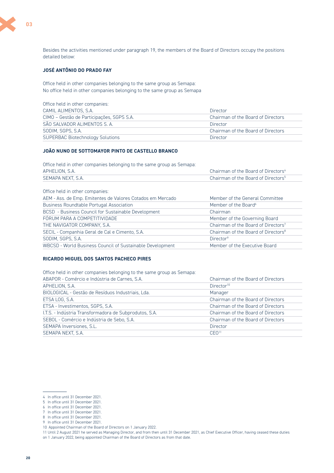

Besides the activities mentioned under paragraph 19, the members of the Board of Directors occupy the positions detailed below:

# **JOSÉ ANTÔNIO DO PRADO FAY**

Office held in other companies belonging to the same group as Semapa: No office held in other companies belonging to the same group as Semapa

| Office held in other companies:           |                                    |
|-------------------------------------------|------------------------------------|
| CAMIL ALIMENTOS, S.A.                     | Director                           |
| CIMO - Gestão de Participações, SGPS S.A. | Chairman of the Board of Directors |
| SÃO SALVADOR ALIMENTOS S. A.              | Director                           |
| SODIM. SGPS. S.A.                         | Chairman of the Board of Directors |
| <b>SUPERBAC Biotechnology Solutions</b>   | Director                           |

# **JOÃO NUNO DE SOTTOMAYOR PINTO DE CASTELLO BRANCO**

Office held in other companies belonging to the same group as Semapa:

| APHELION, S.A.    | Chairman of the Board of Directors <sup>4</sup> |
|-------------------|-------------------------------------------------|
| SEMAPA NEXT. S.A. | Chairman of the Board of Directors <sup>5</sup> |
|                   |                                                 |

| Office held in other companies:                            |                                                 |
|------------------------------------------------------------|-------------------------------------------------|
| AEM - Ass. de Emp. Emitentes de Valores Cotados em Mercado | Member of the General Committee                 |
| <b>Business Roundtable Portugal Association</b>            | Member of the Board <sup>6</sup>                |
| BCSD - Business Council for Sustainable Development        | Chairman                                        |
| FÓRUM PARA A COMPETITIVIDADE                               | Member of the Governing Board                   |
| THE NAVIGATOR COMPANY, S.A.                                | Chairman of the Board of Directors <sup>7</sup> |
| SECIL - Companhia Geral de Cal e Cimento, S.A.             | Chairman of the Board of Directors <sup>8</sup> |
| SODIM, SGPS, S.A.                                          | Director <sup>9</sup>                           |
| WBCSD - World Business Council of Sustainable Development  | Member of the Executive Board                   |

#### **RICARDO MIGUEL DOS SANTOS PACHECO PIRES**

Office held in other companies belonging to the same group as Semapa:

| Chairman of the Board of Directors |
|------------------------------------|
| Director <sup>10</sup>             |
| Manager                            |
| Chairman of the Board of Directors |
| Chairman of the Board of Directors |
| Chairman of the Board of Directors |
| Chairman of the Board of Directors |
| <b>Director</b>                    |
| CEO <sup>11</sup>                  |
|                                    |

<sup>4</sup> In office until 31 December 2021.

<sup>5</sup> In office until 31 December 2021.

<sup>6</sup> In office until 31 December 2021. 7 In office until 31 December 2021.

<sup>8</sup> In office until 31 December 2021. 9 In office until 31 December 2021.

<sup>10</sup> Appointed Chairman of the Board of Directors on 1 January 2022.

<sup>11</sup> Until 2 August 2021 he served as Managing Director, and from then until 31 December 2021, as Chief Executive Officer, having ceased these duties

on 1 January 2022, being appointed Chairman of the Board of Directors as from that date.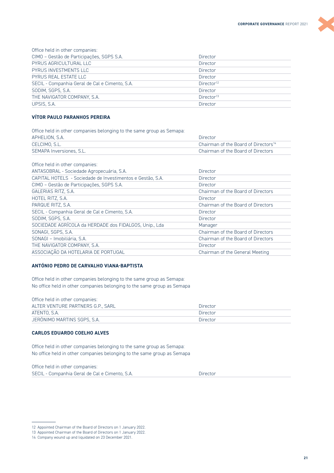

| Office held in other companies:                |                        |
|------------------------------------------------|------------------------|
| CIMO - Gestão de Participações, SGPS S.A.      | <b>Director</b>        |
| PYRUS AGRICULTURAL LLC                         | <b>Director</b>        |
| PYRUS INVESTMENTS LLC                          | Director               |
| PYRUS REAL ESTATE LLC                          | <b>Director</b>        |
| SECIL - Companhia Geral de Cal e Cimento, S.A. | Director <sup>12</sup> |
| SODIM. SGPS. S.A.                              | Director               |
| THE NAVIGATOR COMPANY, S.A.                    | Director <sup>13</sup> |
| UPSIS, S.A.                                    | Director               |

# **VÍTOR PAULO PARANHOS PEREIRA**

Office held in other companies belonging to the same group as Semapa:

| APHELION, S.A.           | Director                                         |
|--------------------------|--------------------------------------------------|
| CELCIMO, S.L.            | Chairman of the Board of Directors <sup>14</sup> |
| SEMAPA Inversiones, S.L. | Chairman of the Board of Directors               |

| Office held in other companies:                            |                                    |
|------------------------------------------------------------|------------------------------------|
| ANTASOBRAL - Sociedade Agropecuária, S.A.                  | Director                           |
| CAPITAL HOTELS - Sociedade de Investimentos e Gestão, S.A. | Director                           |
| CIMO - Gestão de Participações, SGPS S.A.                  | Director                           |
| GALERIAS RITZ, S.A.                                        | Chairman of the Board of Directors |
| HOTEL RITZ, S.A.                                           | Director                           |
| PARQUE RITZ, S.A.                                          | Chairman of the Board of Directors |
| SECIL - Companhia Geral de Cal e Cimento, S.A.             | Director                           |
| SODIM, SGPS, S.A.                                          | Director                           |
| SOCIEDADE AGRÍCOLA da HERDADE dos FIDALGOS, Unip., Lda     | Manager                            |
| SONAGI, SGPS, S.A.                                         | Chairman of the Board of Directors |
| SONAGI - Imobiliária, S.A.                                 | Chairman of the Board of Directors |
| THE NAVIGATOR COMPANY, S.A.                                | Director                           |
| ASSOCIAÇÃO DA HOTELARIA DE PORTUGAL                        | Chairman of the General Meeting    |
|                                                            |                                    |

# **ANTÓNIO PEDRO DE CARVALHO VIANA-BAPTISTA**

Office held in other companies belonging to the same group as Semapa: No office held in other companies belonging to the same group as Semapa

| Office held in other companies:   |          |
|-----------------------------------|----------|
| ALTER VENTURE PARTNERS G.P., SARL | Director |
| ATENTO, S.A.                      | Director |
| JERÓNIMO MARTINS SGPS, S.A.       | Director |

#### **CARLOS EDUARDO COELHO ALVES**

Office held in other companies belonging to the same group as Semapa: No office held in other companies belonging to the same group as Semapa

Office held in other companies: SECIL - Companhia Geral de Cal e Cimento, S.A. Director

<sup>12</sup> Appointed Chairman of the Board of Directors on 1 January 2022.

<sup>13</sup> Appointed Chairman of the Board of Directors on 1 January 2022.

<sup>14</sup> Company wound up and liquidated on 23 December 2021.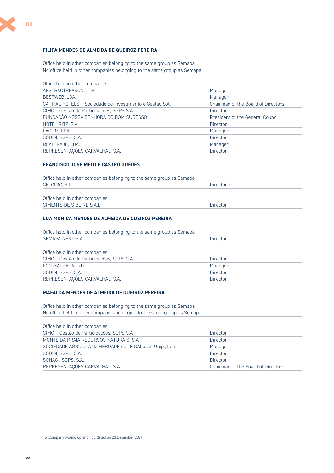# **FILIPA MENDES DE ALMEIDA DE QUEIROZ PEREIRA**

Office held in other companies belonging to the same group as Semapa: No office held in other companies belonging to the same group as Semapa

| Office held in other companies:                          |                                    |
|----------------------------------------------------------|------------------------------------|
| ABSTRACTREASON, LDA.                                     | Manager                            |
| BESTWEB, LDA.                                            | Manager                            |
| CAPITAL HOTELS - Sociedade de Investimento e Gestão S.A. | Chairman of the Board of Directors |
| CIMO - Gestão de Participações, SGPS S.A.                | <b>Director</b>                    |
| FUNDAÇÃO NOSSA SENHORA DO BOM SUCESSO                    | President of the General Council   |
| HOTEL RITZ, S.A.                                         | <b>Director</b>                    |
| LAGUM. LDA.                                              | Manager                            |
| SODIM, SGPS, S.A.                                        | <b>Director</b>                    |
| REALTRAJE, LDA.                                          | Manager                            |
| REPRESENTAÇÕES CARVALHAL, S.A.                           | Director                           |

# **FRANCISCO JOSÉ MELO E CASTRO GUEDES**

| Office held in other companies belonging to the same group as Semapa: |                        |
|-----------------------------------------------------------------------|------------------------|
| CELCIMO. S.L.                                                         | Director <sup>15</sup> |
|                                                                       |                        |
| Office held in other companies:                                       |                        |
| CIMENTS DE SIBLINE S.A.L.                                             | Director               |

# **LUA MÓNICA MENDES DE ALMEIDA DE QUEIROZ PEREIRA**

| Office held in other companies belonging to the same group as Semapa: |                 |  |
|-----------------------------------------------------------------------|-----------------|--|
| SEMAPA NEXT, S.A.                                                     | Director        |  |
| Office held in other companies:                                       |                 |  |
| CIMO - Gestão de Participações, SGPS S.A.                             | <b>Director</b> |  |
| ECO MALHADA, Lda.                                                     | Manager         |  |
|                                                                       |                 |  |
| SODIM, SGPS, S.A.                                                     | <b>Director</b> |  |

#### **MAFALDA MENDES DE ALMEIDA DE QUEIROZ PEREIRA**

Office held in other companies belonging to the same group as Semapa: No office held in other companies belonging to the same group as Semapa

| Office held in other companies:                        |                                    |
|--------------------------------------------------------|------------------------------------|
| CIMO - Gestão de Participações, SGPS S.A.              | Director                           |
| MONTE DA PRAIA RECURSOS NATURAIS, S.A.                 | Director                           |
| SOCIEDADE AGRÍCOLA da HERDADE dos FIDALGOS, Unip., Lda | Manager                            |
| SODIM, SGPS, S.A.                                      | Director                           |
| SONAGI, SGPS, S.A.                                     | Director                           |
| REPRESENTAÇÕES CARVALHAL, S.A.                         | Chairman of the Board of Directors |

<sup>15</sup> Company wound up and liquidated on 23 December 2021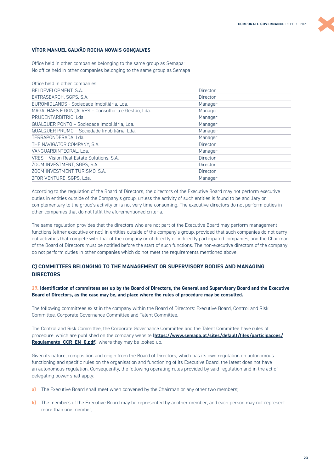#### **VÍTOR MANUEL GALVÃO ROCHA NOVAIS GONÇALVES**

Office held in other companies belonging to the same group as Semapa: No office held in other companies belonging to the same group as Semapa

| Office held in other companies:                    |                 |
|----------------------------------------------------|-----------------|
| BELDEVELOPMENT, S.A.                               | Director        |
| EXTRASEARCH, SGPS, S.A.                            | Director        |
| EUROMIDLANDS - Sociedade Imobiliária, Lda.         | Manager         |
| MAGALHÃES E GONÇALVES - Consultoria e Gestão, Lda. | Manager         |
| PRUDENTARBÍTRIO, Lda.                              | Manager         |
| QUALQUER PONTO - Sociedade Imobiliária, Lda.       | Manager         |
| QUALQUER PRUMO - Sociedade Imobiliária, Lda.       | Manager         |
| TERRAPONDERADA, Lda.                               | Manager         |
| THE NAVIGATOR COMPANY, S.A.                        | Director        |
| VANGUARDINTEGRAL, Lda.                             | Manager         |
| VRES - Vision Real Estate Solutions, S.A.          | Director        |
| ZOOM INVESTMENT, SGPS, S.A.                        | <b>Director</b> |
| ZOOM INVESTMENT TURISMO, S.A.                      | Director        |
| 2FOR VENTURE, SGPS, Lda.                           | Manager         |

According to the regulation of the Board of Directors, the directors of the Executive Board may not perform executive duties in entities outside of the Company's group, unless the activity of such entities is found to be ancillary or complementary to the group's activity or is not very time-consuming. The executive directors do not perform duties in other companies that do not fulfil the aforementioned criteria.

The same regulation provides that the directors who are not part of the Executive Board may perform management functions (either executive or not) in entities outside of the company's group, provided that such companies do not carry out activities that compete with that of the company or of directly or indirectly participated companies, and the Chairman of the Board of Directors must be notified before the start of such functions. The non-executive directors of the company do not perform duties in other companies which do not meet the requirements mentioned above.

# **C) COMMITTEES BELONGING TO THE MANAGEMENT OR SUPERVISORY BODIES AND MANAGING DIRECTORS**

#### **27. Identification of committees set up by the Board of Directors, the General and Supervisory Board and the Executive Board of Directors, as the case may be, and place where the rules of procedure may be consulted.**

The following committees exist in the company within the Board of Directors: Executive Board, Control and Risk Committee, Corporate Governance Committee and Talent Committee.

The Control and Risk Committee, the Corporate Governance Committee and the Talent Committee have rules of procedure, which are published on the company website (**[https://www.semapa.pt/sites/default/files/participacoes/](https://www.semapa.pt/sites/default/files/participacoes/Regulamento_CCR_EN_0.pdf) Regulamento CCR\_EN\_0.pdf**), where they may be looked up.

Given its nature, composition and origin from the Board of Directors, which has its own regulation on autonomous functioning and specific rules on the organisation and functioning of its Executive Board, the latest does not have an autonomous regulation. Consequently, the following operating rules provided by said regulation and in the act of delegating power shall apply:

- **a)** The Executive Board shall meet when convened by the Chairman or any other two members;
- **b)** The members of the Executive Board may be represented by another member, and each person may not represent more than one member;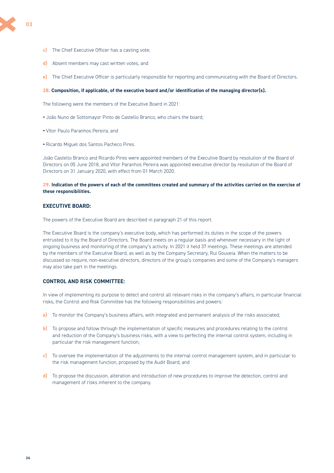

**03**

- **d)** Absent members may cast written votes, and
- **e)** The Chief Executive Officer is particularly responsible for reporting and communicating with the Board of Directors.

#### **28. Composition, if applicable, of the executive board and/or identification of the managing director(s).**

The following were the members of the Executive Board in 2021:

- **-** João Nuno de Sottomayor Pinto de Castello Branco, who chairs the board;
- **-** Vítor Paulo Paranhos Pereira; and
- **-** Ricardo Miguel dos Santos Pacheco Pires.

João Castello Branco and Ricardo Pires were appointed members of the Executive Board by resolution of the Board of Directors on 05 June 2018, and Vítor Paranhos Pereira was appointed executive director by resolution of the Board of Directors on 31 January 2020, with effect from 01 March 2020.

#### **29. Indication of the powers of each of the committees created and summary of the activities carried on the exercise of these responsibilities.**

# **EXECUTIVE BOARD:**

The powers of the Executive Board are described in paragraph 21 of this report.

The Executive Board is the company's executive body, which has performed its duties in the scope of the powers entrusted to it by the Board of Directors. The Board meets on a regular basis and whenever necessary in the light of ongoing business and monitoring of the company's activity. In 2021 it held 37 meetings. These meetings are attended by the members of the Executive Board, as well as by the Company Secretary, Rui Gouveia. When the matters to be discussed so require, non-executive directors, directors of the group's companies and some of the Company's managers may also take part in the meetings.

### **CONTROL AND RISK COMMITTEE:**

In view of implementing its purpose to detect and control all relevant risks in the company's affairs, in particular financial risks, the Control and Risk Committee has the following responsibilities and powers:

- **a)** To monitor the Company's business affairs, with integrated and permanent analysis of the risks associated;
- **b)** To propose and follow through the implementation of specific measures and procedures relating to the control and reduction of the Company's business risks, with a view to perfecting the internal control system, including in particular the risk management function;
- **c)** To oversee the implementation of the adjustments to the internal control management system, and in particular to the risk management function, proposed by the Audit Board; and
- **d)** To propose the discussion, alteration and introduction of new procedures to improve the detection, control and management of risks inherent to the company.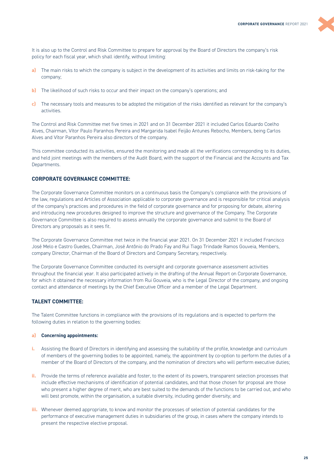It is also up to the Control and Risk Committee to prepare for approval by the Board of Directors the company's risk policy for each fiscal year, which shall identify, without limiting:

- **a)** The main risks to which the company is subject in the development of its activities and limits on risk-taking for the company;
- **b)** The likelihood of such risks to occur and their impact on the company's operations; and
- **c)** The necessary tools and measures to be adopted the mitigation of the risks identified as relevant for the company's activities.

The Control and Risk Committee met five times in 2021 and on 31 December 2021 it included Carlos Eduardo Coelho Alves, Chairman, Vítor Paulo Paranhos Pereira and Margarida Isabel Feijão Antunes Rebocho, Members, being Carlos Alves and Vítor Paranhos Pereira also directors of the company.

This committee conducted its activities, ensured the monitoring and made all the verifications corresponding to its duties, and held joint meetings with the members of the Audit Board, with the support of the Financial and the Accounts and Tax Departments.

# **CORPORATE GOVERNANCE COMMITTEE:**

The Corporate Governance Committee monitors on a continuous basis the Company's compliance with the provisions of the law, regulations and Articles of Association applicable to corporate governance and is responsible for critical analysis of the company's practices and procedures in the field of corporate governance and for proposing for debate, altering and introducing new procedures designed to improve the structure and governance of the Company. The Corporate Governance Committee is also required to assess annually the corporate governance and submit to the Board of Directors any proposals as it sees fit.

The Corporate Governance Committee met twice in the financial year 2021. On 31 December 2021 it included Francisco José Melo e Castro Guedes, Chairman, José Antônio do Prado Fay and Rui Tiago Trindade Ramos Gouveia, Members, company Director, Chairman of the Board of Directors and Company Secretary, respectively.

The Corporate Governance Committee conducted its oversight and corporate governance assessment activities throughout the financial year. It also participated actively in the drafting of the Annual Report on Corporate Governance, for which it obtained the necessary information from Rui Gouveia, who is the Legal Director of the company, and ongoing contact and attendance of meetings by the Chief Executive Officer and a member of the Legal Department.

# **TALENT COMMITTEE:**

The Talent Committee functions in compliance with the provisions of its regulations and is expected to perform the following duties in relation to the governing bodies:

#### **a) Concerning appointments:**

- **i.** Assisting the Board of Directors in identifying and assessing the suitability of the profile, knowledge and curriculum of members of the governing bodies to be appointed, namely, the appointment by co-option to perform the duties of a member of the Board of Directors of the company, and the nomination of directors who will perform executive duties;
- **ii.** Provide the terms of reference available and foster, to the extent of its powers, transparent selection processes that include effective mechanisms of identification of potential candidates, and that those chosen for proposal are those who present a higher degree of merit, who are best suited to the demands of the functions to be carried out, and who will best promote, within the organisation, a suitable diversity, including gender diversity; and
- **iii.** Whenever deemed appropriate, to know and monitor the processes of selection of potential candidates for the performance of executive management duties in subsidiaries of the group, in cases where the company intends to present the respective elective proposal.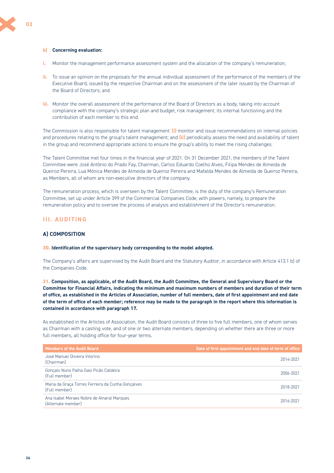#### <span id="page-25-0"></span>**b) Concerning evaluation:**

- **i.** Monitor the management performance assessment system and the allocation of the company's remuneration;
- **ii.** To issue an opinion on the proposals for the annual individual assessment of the performance of the members of the Executive Board, issued by the respective Chairman and on the assessment of the later issued by the Chairman of the Board of Directors; and
- **iii.** Monitor the overall assessment of the performance of the Board of Directors as a body, taking into account compliance with the company's strategic plan and budget, risk management, its internal functioning and the contribution of each member to this end.

The Commission is also responsible for talent management: **(i)** monitor and issue recommendations on internal policies and procedures relating to the group's talent management; and **(ii)** periodically assess the need and availability of talent in the group and recommend appropriate actions to ensure the group's ability to meet the rising challenges.

The Talent Committee met four times in the financial year of 2021. On 31 December 2021, the members of the Talent Committee were José Antônio do Prado Fay, Chairman, Carlos Eduardo Coelho Alves, Filipa Mendes de Almeida de Queiroz Pereira, Lua Mónica Mendes de Almeida de Queiroz Pereira and Mafalda Mendes de Almeida de Queiroz Pereira, as Members, all of whom are non-executive directors of the company.

The remuneration process, which is overseen by the Talent Committee, is the duty of the company's Remuneration Committee, set up under Article 399 of the Commercial Companies Code, with powers, namely, to prepare the remuneration policy and to oversee the process of analysis and establishment of the Director's remuneration.

# **III. AUDITING**

#### **A) COMPOSITION**

#### **30. Identification of the supervisory body corresponding to the model adopted.**

The Company's affairs are supervised by the Audit Board and the Statutory Auditor, in accordance with Article 413.1 b) of the Companies Code.

**31. Composition, as applicable, of the Audit Board, the Audit Committee, the General and Supervisory Board or the Committee for Financial Affairs, indicating the minimum and maximum numbers of members and duration of their term of office, as established in the Articles of Association, number of full members, date of first appointment and end date of the term of office of each member; reference may be made to the paragraph in the report where this information is contained in accordance with paragraph 17.** 

As established in the Articles of Association, the Audit Board consists of three to five full members, one of whom serves as Chairman with a casting vote, and of one or two alternate members, depending on whether there are three or more full members, all holding office for four-year terms.

| <b>Members of the Audit Board</b>                                  | Date of first appointment and end date of term of office |
|--------------------------------------------------------------------|----------------------------------------------------------|
| José Manuel Oliveira Vitorino<br>(Chairman)                        | 2014-2021                                                |
| Gonçalo Nuno Palha Gaio Picão Caldeira<br>(Full member)            | 2006-2021                                                |
| Maria da Graça Torres Ferreira da Cunha Gonçalves<br>(Full member) | 2018-2021                                                |
| Ana Isabel Moraes Nobre de Amaral Marques<br>(Alternate member)    | 2016-2021                                                |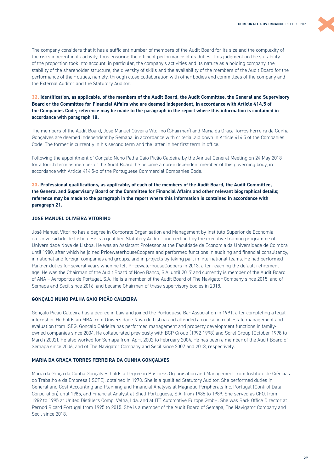

The company considers that it has a sufficient number of members of the Audit Board for its size and the complexity of the risks inherent in its activity, thus ensuring the efficient performance of its duties. This judgment on the suitability of the proportion took into account, in particular, the company's activities and its nature as a holding company, the stability of the shareholder structure, the diversity of skills and the availability of the members of the Audit Board for the performance of their duties, namely, through close collaboration with other bodies and committees of the company and the External Auditor and the Statutory Auditor.

### **32. Identification, as applicable, of the members of the Audit Board, the Audit Committee, the General and Supervisory Board or the Committee for Financial Affairs who are deemed independent, in accordance with Article 414.5 of the Companies Code; reference may be made to the paragraph in the report where this information is contained in accordance with paragraph 18.**

The members of the Audit Board, José Manuel Oliveira Vitorino (Chairman) and Maria da Graça Torres Ferreira da Cunha Gonçalves are deemed independent by Semapa, in accordance with criteria laid down in Article 414.5 of the Companies Code. The former is currently in his second term and the latter in her first term in office.

Following the appointment of Gonçalo Nuno Palha Gaio Picão Caldeira by the Annual General Meeting on 24 May 2018 for a fourth term as member of the Audit Board, he became a non-independent member of this governing body, in accordance with Article 414.5-b of the Portuguese Commercial Companies Code.

**33. Professional qualifications, as applicable, of each of the members of the Audit Board, the Audit Committee, the General and Supervisory Board or the Committee for Financial Affairs and other relevant biographical details; reference may be made to the paragraph in the report where this information is contained in accordance with paragraph 21.** 

# **JOSÉ MANUEL OLIVEIRA VITORINO**

José Manuel Vitorino has a degree in Corporate Organisation and Management by Instituto Superior de Economia da Universidade de Lisboa. He is a qualified Statutory Auditor and certified by the executive training programme of Universidade Nova de Lisboa. He was an Assistant Professor at the Faculdade de Economia da Universidade de Coimbra until 1980, after which he joined PricewaterhouseCoopers and performed functions in auditing and financial consultancy, in national and foreign companies and groups, and in projects by taking part in international teams. He had performed Partner duties for several years when he left PricewaterhouseCoopers in 2013, after reaching the default retirement age. He was the Chairman of the Audit Board of Novo Banco, S.A. until 2017 and currently is member of the Audit Board of ANA – Aeroportos de Portugal, S.A. He is a member of the Audit Board of The Navigator Company since 2015, and of Semapa and Secil since 2016, and became Chairman of these supervisory bodies in 2018.

#### **GONÇALO NUNO PALHA GAIO PICÃO CALDEIRA**

Gonçalo Picão Caldeira has a degree in Law and joined the Portuguese Bar Association in 1991, after completing a legal internship. He holds an MBA from Universidade Nova de Lisboa and attended a course in real estate management and evaluation from ISEG. Gonçalo Caldeira has performed management and property development functions in familyowned companies since 2004. He collaborated previously with BCP Group (1992-1998) and Sorel Group (October 1998 to March 2002). He also worked for Semapa from April 2002 to February 2004. He has been a member of the Audit Board of Semapa since 2006, and of The Navigator Company and Secil since 2007 and 2013, respectively.

#### **MARIA DA GRAÇA TORRES FERREIRA DA CUNHA GONÇALVES**

Maria da Graça da Cunha Gonçalves holds a Degree in Business Organisation and Management from Instituto de Ciências do Trabalho e da Empresa (ISCTE), obtained in 1978. She is a qualified Statutory Auditor. She performed duties in General and Cost Accounting and Planning and Financial Analysis at Magnetic Peripherals Inc. Portugal (Control Data Corporation) until 1985, and Financial Analyst at Shell Portuguesa, S.A. from 1985 to 1989. She served as CFO, from 1989 to 1995 at United Distillers Comp. Velha, Lda. and at ITT Automotive Europe GmbH. She was Back Office Director at Pernod Ricard Portugal from 1995 to 2015. She is a member of the Audit Board of Semapa, The Navigator Company and Secil since 2018.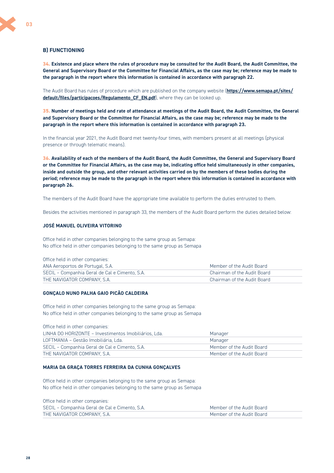## **B) FUNCTIONING**

**34. Existence and place where the rules of procedure may be consulted for the Audit Board, the Audit Committee, the General and Supervisory Board or the Committee for Financial Affairs, as the case may be; reference may be made to the paragraph in the report where this information is contained in accordance with paragraph 22.** 

The Audit Board has rules of procedure which are published on the company website (**[https://www.semapa.pt/sites/](https://www.semapa.pt/sites/default/files/participacoes/Regulamento_CF_EN.pdf) [default/files/participacoes/Regulamento\\_CF\\_EN.pdf](https://www.semapa.pt/sites/default/files/participacoes/Regulamento_CF_EN.pdf)**), where they can be looked up.

**35. Number of meetings held and rate of attendance at meetings of the Audit Board, the Audit Committee, the General and Supervisory Board or the Committee for Financial Affairs, as the case may be; reference may be made to the paragraph in the report where this information is contained in accordance with paragraph 23.** 

In the financial year 2021, the Audit Board met twenty-four times, with members present at all meetings (physical presence or through telematic means).

**36. Availability of each of the members of the Audit Board, the Audit Committee, the General and Supervisory Board or the Committee for Financial Affairs, as the case may be, indicating office held simultaneously in other companies, inside and outside the group, and other relevant activities carried on by the members of these bodies during the period; reference may be made to the paragraph in the report where this information is contained in accordance with paragraph 26.** 

The members of the Audit Board have the appropriate time available to perform the duties entrusted to them.

Besides the activities mentioned in paragraph 33, the members of the Audit Board perform the duties detailed below:

#### **JOSÉ MANUEL OLIVEIRA VITORINO**

Office held in other companies belonging to the same group as Semapa: No office held in other companies belonging to the same group as Semapa

| Office held in other companies:                |                             |
|------------------------------------------------|-----------------------------|
| ANA Aeroportos de Portugal, S.A.               | Member of the Audit Board   |
| SECIL – Companhia Geral de Cal e Cimento, S.A. | Chairman of the Audit Board |
| THE NAVIGATOR COMPANY, S.A.                    | Chairman of the Audit Board |

#### **GONÇALO NUNO PALHA GAIO PICÃO CALDEIRA**

Office held in other companies belonging to the same group as Semapa: No office held in other companies belonging to the same group as Semapa

| Office held in other companies:                       |                           |
|-------------------------------------------------------|---------------------------|
| LINHA DO HORIZONTE - Investimentos Imobiliários, Lda. | Manager                   |
| LOFTMANIA - Gestão Imobiliária. Lda.                  | Manager                   |
| SECIL – Companhia Geral de Cal e Cimento, S.A.        | Member of the Audit Board |
| THE NAVIGATOR COMPANY, S.A.                           | Member of the Audit Board |

#### **MARIA DA GRAÇA TORRES FERREIRA DA CUNHA GONÇALVES**

Office held in other companies belonging to the same group as Semapa: No office held in other companies belonging to the same group as Semapa

| Office held in other companies:                |                           |
|------------------------------------------------|---------------------------|
| SECIL – Companhia Geral de Cal e Cimento, S.A. | Member of the Audit Board |
| THE NAVIGATOR COMPANY, S.A.                    | Member of the Audit Board |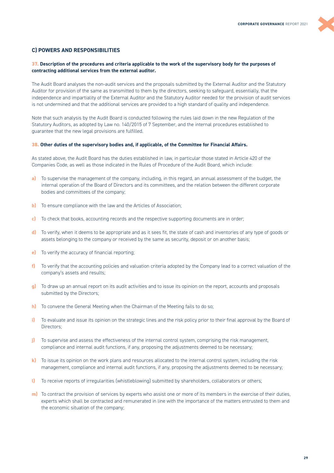## **C) POWERS AND RESPONSIBILITIES**

#### **37. Description of the procedures and criteria applicable to the work of the supervisory body for the purposes of contracting additional services from the external auditor.**

The Audit Board analyses the non-audit services and the proposals submitted by the External Auditor and the Statutory Auditor for provision of the same as transmitted to them by the directors, seeking to safeguard, essentially, that the independence and impartiality of the External Auditor and the Statutory Auditor needed for the provision of audit services is not undermined and that the additional services are provided to a high standard of quality and independence.

Note that such analysis by the Audit Board is conducted following the rules laid down in the new Regulation of the Statutory Auditors, as adopted by Law no. 140/2015 of 7 September, and the internal procedures established to guarantee that the new legal provisions are fulfilled.

#### **38. Other duties of the supervisory bodies and, if applicable, of the Committee for Financial Affairs.**

As stated above, the Audit Board has the duties established in law, in particular those stated in Article 420 of the Companies Code, as well as those indicated in the Rules of Procedure of the Audit Board, which include:

- **a)** To supervise the management of the company, including, in this regard, an annual assessment of the budget, the internal operation of the Board of Directors and its committees, and the relation between the different corporate bodies and committees of the company;
- **b)** To ensure compliance with the law and the Articles of Association;
- **c)** To check that books, accounting records and the respective supporting documents are in order;
- **d)** To verify, when it deems to be appropriate and as it sees fit, the state of cash and inventories of any type of goods or assets belonging to the company or received by the same as security, deposit or on another basis;
- **e)** To verify the accuracy of financial reporting;
- **f)** To verify that the accounting policies and valuation criteria adopted by the Company lead to a correct valuation of the company's assets and results;
- **g)** To draw up an annual report on its audit activities and to issue its opinion on the report, accounts and proposals submitted by the Directors;
- **h)** To convene the General Meeting when the Chairman of the Meeting fails to do so;
- **i)** To evaluate and issue its opinion on the strategic lines and the risk policy prior to their final approval by the Board of Directors;
- **j)** To supervise and assess the effectiveness of the internal control system, comprising the risk management, compliance and internal audit functions, if any, proposing the adjustments deemed to be necessary;
- **k)** To issue its opinion on the work plans and resources allocated to the internal control system, including the risk management, compliance and internal audit functions, if any, proposing the adjustments deemed to be necessary;
- **l)** To receive reports of irregularities (whistleblowing) submitted by shareholders, collaborators or others;
- **m)** To contract the provision of services by experts who assist one or more of its members in the exercise of their duties, experts which shall be contracted and remunerated in line with the importance of the matters entrusted to them and the economic situation of the company;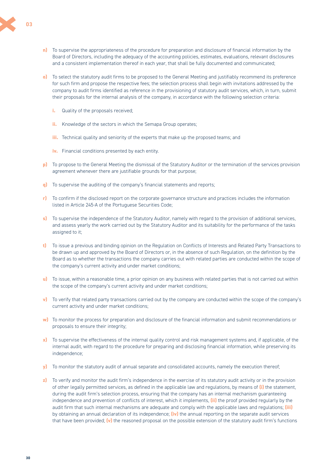- **n)** To supervise the appropriateness of the procedure for preparation and disclosure of financial information by the Board of Directors, including the adequacy of the accounting policies, estimates, evaluations, relevant disclosures and a consistent implementation thereof in each year, that shall be fully documented and communicated;
- **o)** To select the statutory audit firms to be proposed to the General Meeting and justifiably recommend its preference for such firm and propose the respective fees; the selection process shall begin with invitations addressed by the company to audit firms identified as reference in the provisioning of statutory audit services, which, in turn, submit their proposals for the internal analysis of the company, in accordance with the following selection criteria:
	- **i.** Quality of the proposals received;
	- **ii.** Knowledge of the sectors in which the Semapa Group operates;
	- **iii.** Technical quality and seniority of the experts that make up the proposed teams; and
	- **iv.** Financial conditions presented by each entity.
- **p)** To propose to the General Meeting the dismissal of the Statutory Auditor or the termination of the services provision agreement whenever there are justifiable grounds for that purpose;
- **q)** To supervise the auditing of the company's financial statements and reports;
- **r)** To confirm if the disclosed report on the corporate governance structure and practices includes the information listed in Article 245‐A of the Portuguese Securities Code;
- **s)** To supervise the independence of the Statutory Auditor, namely with regard to the provision of additional services, and assess yearly the work carried out by the Statutory Auditor and its suitability for the performance of the tasks assigned to it;
- **t)** To issue a previous and binding opinion on the Regulation on Conflicts of Interests and Related Party Transactions to be drawn up and approved by the Board of Directors or, in the absence of such Regulation, on the definition by the Board as to whether the transactions the company carries out with related parties are conducted within the scope of the company's current activity and under market conditions;
- **u)** To issue, within a reasonable time, a prior opinion on any business with related parties that is not carried out within the scope of the company's current activity and under market conditions;
- **v)** To verify that related party transactions carried out by the company are conducted within the scope of the company's current activity and under market conditions;
- **w)** To monitor the process for preparation and disclosure of the financial information and submit recommendations or proposals to ensure their integrity;
- **x)** To supervise the effectiveness of the internal quality control and risk management systems and, if applicable, of the internal audit, with regard to the procedure for preparing and disclosing financial information, while preserving its independence;
- **y)** To monitor the statutory audit of annual separate and consolidated accounts, namely the execution thereof;
- **z)** To verify and monitor the audit firm's independence in the exercise of its statutory audit activity or in the provision of other legally permitted services, as defined in the applicable law and regulations, by means of **(i)** the statement, during the audit firm's selection process, ensuring that the company has an internal mechanism guaranteeing independence and prevention of conflicts of interest, which it implements, **(ii)** the proof provided regularly by the audit firm that such internal mechanisms are adequate and comply with the applicable laws and regulations; **(iii)** by obtaining an annual declaration of its independence; **(iv)** the annual reporting on the separate audit services that have been provided; **(v)** the reasoned proposal on the possible extension of the statutory audit firm's functions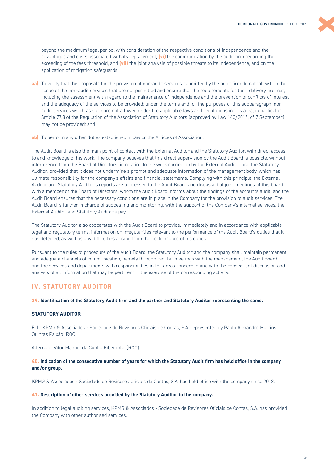<span id="page-30-0"></span>beyond the maximum legal period, with consideration of the respective conditions of independence and the advantages and costs associated with its replacement, **(vi)** the communication by the audit firm regarding the exceeding of the fees threshold, and **(vii)** the joint analysis of possible threats to its independence, and on the application of mitigation safeguards;

- **aa)** To verify that the proposals for the provision of non-audit services submitted by the audit firm do not fall within the scope of the non-audit services that are not permitted and ensure that the requirements for their delivery are met, including the assessment with regard to the maintenance of independence and the prevention of conflicts of interest and the adequacy of the services to be provided; under the terms and for the purposes of this subparagraph, nonaudit services which as such are not allowed under the applicable laws and regulations in this area, in particular Article 77.8 of the Regulation of the Association of Statutory Auditors (approved by Law 140/2015, of 7 September), may not be provided; and
- **ab)** To perform any other duties established in law or the Articles of Association.

The Audit Board is also the main point of contact with the External Auditor and the Statutory Auditor, with direct access to and knowledge of his work. The company believes that this direct supervision by the Audit Board is possible, without interference from the Board of Directors, in relation to the work carried on by the External Auditor and the Statutory Auditor, provided that it does not undermine a prompt and adequate information of the management body, which has ultimate responsibility for the company's affairs and financial statements. Complying with this principle, the External Auditor and Statutory Auditor's reports are addressed to the Audit Board and discussed at joint meetings of this board with a member of the Board of Directors, whom the Audit Board informs about the findings of the accounts audit, and the Audit Board ensures that the necessary conditions are in place in the Company for the provision of audit services. The Audit Board is further in charge of suggesting and monitoring, with the support of the Company's internal services, the External Auditor and Statutory Auditor's pay.

The Statutory Auditor also cooperates with the Audit Board to provide, immediately and in accordance with applicable legal and regulatory terms, information on irregularities relevant to the performance of the Audit Board's duties that it has detected, as well as any difficulties arising from the performance of his duties.

Pursuant to the rules of procedure of the Audit Board, the Statutory Auditor and the company shall maintain permanent and adequate channels of communication, namely through regular meetings with the management, the Audit Board and the services and departments with responsibilities in the areas concerned and with the consequent discussion and analysis of all information that may be pertinent in the exercise of the corresponding activity.

# **IV. STATUTORY AUDITOR**

#### **39. Identification of the Statutory Audit firm and the partner and Statutory Auditor representing the same.**

# **STATUTORY AUDITOR**

Full: KPMG & Associados - Sociedade de Revisores Oficiais de Contas, S.A. represented by Paulo Alexandre Martins Quintas Paixão (ROC)

Alternate: Vitor Manuel da Cunha Ribeirinho (ROC)

#### **40. Indication of the consecutive number of years for which the Statutory Audit firm has held office in the company and/or group.**

KPMG & Associados - Sociedade de Revisores Oficiais de Contas, S.A. has held office with the company since 2018.

#### **41. Description of other services provided by the Statutory Auditor to the company.**

In addition to legal auditing services, KPMG & Associados - Sociedade de Revisores Oficiais de Contas, S.A. has provided the Company with other authorised services.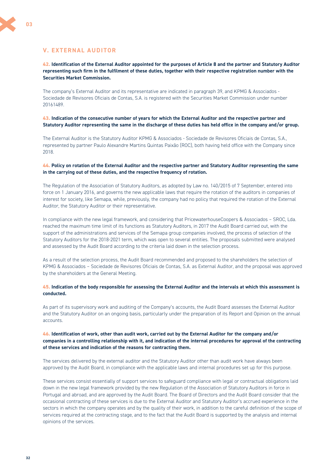# <span id="page-31-0"></span>**V. EXTERNAL AUDITOR**

**42. Identification of the External Auditor appointed for the purposes of Article 8 and the partner and Statutory Auditor representing such firm in the fulfilment of these duties, together with their respective registration number with the Securities Market Commission.** 

The company's External Auditor and its representative are indicated in paragraph 39, and KPMG & Associados - Sociedade de Revisores Oficiais de Contas, S.A. is registered with the Securities Market Commission under number 20161489.

#### **43. Indication of the consecutive number of years for which the External Auditor and the respective partner and Statutory Auditor representing the same in the discharge of these duties has held office in the company and/or group.**

The External Auditor is the Statutory Auditor KPMG & Associados - Sociedade de Revisores Oficiais de Contas, S.A., represented by partner Paulo Alexandre Martins Quintas Paixão (ROC), both having held office with the Company since 2018.

#### **44. Policy on rotation of the External Auditor and the respective partner and Statutory Auditor representing the same in the carrying out of these duties, and the respective frequency of rotation.**

The Regulation of the Association of Statutory Auditors, as adopted by Law no. 140/2015 of 7 September, entered into force on 1 January 2016, and governs the new applicable laws that require the rotation of the auditors in companies of interest for society, like Semapa, while, previously, the company had no policy that required the rotation of the External Auditor, the Statutory Auditor or their representative.

In compliance with the new legal framework, and considering that PricewaterhouseCoopers & Associados – SROC, Lda. reached the maximum time limit of its functions as Statutory Auditors, in 2017 the Audit Board carried out, with the support of the administrations and services of the Semapa group companies involved, the process of selection of the Statutory Auditors for the 2018-2021 term, which was open to several entities. The proposals submitted were analysed and assessed by the Audit Board according to the criteria laid down in the selection process.

As a result of the selection process, the Audit Board recommended and proposed to the shareholders the selection of KPMG & Associados – Sociedade de Revisores Oficiais de Contas, S.A. as External Auditor, and the proposal was approved by the shareholders at the General Meeting.

#### **45. Indication of the body responsible for assessing the External Auditor and the intervals at which this assessment is conducted.**

As part of its supervisory work and auditing of the Company's accounts, the Audit Board assesses the External Auditor and the Statutory Auditor on an ongoing basis, particularly under the preparation of its Report and Opinion on the annual accounts.

### **46. Identification of work, other than audit work, carried out by the External Auditor for the company and/or companies in a controlling relationship with it, and indication of the internal procedures for approval of the contracting of these services and indication of the reasons for contracting them.**

The services delivered by the external auditor and the Statutory Auditor other than audit work have always been approved by the Audit Board, in compliance with the applicable laws and internal procedures set up for this purpose.

These services consist essentially of support services to safeguard compliance with legal or contractual obligations laid down in the new legal framework provided by the new Regulation of the Association of Statutory Auditors in force in Portugal and abroad, and are approved by the Audit Board. The Board of Directors and the Audit Board consider that the occasional contracting of these services is due to the External Auditor and Statutory Auditor's accrued experience in the sectors in which the company operates and by the quality of their work, in addition to the careful definition of the scope of services required at the contracting stage, and to the fact that the Audit Board is supported by the analysis and internal opinions of the services.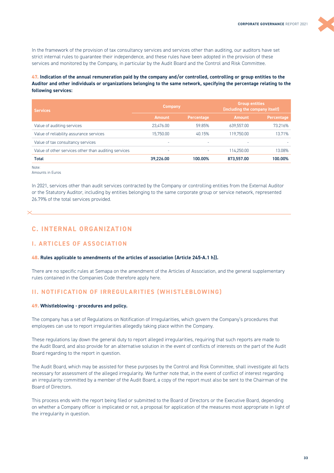<span id="page-32-0"></span>In the framework of the provision of tax consultancy services and services other than auditing, our auditors have set strict internal rules to guarantee their independence, and these rules have been adopted in the provision of these services and monitored by the Company, in particular by the Audit Board and the Control and Risk Committee.

**47. Indication of the annual remuneration paid by the company and/or controlled, controlling or group entities to the Auditor and other individuals or organizations belonging to the same network, specifying the percentage relating to the following services:** 

| <b>Services</b>                                      | <b>Company</b> |                   | <b>Group entities</b><br>(including the company itself) |                   |  |
|------------------------------------------------------|----------------|-------------------|---------------------------------------------------------|-------------------|--|
|                                                      | <b>Amount</b>  | <b>Percentage</b> | <b>Amount</b>                                           | <b>Percentage</b> |  |
| Value of auditing services                           | 23.476.00      | 59.85%            | 639.557.00                                              | 73.216%           |  |
| Value of reliability assurance services              | 15.750.00      | 40.15%            | 119.750.00                                              | 13.71%            |  |
| Value of tax consultancy services                    | ۰              | -                 | ۰                                                       |                   |  |
| Value of other services other than auditing services | ۰              |                   | 114.250.00                                              | 13.08%            |  |
| Total                                                | 39,226.00      | 100.00%           | 873,557.00                                              | 100.00%           |  |

Note:

In 2021, services other than audit services contracted by the Company or controlling entities from the External Auditor or the Statutory Auditor, including by entities belonging to the same corporate group or service network, represented 26.79% of the total services provided.

# **C. INTERNAL ORGANIZATION**

# **I. ARTICLES OF ASSOCIATION**

#### **48. Rules applicable to amendments of the articles of association (Article 245-A.1 h)).**

There are no specific rules at Semapa on the amendment of the Articles of Association, and the general supplementary rules contained in the Companies Code therefore apply here.

# **II. NOTIFICATION OF IRREGULARITIES (WHISTLEBLOWING)**

#### **49. Whistleblowing - procedures and policy.**

The company has a set of Regulations on Notification of Irregularities, which govern the Company's procedures that employees can use to report irregularities allegedly taking place within the Company.

These regulations lay down the general duty to report alleged irregularities, requiring that such reports are made to the Audit Board, and also provide for an alternative solution in the event of conflicts of interests on the part of the Audit Board regarding to the report in question.

The Audit Board, which may be assisted for these purposes by the Control and Risk Committee, shall investigate all facts necessary for assessment of the alleged irregularity. We further note that, in the event of conflict of interest regarding an irregularity committed by a member of the Audit Board, a copy of the report must also be sent to the Chairman of the Board of Directors.

This process ends with the report being filed or submitted to the Board of Directors or the Executive Board, depending on whether a Company officer is implicated or not, a proposal for application of the measures most appropriate in light of the irregularity in question.

Amounts in Euros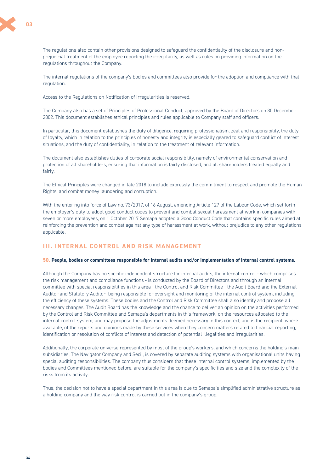<span id="page-33-0"></span>

The regulations also contain other provisions designed to safeguard the confidentiality of the disclosure and nonprejudicial treatment of the employee reporting the irregularity, as well as rules on providing information on the regulations throughout the Company.

The internal regulations of the company's bodies and committees also provide for the adoption and compliance with that regulation.

Access to the Regulations on Notification of Irregularities is reserved.

The Company also has a set of Principles of Professional Conduct, approved by the Board of Directors on 30 December 2002. This document establishes ethical principles and rules applicable to Company staff and officers.

In particular, this document establishes the duty of diligence, requiring professionalism, zeal and responsibility, the duty of loyalty, which in relation to the principles of honesty and integrity is especially geared to safeguard conflict of interest situations, and the duty of confidentiality, in relation to the treatment of relevant information.

The document also establishes duties of corporate social responsibility, namely of environmental conservation and protection of all shareholders, ensuring that information is fairly disclosed, and all shareholders treated equally and fairly.

The Ethical Principles were changed in late 2018 to include expressly the commitment to respect and promote the Human Rights, and combat money laundering and corruption.

With the entering into force of Law no. 73/2017, of 16 August, amending Article 127 of the Labour Code, which set forth the employer's duty to adopt good conduct codes to prevent and combat sexual harassment at work in companies with seven or more employees, on 1 October 2017 Semapa adopted a Good Conduct Code that contains specific rules aimed at reinforcing the prevention and combat against any type of harassment at work, without prejudice to any other regulations applicable.

# **III. INTERNAL CONTROL AND RISK MANAGEMENT**

#### **50. People, bodies or committees responsible for internal audits and/or implementation of internal control systems.**

Although the Company has no specific independent structure for internal audits, the internal control - which comprises the risk management and compliance functions - is conducted by the Board of Directors and through an internal committee with special responsibilities in this area - the Control and Risk Committee - the Audit Board and the External Auditor and Statutory Auditor being responsible for oversight and monitoring of the internal control system, including the efficiency of these systems. These bodies and the Control and Risk Committee shall also identify and propose all necessary changes. The Audit Board has the knowledge and the chance to deliver an opinion on the activities performed by the Control and Risk Committee and Semapa's departments in this framework, on the resources allocated to the internal control system, and may propose the adjustments deemed necessary in this context, and is the recipient, where available, of the reports and opinions made by these services when they concern matters related to financial reporting, identification or resolution of conflicts of interest and detection of potential illegalities and irregularities.

Additionally, the corporate universe represented by most of the group's workers, and which concerns the holding's main subsidiaries, The Navigator Company and Secil, is covered by separate auditing systems with organisational units having special auditing responsibilities. The company thus considers that these internal control systems, implemented by the bodies and Committees mentioned before, are suitable for the company's specificities and size and the complexity of the risks from its activity.

Thus, the decision not to have a special department in this area is due to Semapa's simplified administrative structure as a holding company and the way risk control is carried out in the company's group.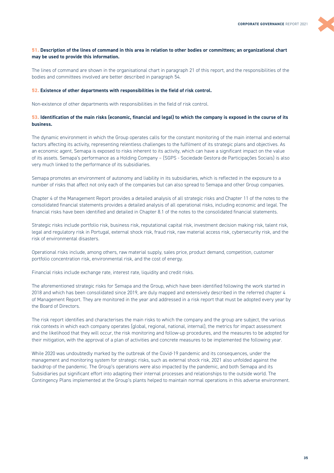#### **51. Description of the lines of command in this area in relation to other bodies or committees; an organizational chart may be used to provide this information.**

The lines of command are shown in the organisational chart in paragraph 21 of this report, and the responsibilities of the bodies and committees involved are better described in paragraph 54.

#### **52. Existence of other departments with responsibilities in the field of risk control.**

Non-existence of other departments with responsibilities in the field of risk control.

#### **53. Identification of the main risks (economic, financial and legal) to which the company is exposed in the course of its business.**

The dynamic environment in which the Group operates calls for the constant monitoring of the main internal and external factors affecting its activity, representing relentless challenges to the fulfilment of its strategic plans and objectives. As an economic agent, Semapa is exposed to risks inherent to its activity, which can have a significant impact on the value of its assets. Semapa's performance as a Holding Company – (SGPS - Sociedade Gestora de Participações Sociais) is also very much linked to the performance of its subsidiaries.

Semapa promotes an environment of autonomy and liability in its subsidiaries, which is reflected in the exposure to a number of risks that affect not only each of the companies but can also spread to Semapa and other Group companies.

Chapter 4 of the Management Report provides a detailed analysis of all strategic risks and Chapter 11 of the notes to the consolidated financial statements provides a detailed analysis of all operational risks, including economic and legal. The financial risks have been identified and detailed in Chapter 8.1 of the notes to the consolidated financial statements.

Strategic risks include portfolio risk, business risk, reputational capital risk, investment decision making risk, talent risk, legal and regulatory risk in Portugal, external shock risk, fraud risk, raw material access risk, cybersecurity risk, and the risk of environmental disasters.

Operational risks include, among others, raw material supply, sales price, product demand, competition, customer portfolio concentration risk, environmental risk, and the cost of energy.

Financial risks include exchange rate, interest rate, liquidity and credit risks.

The aforementioned strategic risks for Semapa and the Group, which have been identified following the work started in 2018 and which has been consolidated since 2019, are duly mapped and extensively described in the referred chapter 4 of Management Report. They are monitored in the year and addressed in a risk report that must be adopted every year by the Board of Directors.

The risk report identifies and characterises the main risks to which the company and the group are subject, the various risk contexts in which each company operates (global, regional, national, internal), the metrics for impact assessment and the likelihood that they will occur, the risk monitoring and follow-up procedures, and the measures to be adopted for their mitigation, with the approval of a plan of activities and concrete measures to be implemented the following year.

While 2020 was undoubtedly marked by the outbreak of the Covid-19 pandemic and its consequences, under the management and monitoring system for strategic risks, such as external shock risk, 2021 also unfolded against the backdrop of the pandemic. The Group's operations were also impacted by the pandemic, and both Semapa and its Subsidiaries put significant effort into adapting their internal processes and relationships to the outside world. The Contingency Plans implemented at the Group's plants helped to maintain normal operations in this adverse environment.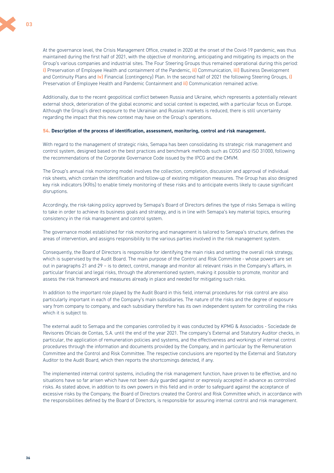At the governance level, the Crisis Management Office, created in 2020 at the onset of the Covid-19 pandemic, was thus maintained during the first half of 2021, with the objective of monitoring, anticipating and mitigating its impacts on the Group's various companies and industrial sites. The Four Steering Groups thus remained operational during this period: **i)** Preservation of Employee Health and containment of the Pandemic, **ii)** Communication, **iii)** Business Development and Continuity Plans and **iv)** Financial (contingency) Plan. In the second half of 2021 the following Steering Groups, **i)** Preservation of Employee Health and Pandemic Containment and **ii)** Communication remained active.

Additionally, due to the recent geopolitical conflict between Russia and Ukraine, which represents a potentially relevant external shock, deterioration of the global economic and social context is expected, with a particular focus on Europe. Although the Group's direct exposure to the Ukrainian and Russian markets is reduced, there is still uncertainty regarding the impact that this new context may have on the Group's operations.

#### **54. Description of the process of identification, assessment, monitoring, control and risk management.**

With regard to the management of strategic risks, Semapa has been consolidating its strategic risk management and control system, designed based on the best practices and benchmark methods such as COSO and ISO 31000, following the recommendations of the Corporate Governance Code issued by the IPCG and the CMVM.

The Group's annual risk monitoring model involves the collection, completion, discussion and approval of individual risk sheets, which contain the identification and follow-up of existing mitigation measures. The Group has also designed key risk indicators (KRIs) to enable timely monitoring of these risks and to anticipate events likely to cause significant disruptions.

Accordingly, the risk-taking policy approved by Semapa's Board of Directors defines the type of risks Semapa is willing to take in order to achieve its business goals and strategy, and is in line with Semapa's key material topics, ensuring consistency in the risk management and control system.

The governance model established for risk monitoring and management is tailored to Semapa's structure, defines the areas of intervention, and assigns responsibility to the various parties involved in the risk management system.

Consequently, the Board of Directors is responsible for identifying the main risks and setting the overall risk strategy, which is supervised by the Audit Board. The main purpose of the Control and Risk Committee - whose powers are set out in paragraphs 21 and 29 – is to detect, control, manage and monitor all relevant risks in the Company's affairs, in particular financial and legal risks, through the aforementioned system, making it possible to promote, monitor and assess the risk framework and measures already in place and needed for mitigating such risks.

In addition to the important role played by the Audit Board in this field, internal procedures for risk control are also particularly important in each of the Company's main subsidiaries. The nature of the risks and the degree of exposure vary from company to company, and each subsidiary therefore has its own independent system for controlling the risks which it is subject to.

The external audit to Semapa and the companies controlled by it was conducted by KPMG & Associados - Sociedade de Revisores Oficiais de Contas, S.A. until the end of the year 2021. The company's External and Statutory Auditor checks, in particular, the application of remuneration policies and systems, and the effectiveness and workings of internal control procedures through the information and documents provided by the Company, and in particular by the Remuneration Committee and the Control and Risk Committee. The respective conclusions are reported by the External and Statutory Auditor to the Audit Board, which then reports the shortcomings detected, if any.

The implemented internal control systems, including the risk management function, have proven to be effective, and no situations have so far arisen which have not been duly guarded against or expressly accepted in advance as controlled risks. As stated above, in addition to its own powers in this field and in order to safeguard against the acceptance of excessive risks by the Company, the Board of Directors created the Control and Risk Committee which, in accordance with the responsibilities defined by the Board of Directors, is responsible for assuring internal control and risk management.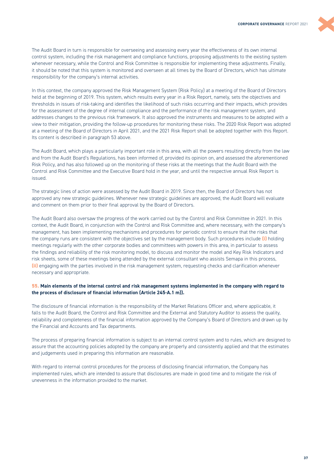<span id="page-36-0"></span>The Audit Board in turn is responsible for overseeing and assessing every year the effectiveness of its own internal control system, including the risk management and compliance functions, proposing adjustments to the existing system whenever necessary, while the Control and Risk Committee is responsible for implementing these adjustments. Finally, it should be noted that this system is monitored and overseen at all times by the Board of Directors, which has ultimate responsibility for the company's internal activities.

In this context, the company approved the Risk Management System (Risk Policy) at a meeting of the Board of Directors held at the beginning of 2019. This system, which results every year in a Risk Report, namely, sets the objectives and thresholds in issues of risk-taking and identifies the likelihood of such risks occurring and their impacts, which provides for the assessment of the degree of internal compliance and the performance of the risk management system, and addresses changes to the previous risk framework. It also approved the instruments and measures to be adopted with a view to their mitigation, providing the follow-up procedures for monitoring these risks. The 2020 Risk Report was adopted at a meeting of the Board of Directors in April 2021, and the 2021 Risk Report shall be adopted together with this Report. Its content is described in paragraph 53 above.

The Audit Board, which plays a particularly important role in this area, with all the powers resulting directly from the law and from the Audit Board's Regulations, has been informed of, provided its opinion on, and assessed the aforementioned Risk Policy, and has also followed up on the monitoring of these risks at the meetings that the Audit Board with the Control and Risk Committee and the Executive Board hold in the year, and until the respective annual Risk Report is issued.

The strategic lines of action were assessed by the Audit Board in 2019. Since then, the Board of Directors has not approved any new strategic guidelines. Whenever new strategic guidelines are approved, the Audit Board will evaluate and comment on them prior to their final approval by the Board of Directors.

The Audit Board also oversaw the progress of the work carried out by the Control and Risk Committee in 2021. In this context, the Audit Board, in conjunction with the Control and Risk Committee and, where necessary, with the company's management, has been implementing mechanisms and procedures for periodic control to ensure that the risks that the company runs are consistent with the objectives set by the management body. Such procedures include **(i)** holding meetings regularly with the other corporate bodies and committees with powers in this area, in particular to assess the findings and reliability of the risk monitoring model, to discuss and monitor the model and Key Risk Indicators and risk sheets, some of these meetings being attended by the external consultant who assists Semapa in this process, **(ii)** engaging with the parties involved in the risk management system, requesting checks and clarification whenever necessary and appropriate.

#### **55. Main elements of the internal control and risk management systems implemented in the company with regard to the process of disclosure of financial information (Article 245-A.1 m)).**

The disclosure of financial information is the responsibility of the Market Relations Officer and, where applicable, it falls to the Audit Board, the Control and Risk Committee and the External and Statutory Auditor to assess the quality, reliability and completeness of the financial information approved by the Company's Board of Directors and drawn up by the Financial and Accounts and Tax departments.

The process of preparing financial information is subject to an internal control system and to rules, which are designed to assure that the accounting policies adopted by the company are properly and consistently applied and that the estimates and judgements used in preparing this information are reasonable.

With regard to internal control procedures for the process of disclosing financial information, the Company has implemented rules, which are intended to assure that disclosures are made in good time and to mitigate the risk of unevenness in the information provided to the market.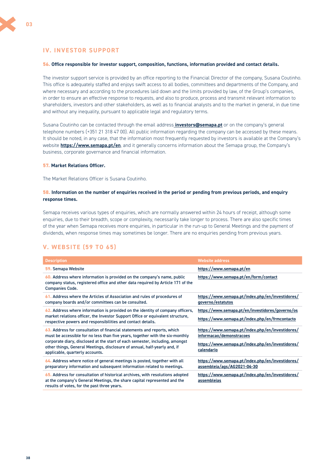# <span id="page-37-0"></span>**IV. INVESTOR SUPPORT**

#### **56. Office responsible for investor support, composition, functions, information provided and contact details.**

The investor support service is provided by an office reporting to the Financial Director of the company, Susana Coutinho. This office is adequately staffed and enjoys swift access to all bodies, committees and departments of the Company, and where necessary and according to the procedures laid down and the limits provided by law, of the Group's companies, in order to ensure an effective response to requests, and also to produce, process and transmit relevant information to shareholders, investors and other stakeholders, as well as to financial analysts and to the market in general, in due time and without any inequality, pursuant to applicable legal and regulatory terms.

Susana Coutinho can be contacted through the email address **[investors@semapa.pt](mailto:investors@semapa.pt)** or on the company's general telephone numbers (+351 21 318 47 00). All public information regarding the company can be accessed by these means. It should be noted, in any case, that the information most frequently requested by investors is available at the Company's website **<https://www.semapa.pt/en>**, and it generally concerns information about the Semapa group, the Company's business, corporate governance and financial information.

#### **57. Market Relations Officer.**

The Market Relations Officer is Susana Coutinho.

#### **58. Information on the number of enquiries received in the period or pending from previous periods, and enquiry response times.**

Semapa receives various types of enquiries, which are normally answered within 24 hours of receipt, although some enquiries, due to their breadth, scope or complexity, necessarily take longer to process. There are also specific times of the year when Semapa receives more enquiries, in particular in the run-up to General Meetings and the payment of dividends, when response times may sometimes be longer. There are no enquiries pending from previous years.

# **V. WEBSITE (59 TO 65)**

| <b>Description</b>                                                                                                                                                                                       | <b>Website address</b>                                                          |
|----------------------------------------------------------------------------------------------------------------------------------------------------------------------------------------------------------|---------------------------------------------------------------------------------|
| 59. Semapa Website                                                                                                                                                                                       | https://www.semapa.pt/en                                                        |
| 60. Address where information is provided on the company's name, public<br>company status, registered office and other data required by Article 171 of the<br><b>Companies Code.</b>                     | https://www.semapa.pt/en/form/contact                                           |
| 61. Address where the Articles of Association and rules of procedures of<br>company boards and/or committees can be consulted.                                                                           | https://www.semapa.pt/index.php/en/investidores/<br>governo/estatutos           |
| 62. Address where information is provided on the identity of company officers,                                                                                                                           | https://www.semapa.pt/en/investidores/governo/os                                |
| market relations officer, the Investor Support Office or equivalent structure,<br>respective powers and responsibilities and contact details.                                                            | https://www.semapa.pt/index.php/en/frmcontacto                                  |
| 63. Address for consultation of financial statements and reports, which<br>must be accessible for no less than five years, together with the six-monthly                                                 | https://www.semapa.pt/index.php/en/investidores/<br>informacao/demonstracoes    |
| corporate diary, disclosed at the start of each semester, including, amongst<br>other things, General Meetings, disclosure of annual, half-yearly and, if<br>applicable, quarterly accounts.             | https://www.semapa.pt/index.php/en/investidores/<br>calendario                  |
| 64. Address where notice of general meetings is posted, together with all<br>preparatory information and subsequent information related to meetings.                                                     | https://www.semapa.pt/index.php/en/investidores/<br>assembleia/ags/AG2021-04-30 |
| 65. Address for consultation of historical archives, with resolutions adopted<br>at the company's General Meetings, the share capital represented and the<br>results of votes, for the past three years. | https://www.semapa.pt/index.php/en/investidores/<br>assembleias                 |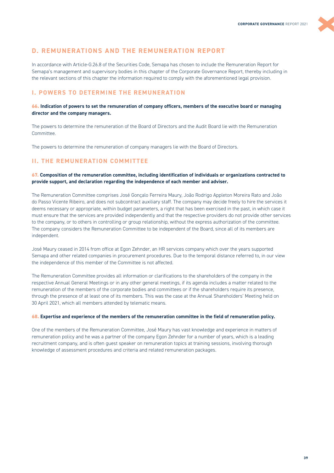# <span id="page-38-0"></span>**D. REMUNERATIONS AND THE REMUNERATION REPORT**

In accordance with Article-G.26.8 of the Securities Code, Semapa has chosen to include the Remuneration Report for Semapa's management and supervisory bodies in this chapter of the Corporate Governance Report, thereby including in the relevant sections of this chapter the information required to comply with the aforementioned legal provision.

# **I. POWERS TO DETERMINE THE REMUNERATION**

#### **66. Indication of powers to set the remuneration of company officers, members of the executive board or managing director and the company managers.**

The powers to determine the remuneration of the Board of Directors and the Audit Board lie with the Remuneration Committee.

The powers to determine the remuneration of company managers lie with the Board of Directors.

# **II. THE REMUNERATION COMMITTEE**

#### **67. Composition of the remuneration committee, including identification of individuals or organizations contracted to provide support, and declaration regarding the independence of each member and adviser.**

The Remuneration Committee comprises José Gonçalo Ferreira Maury, João Rodrigo Appleton Moreira Rato and João do Passo Vicente Ribeiro, and does not subcontract auxiliary staff. The company may decide freely to hire the services it deems necessary or appropriate, within budget parameters, a right that has been exercised in the past, in which case it must ensure that the services are provided independently and that the respective providers do not provide other services to the company, or to others in controlling or group relationship, without the express authorization of the committee. The company considers the Remuneration Committee to be independent of the Board, since all of its members are independent.

José Maury ceased in 2014 from office at Egon Zehnder, an HR services company which over the years supported Semapa and other related companies in procurement procedures. Due to the temporal distance referred to, in our view the independence of this member of the Committee is not affected.

The Remuneration Committee provides all information or clarifications to the shareholders of the company in the respective Annual General Meetings or in any other general meetings, if its agenda includes a matter related to the remuneration of the members of the corporate bodies and committees or if the shareholders require its presence, through the presence of at least one of its members. This was the case at the Annual Shareholders' Meeting held on 30 April 2021, which all members attended by telematic means.

#### **68. Expertise and experience of the members of the remuneration committee in the field of remuneration policy.**

One of the members of the Remuneration Committee, José Maury has vast knowledge and experience in matters of remuneration policy and he was a partner of the company Egon Zehnder for a number of years, which is a leading recruitment company, and is often guest speaker on remuneration topics at training sessions, involving thorough knowledge of assessment procedures and criteria and related remuneration packages.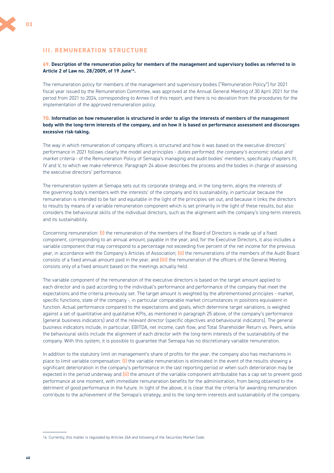### **III. REMUNERATION STRUCTURE**

#### **69. Description of the remuneration policy for members of the management and supervisory bodies as referred to in Article 2 of Law no. 28/2009, of 19 June16.**

The remuneration policy for members of the management and supervisory bodies ("Remuneration Policy") for 2021 fiscal year issued by the Remuneration Committee, was approved at the Annual General Meeting of 30 April 2021 for the period from 2021 to 2024, corresponding to Annex II of this report, and there is no deviation from the procedures for the implementation of the approved remuneration policy.

#### **70. Information on how remuneration is structured in order to align the interests of members of the management body with the long-term interests of the company, and on how it is based on performance assessment and discourages excessive risk-taking.**

The way in which remuneration of company officers is structured and how it was based on the executive directors' performance in 2021 follows clearly the model and principles - *duties performed, the company's economic status and market criteria* - of the Remuneration Policy of Semapa's managing and audit bodies' members, specifically chapters III, IV and V, to which we make reference. Paragraph 24 above describes the process and the bodies in charge of assessing the executive directors' performance.

The remuneration system at Semapa sets out its corporate strategy and, in the long-term, aligns the interests of the governing body's members with the interests' of the company and its sustainability, in particular because the remuneration is intended to be fair and equitable in the light of the principles set out, and because it links the directors to results by means of a variable remuneration component which is set primarily in the light of these results, but also considers the behavioural skills of the individual directors, such as the alignment with the company's long-term interests and its sustainability.

Concerning remuneration: **(i)** the remuneration of the members of the Board of Directors is made up of a fixed component, corresponding to an annual amount, payable in the year, and, for the Executive Directors, it also includes a variable component that may correspond to a percentage not exceeding five percent of the net income for the previous year, in accordance with the Company's Articles of Association; **(ii)** the remunerations of the members of the Audit Board consists of a fixed annual amount paid in the year, and **(iii)** the remuneration of the officers of the General Meeting consists only of a fixed amount based on the meetings actually held.

The variable component of the remuneration of the executive directors is based on the target amount applied to each director and is paid according to the individual's performance and performance of the company that meet the expectations and the criteria previously set. The target amount is weighted by the aforementioned principles - market, specific functions, state of the company -, in particular comparable market circumstances in positions equivalent in function. Actual performance compared to the expectations and goals, which determine target variations, is weighed against a set of quantitative and qualitative KPIs, as mentioned in paragraph 25 above, of the company's performance (general business indicators) and of the relevant director (specific objectives and behavioural indicators). The general business indicators include, in particular, EBITDA, net income, cash flow, and Total Shareholder Return vs. Peers, while the behavioural skills include the alignment of each director with the long-term interests of the sustainability of the company. With this system, it is possible to guarantee that Semapa has no discretionary variable remuneration.

In addition to the statutory limit on management's share of profits for the year, the company also has mechanisms in place to limit variable compensation: **(i)** the variable remuneration is eliminated in the event of the results showing a significant deterioration in the company's performance in the last reporting period or when such deterioration may be expected in the period underway and **(ii)** the amount of the variable component attributable has a cap set to prevent good performance at one moment, with immediate remuneration benefits for the administration, from being obtained to the detriment of good performance in the future. In light of the above, it is clear that the criteria for awarding remuneration contribute to the achievement of the Semapa's strategy, and to the long-term interests and sustainability of the company.

<sup>16</sup> Currently, this matter is regulated by Articles 26A and following of the Securities Market Code.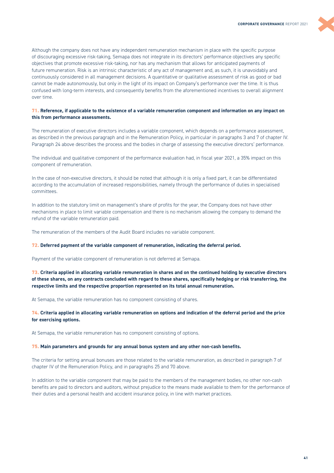

#### **71. Reference, if applicable to the existence of a variable remuneration component and information on any impact on this from performance assessments.**

The remuneration of executive directors includes a variable component, which depends on a performance assessment, as described in the previous paragraph and in the Remuneration Policy, in particular in paragraphs 3 and 7 of chapter IV. Paragraph 24 above describes the process and the bodies in charge of assessing the executive directors' performance.

The individual and qualitative component of the performance evaluation had, in fiscal year 2021, a 35% impact on this component of remuneration.

In the case of non-executive directors, it should be noted that although it is only a fixed part, it can be differentiated according to the accumulation of increased responsibilities, namely through the performance of duties in specialised committees.

In addition to the statutory limit on management's share of profits for the year, the Company does not have other mechanisms in place to limit variable compensation and there is no mechanism allowing the company to demand the refund of the variable remuneration paid.

The remuneration of the members of the Audit Board includes no variable component.

#### **72. Deferred payment of the variable component of remuneration, indicating the deferral period.**

Payment of the variable component of remuneration is not deferred at Semapa.

**73. Criteria applied in allocating variable remuneration in shares and on the continued holding by executive directors of these shares, on any contracts concluded with regard to these shares, specifically hedging or risk transferring, the respective limits and the respective proportion represented on its total annual remuneration.** 

At Semapa, the variable remuneration has no component consisting of shares.

**74. Criteria applied in allocating variable remuneration on options and indication of the deferral period and the price for exercising options.** 

At Semapa, the variable remuneration has no component consisting of options.

#### **75. Main parameters and grounds for any annual bonus system and any other non-cash benefits.**

The criteria for setting annual bonuses are those related to the variable remuneration, as described in paragraph 7 of chapter IV of the Remuneration Policy, and in paragraphs 25 and 70 above.

In addition to the variable component that may be paid to the members of the management bodies, no other non-cash benefits are paid to directors and auditors, without prejudice to the means made available to them for the performance of their duties and a personal health and accident insurance policy, in line with market practices.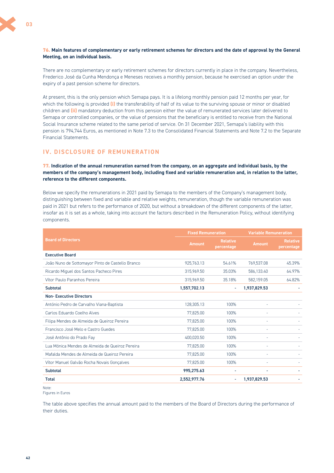#### <span id="page-41-0"></span>**76. Main features of complementary or early retirement schemes for directors and the date of approval by the General Meeting, on an individual basis.**

There are no complementary or early retirement schemes for directors currently in place in the company. Nevertheless, Frederico José da Cunha Mendonça e Meneses receives a monthly pension, because he exercised an option under the expiry of a past pension scheme for directors.

At present, this is the only pension which Semapa pays. It is a lifelong monthly pension paid 12 months per year, for which the following is provided **(i)** the transferability of half of its value to the surviving spouse or minor or disabled children and **(ii)** mandatory deduction from this pension either the value of remunerated services later delivered to Semapa or controlled companies, or the value of pensions that the beneficiary is entitled to receive from the National Social Insurance scheme related to the same period of service. On 31 December 2021, Semapa's liability with this pension is 794,744 Euros, as mentioned in Note 7.3 to the Consolidated Financial Statements and Note 7.2 to the Separate Financial Statements.

# **IV. DISCLOSURE OF REMUNERATION**

**77. Indication of the annual remuneration earned from the company, on an aggregate and individual basis, by the members of the company's management body, including fixed and variable remuneration and, in relation to the latter, reference to the different components.** 

Below we specify the remunerations in 2021 paid by Semapa to the members of the Company's management body, distinguishing between fixed and variable and relative weights, remuneration, though the variable remuneration was paid in 2021 but refers to the performance of 2020, but without a breakdown of the different components of the latter, insofar as it is set as a whole, taking into account the factors described in the Remuneration Policy, without identifying components.

|                                                  | <b>Fixed Remuneration</b> |                               | <b>Variable Remuneration</b> |                               |  |
|--------------------------------------------------|---------------------------|-------------------------------|------------------------------|-------------------------------|--|
| <b>Board of Directors</b>                        | <b>Amount</b>             | <b>Relative</b><br>percentage | <b>Amount</b>                | <b>Relative</b><br>percentage |  |
| <b>Executive Board</b>                           |                           |                               |                              |                               |  |
| João Nuno de Sottomayor Pinto de Castello Branco | 925.763.13                | 54.61%                        | 769,537.08                   | 45.39%                        |  |
| Ricardo Miguel dos Santos Pacheco Pires          | 315,969.50                | 35.03%                        | 586.133.40                   | 64.97%                        |  |
| Vítor Paulo Paranhos Pereira                     | 315,969.50                | 35.18%                        | 582,159.05                   | 64.82%                        |  |
| Subtotal                                         | 1,557,702.13              | ٠                             | 1,937,829.53                 |                               |  |
| <b>Non-Executive Directors</b>                   |                           |                               |                              |                               |  |
| António Pedro de Carvalho Viana-Baptista         | 128,305.13                | 100%                          | ÷                            |                               |  |
| Carlos Eduardo Coelho Alves                      | 77,825.00                 | 100%                          | L,                           |                               |  |
| Filipa Mendes de Almeida de Queiroz Pereira      | 77,825.00                 | 100%                          | ٠                            |                               |  |
| Francisco José Melo e Castro Guedes              | 77,825.00                 | 100%                          | ÷                            |                               |  |
| José Antônio do Prado Fay                        | 400.020.50                | 100%                          | ٠                            |                               |  |
| Lua Mónica Mendes de Almeida de Queiroz Pereira  | 77.825.00                 | 100%                          | ٠                            |                               |  |
| Mafalda Mendes de Almeida de Queiroz Pereira     | 77,825.00                 | 100%                          | ÷                            |                               |  |
| Vítor Manuel Galvão Rocha Novais Gonçalves       | 77,825.00                 | 100%                          | ÷.                           |                               |  |
| <b>Subtotal</b>                                  | 995,275.63                | ٠                             | ۰                            |                               |  |
| <b>Total</b>                                     | 2.552.977.76              | $\overline{a}$                | 1.937.829.53                 |                               |  |

Note:

Figures in Euros

The table above specifies the annual amount paid to the members of the Board of Directors during the performance of their duties.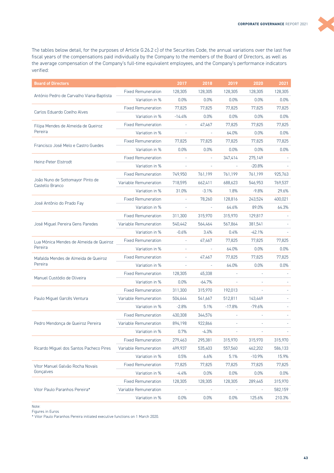The tables below detail, for the purposes of Article G.26.2 c) of the Securities Code, the annual variations over the last five fiscal years of the compensations paid individually by the Company to the members of the Board of Directors, as well as the average compensation of the Company's full-time equivalent employees, and the Company's performance indicators verified:

| <b>Board of Directors</b>                           |                           | 2017     | 2018                     | 2019      | 2020     | 2021    |
|-----------------------------------------------------|---------------------------|----------|--------------------------|-----------|----------|---------|
|                                                     | <b>Fixed Remuneration</b> | 128,305  | 128,305                  | 128,305   | 128,305  | 128,305 |
| António Pedro de Carvalho Viana-Baptista            | Variation in %            | 0.0%     | 0.0%                     | 0.0%      | 0.0%     | 0.0%    |
|                                                     | <b>Fixed Remuneration</b> | 77,825   | 77,825                   | 77,825    | 77,825   | 77,825  |
| Carlos Eduardo Coelho Alves                         | Variation in %            | $-14.4%$ | 0.0%                     | 0.0%      | 0.0%     | 0.0%    |
| Filipa Mendes de Almeida de Queiroz                 | <b>Fixed Remuneration</b> |          | 47,467                   | 77,825    | 77,825   | 77,825  |
| Pereira                                             | Variation in %            |          |                          | 64.0%     | 0.0%     | 0.0%    |
|                                                     | <b>Fixed Remuneration</b> | 77,825   | 77.825                   | 77,825    | 77,825   | 77,825  |
| Francisco José Melo e Castro Guedes                 | Variation in %            | 0.0%     | 0.0%                     | 0.0%      | 0.0%     | 0.0%    |
|                                                     | <b>Fixed Remuneration</b> |          |                          | 347,414   | 275,149  |         |
| Heinz-Peter Elstrodt                                | Variation in %            |          |                          |           | $-20.8%$ |         |
|                                                     | <b>Fixed Remuneration</b> | 749,950  | 761,199                  | 761,199   | 761,199  | 925,763 |
| João Nuno de Sottomayor Pinto de<br>Castello Branco | Variable Remuneration     | 718,595  | 662,411                  | 688,623   | 546,953  | 769,537 |
|                                                     | Variation in %            | 31.0%    | $-3.1%$                  | 1.8%      | $-9.8%$  | 29.6%   |
|                                                     | <b>Fixed Remuneration</b> |          | 78,260                   | 128,816   | 243,524  | 400,021 |
| José Antônio do Prado Fay                           | Variation in %            |          |                          | 64.6%     | 89.0%    | 64.3%   |
|                                                     | <b>Fixed Remuneration</b> | 311,300  | 315,970                  | 315,970   | 129,817  |         |
| José Miguel Pereira Gens Paredes                    | Variable Remuneration     | 540,442  | 564,464                  | 567,864   | 381,541  |         |
|                                                     | Variation in %            | $-0.6%$  | 3.4%                     | 0.4%      | $-42.1%$ |         |
| Lua Mónica Mendes de Almeida de Queiroz             | <b>Fixed Remuneration</b> |          | 47,467                   | 77,825    | 77,825   | 77,825  |
| Pereira                                             | Variation in %            |          | $\overline{\phantom{a}}$ | 64.0%     | 0.0%     | 0.0%    |
| Mafalda Mendes de Almeida de Queiroz                | <b>Fixed Remuneration</b> |          | 47,467                   | 77,825    | 77,825   | 77,825  |
| Pereira                                             | Variation in %            |          |                          | 64.0%     | 0.0%     | 0.0%    |
|                                                     | <b>Fixed Remuneration</b> | 128,305  | 45,338                   |           |          |         |
| Manuel Custódio de Oliveira                         | Variation in %            | 0.0%     | $-64.7\%$                |           |          |         |
|                                                     | <b>Fixed Remuneration</b> | 311,300  | 315,970                  | 192,013   |          |         |
| Paulo Miguel Garcês Ventura                         | Variable Remuneration     | 504,644  | 541,667                  | 512,811   | 143,449  |         |
|                                                     | Variation in %            | $-2.8%$  | 5.1%                     | $-17.8%$  | $-79.6%$ |         |
|                                                     | <b>Fixed Remuneration</b> | 430,308  | 344,576                  |           |          |         |
| Pedro Mendonça de Queiroz Pereira                   | Variable Remuneration     | 894,198  | 922,866                  | $\bar{ }$ |          |         |
|                                                     | Variation in %            | 0.7%     | $-4.3%$                  |           |          |         |
|                                                     | <b>Fixed Remuneration</b> | 279,463  | 295,381                  | 315,970   | 315,970  | 315,970 |
| Ricardo Miguel dos Santos Pacheco Pires             | Variable Remuneration     | 499,937  | 535,403                  | 557,560   | 462,202  | 586,133 |
|                                                     | Variation in %            | 0.5%     | 6.6%                     | 5.1%      | $-10.9%$ | 15.9%   |
| Vítor Manuel Galvão Rocha Novais                    | <b>Fixed Remuneration</b> | 77,825   | 77,825                   | 77,825    | 77,825   | 77,825  |
| Gonçalves                                           | Variation in %            | $-4.4%$  | 0.0%                     | 0.0%      | 0.0%     | 0.0%    |
|                                                     | <b>Fixed Remuneration</b> | 128,305  | 128,305                  | 128,305   | 289,445  | 315,970 |
| Vitor Paulo Paranhos Pereira*                       | Variable Remuneration     |          |                          |           |          | 582,159 |
|                                                     | Variation in %            | 0.0%     | 0.0%                     | 0.0%      | 125.6%   | 210.3%  |

Note:

Figures in Euros

\* Vitor Paulo Paranhos Pereira initiated executive functions on 1 March 2020.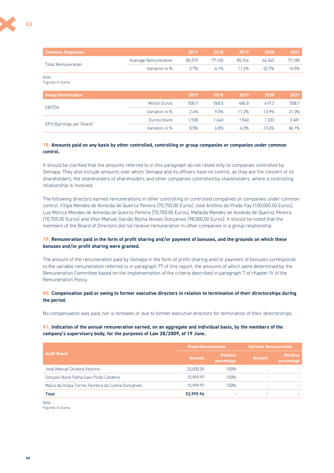**03**

| <b>Company Employees</b>  |                      | 2017   | 2018   | 2019   | 2020    | 2021   |
|---------------------------|----------------------|--------|--------|--------|---------|--------|
|                           | Average Remuneration | 80.379 | 77.100 | 85.744 | 66.243  | 77.188 |
| <b>Total Remuneration</b> | Variation in %       | 37%    | -41%   | 1.2%   | $-227%$ | 16.5%  |

Note: Figures in Euros

| <b>Group Performance</b> |                      | 2017  | 2018  | 2019     | 2020     | 2021  |
|--------------------------|----------------------|-------|-------|----------|----------|-------|
|                          | <b>Million Euros</b> | 500.7 | 548.5 | 486.8    | 419.3    | 508.7 |
| <b>EBITDA</b>            | Variation in %       | 2.4%  | 9.5%  | $-11.2%$ | $-13.9%$ | 21.3% |
|                          | Euros/share          | .538  | 1.643 | .540     | 1.333    | 2.481 |
| EPS (Earnings per Share) | Variation in %       | 8.5%  | 6.8%  | $-6.3%$  | $-13.4%$ | 86.1% |

#### **78. Amounts paid on any basis by other controlled, controlling or group companies or companies under common control.**

It should be clarified that the amounts referred to in this paragraph do not relate only to companies controlled by Semapa. They also include amounts over which Semapa and its officers have no control, as they are the concern of its shareholders, the shareholders of shareholders and other companies controlled by shareholders, where a controlling relationship is involved.

The following directors earned remunerations in other controlling or controlled companies or companies under common control: Filipa Mendes de Almeida de Queiroz Pereira (70,750.00 Euros) José Antônio do Prado Fay (100,000.03 Euros), Lua Mónica Mendes de Almeida de Queiroz Pereira (70,750.00 Euros), Mafalda Mendes de Almeida de Queiroz Pereira (70,750.00 Euros) and Vítor Manuel Galvão Rocha Novais Gonçalves (98,000.00 Euros). It should be noted that the members of the Board of Directors did not receive remuneration in other companies in a group relationship.

#### **79. Remuneration paid in the form of profit sharing and/or payment of bonuses, and the grounds on which these bonuses and/or profit sharing were granted.**

The amount of the remuneration paid by Semapa in the form of profit-sharing and/or payment of bonuses corresponds to the variable remuneration referred to in paragraph 77 of this report, the amounts of which were determined by the Remuneration Committee based on the implementation of the criteria described in paragraph 7 of chapter IV of the Remuneration Policy.

#### **80. Compensation paid or owing to former executive directors in relation to termination of their directorships during the period.**

No compensation was paid, nor is foreseen or due to former executive directors for termination of their directorships.

#### **81. Indication of the annual remuneration earned, on an aggregate and individual basis, by the members of the company's supervisory body, for the purposes of Law 28/2009, of 19 June.**

|                                                   | <b>Fixed Remuneration</b> |                               | <b>Variable Remuneration</b> |                               |  |
|---------------------------------------------------|---------------------------|-------------------------------|------------------------------|-------------------------------|--|
| <b>Audit Board</b>                                | <b>Amount</b>             | <b>Relative</b><br>percentage | <b>Amount</b>                | <b>Relative</b><br>percentage |  |
| José Manuel Oliveira Vitorino                     | 22,000.00                 | 100%                          | ۰                            |                               |  |
| Gonçalo Nuno Palha Gaio Picão Caldeira            | 15.999.97                 | 100%                          | ۰                            |                               |  |
| Maria da Graça Torres Ferreira da Cunha Gonçalves | 15.999.97                 | 100%                          | ۰                            |                               |  |
| <b>Total</b>                                      | 53.999.94                 | $\overline{\phantom{a}}$      | -                            |                               |  |

Note: Figures in Euros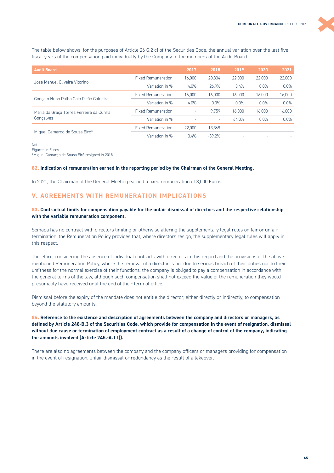<span id="page-44-0"></span>The table below shows, for the purposes of Article 26 G.2 c) of the Securities Code, the annual variation over the last five fiscal years of the compensation paid individually by the Company to the members of the Audit Board:

| <b>Audit Board</b>                      |                           | 2017   | 2018     | 2019                     | 2020   | 2021    |
|-----------------------------------------|---------------------------|--------|----------|--------------------------|--------|---------|
|                                         | <b>Fixed Remuneration</b> | 16,000 | 20.304   | 22,000                   | 22,000 | 22,000  |
| José Manuel Oliveira Vitorino           | Variation in %            | 4.0%   | 26.9%    | 8.4%                     | 0.0%   | 0.0%    |
|                                         | <b>Fixed Remuneration</b> | 16,000 | 16.000   | 16.000                   | 16,000 | 16,000  |
| Gonçalo Nuno Palha Gaio Picão Caldeira  | Variation in %            | 4.0%   | 0.0%     | $0.0\%$                  | 0.0%   | 0.0%    |
| Maria da Graça Torres Ferreira da Cunha | <b>Fixed Remuneration</b> | ٠      | 9.759    | 16.000                   | 16.000 | 16.000  |
| Goncalves                               | Variation in %            |        | ٠        | 64.0%                    | 0.0%   | $0.0\%$ |
|                                         | <b>Fixed Remuneration</b> | 22,000 | 13,369   | $\overline{\phantom{a}}$ |        |         |
| Miguel Camargo de Sousa Eiró*           | Variation in %            | 3.4%   | $-39.2%$ | $\overline{\phantom{a}}$ | ۰      |         |

Note:

Figures in Euros

\*Miguel Camargo de Sousa Eiró resigned in 2018.

#### **82. Indication of remuneration earned in the reporting period by the Chairman of the General Meeting.**

In 2021, the Chairman of the General Meeting earned a fixed remuneration of 3,000 Euros.

# **V. AGREEMENTS WITH REMUNERATION IMPLICATIONS**

#### **83. Contractual limits for compensation payable for the unfair dismissal of directors and the respective relationship with the variable remuneration component.**

Semapa has no contract with directors limiting or otherwise altering the supplementary legal rules on fair or unfair termination; the Remuneration Policy provides that, where directors resign, the supplementary legal rules will apply in this respect.

Therefore, considering the absence of individual contracts with directors in this regard and the provisions of the abovementioned Remuneration Policy, where the removal of a director is not due to serious breach of their duties nor to their unfitness for the normal exercise of their functions, the company is obliged to pay a compensation in accordance with the general terms of the law, although such compensation shall not exceed the value of the remuneration they would presumably have received until the end of their term of office.

Dismissal before the expiry of the mandate does not entitle the director, either directly or indirectly, to compensation beyond the statutory amounts.

**84. Reference to the existence and description of agreements between the company and directors or managers, as defined by Article 248-B.3 of the Securities Code, which provide for compensation in the event of resignation, dismissal without due cause or termination of employment contract as a result of a change of control of the company, indicating the amounts involved (Article 245.-A.1 l)).** 

There are also no agreements between the company and the company officers or managers providing for compensation in the event of resignation, unfair dismissal or redundancy as the result of a takeover.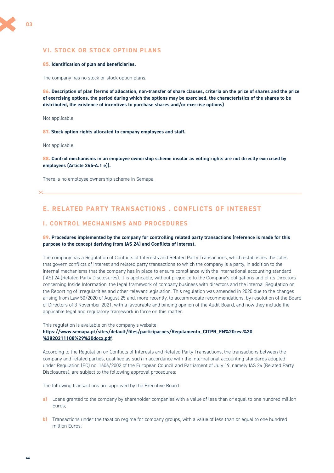# <span id="page-45-0"></span>**VI. STOCK OR STOCK OPTION PLANS**

#### **85. Identification of plan and beneficiaries.**

The company has no stock or stock option plans.

**86. Description of plan (terms of allocation, non-transfer of share clauses, criteria on the price of shares and the price of exercising options, the period during which the options may be exercised, the characteristics of the shares to be distributed, the existence of incentives to purchase shares and/or exercise options)** 

Not applicable.

**87. Stock option rights allocated to company employees and staff.** 

Not applicable.

**88. Control mechanisms in an employee ownership scheme insofar as voting rights are not directly exercised by employees (Article 245-A.1 e)).** 

There is no employee ownership scheme in Semapa.

# **E. RELATED PARTY TRANSACTIONS . CONFLICTS OF INTEREST**

#### **I. CONTROL MECHANISMS AND PROCEDURES**

#### **89. Procedures implemented by the company for controlling related party transactions (reference is made for this purpose to the concept deriving from IAS 24) and Conflicts of Interest.**

The company has a Regulation of Conflicts of Interests and Related Party Transactions, which establishes the rules that govern conflicts of interest and related party transactions to which the company is a party, in addition to the internal mechanisms that the company has in place to ensure compliance with the international accounting standard (IAS) 24 (Related Party Disclosures). It is applicable, without prejudice to the Company's obligations and of its Directors concerning Inside Information, the legal framework of company business with directors and the internal Regulation on the Reporting of Irregularities and other relevant legislation. This regulation was amended in 2020 due to the changes arising from Law 50/2020 of August 25 and, more recently, to accommodate recommendations, by resolution of the Board of Directors of 3 November 2021, with a favourable and binding opinion of the Audit Board, and now they include the applicable legal and regulatory framework in force on this matter.

This regulation is available on the company's website:

#### **[https://www.semapa.pt/sites/default/files/participacoes/Regulamento\\_CITPR\\_EN%20rev.%20](https://www.semapa.pt/sites/default/files/participacoes/Regulamento_CITPR_EN%20rev.%20%2820211108%29%20docx.pdf) %2820211108%29%20docx.pdf**.

According to the Regulation on Conflicts of Interests and Related Party Transactions, the transactions between the company and related parties, qualified as such in accordance with the international accounting standards adopted under Regulation (EC) no. 1606/2002 of the European Council and Parliament of July 19, namely IAS 24 (Related Party Disclosures), are subject to the following approval procedures:

The following transactions are approved by the Executive Board:

- **a)** Loans granted to the company by shareholder companies with a value of less than or equal to one hundred million Euros;
- **b)** Transactions under the taxation regime for company groups, with a value of less than or equal to one hundred million Euros;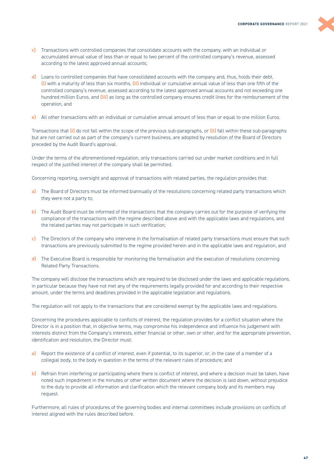

- **c)** Transactions with controlled companies that consolidate accounts with the company, with an individual or accumulated annual value of less than or equal to two percent of the controlled company's revenue, assessed according to the latest approved annual accounts;
- **d)** Loans to controlled companies that have consolidated accounts with the company and, thus, holds their debt, **(i)** with a maturity of less than six months, **(ii)** individual or cumulative annual value of less than one fifth of the controlled company's revenue, assessed according to the latest approved annual accounts and not exceeding one hundred million Euros, and **(iii)** as long as the controlled company ensures credit lines for the reimbursement of the operation, and
- **e)** All other transactions with an individual or cumulative annual amount of less than or equal to one million Euros.

Transactions that **(i)** do not fall within the scope of the previous sub-paragraphs, or **(ii)** fall within these sub-paragraphs but are not carried out as part of the company's current business, are adopted by resolution of the Board of Directors preceded by the Audit Board's approval.

Under the terms of the aforementioned regulation, only transactions carried out under market conditions and in full respect of the justified interest of the company shall be permitted.

Concerning reporting, oversight and approval of transactions with related parties, the regulation provides that:

- **a)** The Board of Directors must be informed biannually of the resolutions concerning related party transactions which they were not a party to;
- **b)** The Audit Board must be informed of the transactions that the company carries out for the purpose of verifying the compliance of the transactions with the regime described above and with the applicable laws and regulations, and the related parties may not participate in such verification;
- **c)** The Directors of the company who intervene in the formalisation of related party transactions must ensure that such transactions are previously submitted to the regime provided herein and in the applicable laws and regulation, and
- **d)** The Executive Board is responsible for monitoring the formalisation and the execution of resolutions concerning Related Party Transactions.

The company will disclose the transactions which are required to be disclosed under the laws and applicable regulations, in particular because they have not met any of the requirements legally provided for and according to their respective amount, under the terms and deadlines provided in the applicable legislation and regulations.

The regulation will not apply to the transactions that are considered exempt by the applicable laws and regulations.

Concerning the procedures applicable to conflicts of interest, the regulation provides for a conflict situation where the Director is in a position that, in objective terms, may compromise his independence and influence his judgement with interests distinct from the Company's interests, either financial or other, own or other, and for the appropriate prevention, identification and resolution, the Director must:

- **a)** Report the existence of a conflict of interest, even if potential, to its superior, or, in the case of a member of a collegial body, to the body in question in the terms of the relevant rules of procedure; and
- **b)** Refrain from interfering or participating where there is conflict of interest, and where a decision must be taken, have noted such impediment in the minutes or other written document where the decision is laid down, without prejudice to the duty to provide all information and clarification which the relevant company body and its members may request.

Furthermore, all rules of procedures of the governing bodies and internal committees include provisions on conflicts of interest aligned with the rules described before.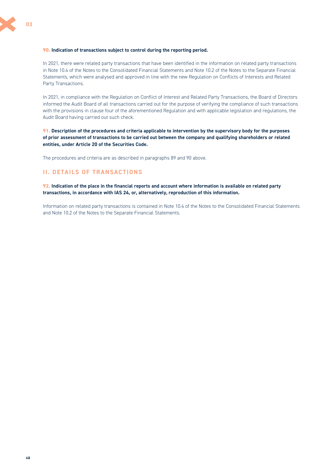#### <span id="page-47-0"></span>**90. Indication of transactions subject to control during the reporting period.**

In 2021, there were related party transactions that have been identified in the information on related party transactions in Note 10.4 of the Notes to the Consolidated Financial Statements and Note 10.2 of the Notes to the Separate Financial Statements, which were analysed and approved in line with the new Regulation on Conflicts of Interests and Related Party Transactions.

In 2021, in compliance with the Regulation on Conflict of Interest and Related Party Transactions, the Board of Directors informed the Audit Board of all transactions carried out for the purpose of verifying the compliance of such transactions with the provisions in clause four of the aforementioned Regulation and with applicable legislation and regulations, the Audit Board having carried out such check.

**91. Description of the procedures and criteria applicable to intervention by the supervisory body for the purposes of prior assessment of transactions to be carried out between the company and qualifying shareholders or related entities, under Article 20 of the Securities Code.** 

The procedures and criteria are as described in paragraphs 89 and 90 above.

# **II. DETAILS OF TRANSACTIONS**

**92. Indication of the place in the financial reports and account where information is available on related party transactions, in accordance with IAS 24, or, alternatively, reproduction of this information.** 

Information on related party transactions is contained in Note 10.4 of the Notes to the Consolidated Financial Statements and Note 10.2 of the Notes to the Separate Financial Statements.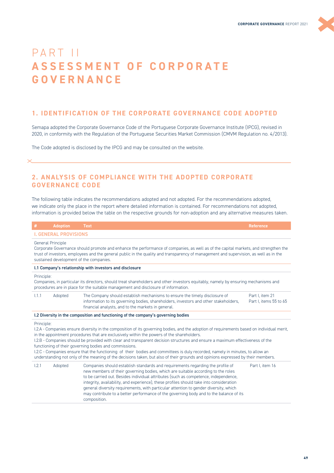# <span id="page-48-0"></span>PART II **A S S E S S M E N T O F C O R P O R A T E GOVERNANCE**

# **1. IDENTIFICATION OF THE CORPORATE GOVERNANCE CODE ADOPTED**

Semapa adopted the Corporate Governance Code of the Portuguese Corporate Governance Institute (IPCG), revised in 2020, in conformity with the Regulation of the Portuguese Securities Market Commission (CMVM Regulation no. 4/2013).

The Code adopted is disclosed by the IPCG and may be consulted on the website.

# **2. ANALYSIS OF COMPLIANCE WITH THE ADOPTED CORPORATE GOVERNANCE CODE**

The following table indicates the recommendations adopted and not adopted. For the recommendations adopted, we indicate only the place in the report where detailed information is contained. For recommendations not adopted, information is provided below the table on the respective grounds for non-adoption and any alternative measures taken.

| #          | <b>Adoption</b>              | <b>Text</b>                                                                                                                                                                                                                                                                                                                                                                                                                                                                                                                                                                                                                                                                                             | <b>Reference</b>                          |
|------------|------------------------------|---------------------------------------------------------------------------------------------------------------------------------------------------------------------------------------------------------------------------------------------------------------------------------------------------------------------------------------------------------------------------------------------------------------------------------------------------------------------------------------------------------------------------------------------------------------------------------------------------------------------------------------------------------------------------------------------------------|-------------------------------------------|
|            | <b>I. GENERAL PROVISIONS</b> |                                                                                                                                                                                                                                                                                                                                                                                                                                                                                                                                                                                                                                                                                                         |                                           |
|            | General Principle            | Corporate Governance should promote and enhance the performance of companies, as well as of the capital markets, and strengthen the<br>trust of investors, employees and the general public in the quality and transparency of management and supervision, as well as in the<br>sustained development of the companies.                                                                                                                                                                                                                                                                                                                                                                                 |                                           |
|            |                              | I.1 Company's relationship with investors and disclosure                                                                                                                                                                                                                                                                                                                                                                                                                                                                                                                                                                                                                                                |                                           |
| Principle: |                              | Companies, in particular its directors, should treat shareholders and other investors equitably, namely by ensuring mechanisms and<br>procedures are in place for the suitable management and disclosure of information.                                                                                                                                                                                                                                                                                                                                                                                                                                                                                |                                           |
| 1.1.1      | Adopted                      | The Company should establish mechanisms to ensure the timely disclosure of<br>information to its governing bodies, shareholders, investors and other stakeholders,<br>financial analysts, and to the markets in general.                                                                                                                                                                                                                                                                                                                                                                                                                                                                                | Part I. item 21<br>Part I. items 55 to 65 |
|            |                              | I.2 Diversity in the composition and functioning of the company's governing bodies                                                                                                                                                                                                                                                                                                                                                                                                                                                                                                                                                                                                                      |                                           |
| Principle: |                              | I.2.A - Companies ensure diversity in the composition of its governing bodies, and the adoption of requirements based on individual merit,<br>in the appointment procedures that are exclusively within the powers of the shareholders.<br>1.2.B - Companies should be provided with clear and transparent decision structures and ensure a maximum effectiveness of the<br>functioning of their governing bodies and commissions.<br>I.2.C - Companies ensure that the functioning of their bodies and committees is duly recorded, namely in minutes, to allow an<br>understanding not only of the meaning of the decisions taken, but also of their grounds and opinions expressed by their members. |                                           |
| 1.2.1      | Adopted                      | Companies should establish standards and requirements regarding the profile of<br>new members of their governing bodies, which are suitable according to the roles<br>to be carried out. Besides individual attributes (such as competence, independence,<br>integrity, availability, and experience), these profiles should take into consideration<br>general diversity requirements, with particular attention to gender diversity, which<br>may contribute to a better performance of the governing body and to the balance of its<br>composition.                                                                                                                                                  | Part I. item 16                           |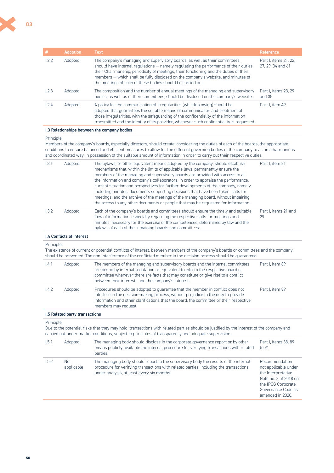| #          | <b>Adoption</b>                  | <b>Text</b>                                                                                                                                                                                                                                                                                                                                                                                                                                                                                                                                                                                                                                                                                    | <b>Reference</b>                                                                                                                                      |
|------------|----------------------------------|------------------------------------------------------------------------------------------------------------------------------------------------------------------------------------------------------------------------------------------------------------------------------------------------------------------------------------------------------------------------------------------------------------------------------------------------------------------------------------------------------------------------------------------------------------------------------------------------------------------------------------------------------------------------------------------------|-------------------------------------------------------------------------------------------------------------------------------------------------------|
| 1.2.2      | Adopted                          | The company's managing and supervisory boards, as well as their committees,<br>should have internal regulations - namely regulating the performance of their duties,<br>their Chairmanship, periodicity of meetings, their functioning and the duties of their<br>members - which shall be fully disclosed on the company's website, and minutes of<br>the meetings of each of these bodies should be carried out.                                                                                                                                                                                                                                                                             | Part I, items 21, 22,<br>27, 29, 34 and 61                                                                                                            |
| 1.2.3      | Adopted                          | The composition and the number of annual meetings of the managing and supervisory<br>bodies, as well as of their committees, should be disclosed on the company's website.                                                                                                                                                                                                                                                                                                                                                                                                                                                                                                                     | Part I, items 23, 29<br>and 35                                                                                                                        |
| 1.2.4      | Adopted                          | A policy for the communication of irregularities (whistleblowing) should be<br>adopted that quarantees the suitable means of communication and treatment of<br>those irregularities, with the safeguarding of the confidentiality of the information<br>transmitted and the identity of its provider, whenever such confidentiality is requested.                                                                                                                                                                                                                                                                                                                                              | Part I, item 49                                                                                                                                       |
|            |                                  | I.3 Relationships between the company bodies                                                                                                                                                                                                                                                                                                                                                                                                                                                                                                                                                                                                                                                   |                                                                                                                                                       |
| Principle: |                                  | Members of the company's boards, especially directors, should create, considering the duties of each of the boards, the appropriate<br>conditions to ensure balanced and efficient measures to allow for the different governing bodies of the company to act in a harmonious<br>and coordinated way, in possession of the suitable amount of information in order to carry out their respective duties.                                                                                                                                                                                                                                                                                       |                                                                                                                                                       |
| 1.3.1      | Adopted                          | The bylaws, or other equivalent means adopted by the company, should establish<br>mechanisms that, within the limits of applicable laws, permanently ensure the<br>members of the managing and supervisory boards are provided with access to all<br>the information and company's collaborators, in order to appraise the performance,<br>current situation and perspectives for further developments of the company, namely<br>including minutes, documents supporting decisions that have been taken, calls for<br>meetings, and the archive of the meetings of the managing board, without impairing<br>the access to any other documents or people that may be requested for information. | Part I, item 21                                                                                                                                       |
| 1.3.2      | Adopted                          | Each of the company's boards and committees should ensure the timely and suitable<br>flow of information, especially regarding the respective calls for meetings and<br>minutes, necessary for the exercise of the competences, determined by law and the<br>bylaws, of each of the remaining boards and committees.                                                                                                                                                                                                                                                                                                                                                                           | Part I, items 21 and<br>29                                                                                                                            |
|            | <b>I.4 Conflicts of interest</b> |                                                                                                                                                                                                                                                                                                                                                                                                                                                                                                                                                                                                                                                                                                |                                                                                                                                                       |
| Principle: |                                  | The existence of current or potential conflicts of interest, between members of the company's boards or committees and the company,<br>should be prevented. The non-interference of the conflicted member in the decision process should be guaranteed.                                                                                                                                                                                                                                                                                                                                                                                                                                        |                                                                                                                                                       |
| 1.4.1      | Adopted                          | The members of the managing and supervisory boards and the internal committees<br>are bound by internal regulation or equivalent to inform the respective board or<br>committee whenever there are facts that may constitute or give rise to a conflict<br>between their interests and the company's interest.                                                                                                                                                                                                                                                                                                                                                                                 | Part I, item 89                                                                                                                                       |
| 1.4.2      | Adopted                          | Procedures should be adopted to quarantee that the member in conflict does not<br>interfere in the decision-making process, without prejudice to the duty to provide<br>information and other clarifications that the board, the committee or their respective<br>members may request.                                                                                                                                                                                                                                                                                                                                                                                                         | Part I, item 89                                                                                                                                       |
|            | 1.5 Related party transactions   |                                                                                                                                                                                                                                                                                                                                                                                                                                                                                                                                                                                                                                                                                                |                                                                                                                                                       |
| Principle: |                                  | Due to the potential risks that they may hold, transactions with related parties should be justified by the interest of the company and<br>carried out under market conditions, subject to principles of transparency and adequate supervision.                                                                                                                                                                                                                                                                                                                                                                                                                                                |                                                                                                                                                       |
| 1.5.1      | Adopted                          | The managing body should disclose in the corporate governance report or by other<br>means publicly available the internal procedure for verifying transactions with related<br>parties.                                                                                                                                                                                                                                                                                                                                                                                                                                                                                                        | Part I, items 38, 89<br>to 91                                                                                                                         |
| 1.5.2      | <b>Not</b><br>applicable         | The managing body should report to the supervisory body the results of the internal<br>procedure for verifying transactions with related parties, including the transactions<br>under analysis, at least every six months.                                                                                                                                                                                                                                                                                                                                                                                                                                                                     | Recommendation<br>not applicable under<br>the Interpretative<br>Note no. 3 of 2018 on<br>the IPCG Corporate<br>Governance Code as<br>amended in 2020. |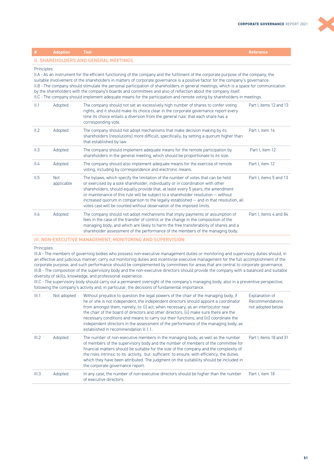| #                                                                                                                                                                                                                                                                                                                                                                                                                                                                                                                                                                                                                                                                           | <b>Adoption</b>          | <b>Text</b>                                                                                                                                                                                                                                                                                                                                                                                                                                                                                                     | <b>Reference</b>        |  |
|-----------------------------------------------------------------------------------------------------------------------------------------------------------------------------------------------------------------------------------------------------------------------------------------------------------------------------------------------------------------------------------------------------------------------------------------------------------------------------------------------------------------------------------------------------------------------------------------------------------------------------------------------------------------------------|--------------------------|-----------------------------------------------------------------------------------------------------------------------------------------------------------------------------------------------------------------------------------------------------------------------------------------------------------------------------------------------------------------------------------------------------------------------------------------------------------------------------------------------------------------|-------------------------|--|
| <b>II. SHAREHOLDERS AND GENERAL MEETINGS</b>                                                                                                                                                                                                                                                                                                                                                                                                                                                                                                                                                                                                                                |                          |                                                                                                                                                                                                                                                                                                                                                                                                                                                                                                                 |                         |  |
| Principles:<br>II.A - As an instrument for the efficient functioning of the company and the fulfilment of the corporate purpose of the company, the<br>suitable involvement of the shareholders in matters of corporate governance is a positive factor for the company's governance.<br>II.B - The company should stimulate the personal participation of shareholders in general meetings, which is a space for communication<br>by the shareholders with the company's boards and committees and also of reflection about the company itself.<br>II.C - The company should implement adequate means for the participation and remote voting by shareholders in meetings. |                          |                                                                                                                                                                                                                                                                                                                                                                                                                                                                                                                 |                         |  |
| II.1                                                                                                                                                                                                                                                                                                                                                                                                                                                                                                                                                                                                                                                                        | Adopted                  | The company should not set an excessively high number of shares to confer voting<br>rights, and it should make its choice clear in the corporate governance report every<br>time its choice entails a diversion from the general rule: that each share has a<br>corresponding vote.                                                                                                                                                                                                                             | Part I. items 12 and 13 |  |
| II.2                                                                                                                                                                                                                                                                                                                                                                                                                                                                                                                                                                                                                                                                        | Adopted                  | The company should not adopt mechanisms that make decision making by its<br>shareholders (resolutions) more difficult, specifically, by setting a quorum higher than<br>that established by law.                                                                                                                                                                                                                                                                                                                | Part I, item 14         |  |
| II.3                                                                                                                                                                                                                                                                                                                                                                                                                                                                                                                                                                                                                                                                        | Adopted                  | The company should implement adequate means for the remote participation by<br>shareholders in the general meeting, which should be proportionate to its size.                                                                                                                                                                                                                                                                                                                                                  | Part I. item 12         |  |
| II.4                                                                                                                                                                                                                                                                                                                                                                                                                                                                                                                                                                                                                                                                        | Adopted                  | The company should also implement adequate means for the exercise of remote<br>voting, including by correspondence and electronic means.                                                                                                                                                                                                                                                                                                                                                                        | Part I, item 12         |  |
| II.5                                                                                                                                                                                                                                                                                                                                                                                                                                                                                                                                                                                                                                                                        | <b>Not</b><br>applicable | The bylaws, which specify the limitation of the number of votes that can be held<br>or exercised by a sole shareholder, individually or in coordination with other<br>shareholders, should equally provide that, at least every 5 years, the amendment<br>or maintenance of this rule will be subject to a shareholder resolution - without<br>increased quorum in comparison to the legally established - and in that resolution, all<br>votes cast will be counted without observation of the imposed limits. | Part I. items 5 and 13  |  |
| II.6                                                                                                                                                                                                                                                                                                                                                                                                                                                                                                                                                                                                                                                                        | Adopted                  | The company should not adopt mechanisms that imply payments or assumption of<br>fees in the case of the transfer of control or the change in the composition of the<br>managing body, and which are likely to harm the free transferability of shares and a<br>shareholder assessment of the performance of the members of the managing body.                                                                                                                                                                   | Part I. items 4 and 84  |  |

#### III. NON-EXECUTIVE MANAGEMENT, MONITORING AND SUPERVISION

Principles:

III.A - The members of governing bodies who possess non-executive management duties or monitoring and supervisory duties should, in an effective and judicious manner, carry out monitoring duties and incentivise executive management for the full accomplishment of the corporate purpose, and such performance should be complemented by committees for areas that are central to corporate governance. III.B - The composition of the supervisory body and the non-executive directors should provide the company with a balanced and suitable diversity of skills, knowledge, and professional experience.

III.C - The supervisory body should carry out a permanent oversight of the company's managing body, also in a preventive perspective, following the company's activity and, in particular, the decisions of fundamental importance.

| III.1 | Not adopted | Without prejudice to question the legal powers of the chair of the managing body, if<br>he or she is not independent, the independent directors should appoint a coordinator<br>from amongst them, namely, to: (i) act, when necessary, as an interlocutor near<br>the chair of the board of directors and other directors, (ii) make sure there are the<br>necessary conditions and means to carry out their functions, and (iii) coordinate the<br>independent directors in the assessment of the performance of the managing body, as<br>established in recommendation V.1.1. | Explanation of<br>Recommendations<br>not adopted below |
|-------|-------------|----------------------------------------------------------------------------------------------------------------------------------------------------------------------------------------------------------------------------------------------------------------------------------------------------------------------------------------------------------------------------------------------------------------------------------------------------------------------------------------------------------------------------------------------------------------------------------|--------------------------------------------------------|
| III.2 | Adopted     | The number of non-executive members in the managing body, as well as the number<br>of members of the supervisory body and the number of members of the committee for<br>financial matters should be suitable for the size of the company and the complexity of<br>the risks intrinsic to its activity, but sufficient to ensure, with efficiency, the duties<br>which they have been attributed. The judgment on the suitability should be included in<br>the corporate governance report.                                                                                       | Part I. items 18 and 31                                |
| III.3 | Adopted     | In any case, the number of non-executive directors should be higher than the number<br>of executive directors.                                                                                                                                                                                                                                                                                                                                                                                                                                                                   | Part I. item 18                                        |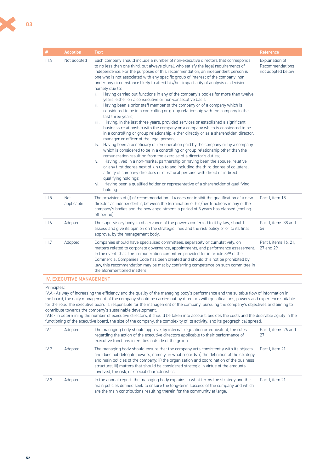| #     | <b>Adoption</b>          | <b>Text</b>                                                                                                                                                                                                                                                                                                                                                                                                                                                                                                                                                                                                                                                                                                                                                                                                                                                                                                                                                                                                                                                                                                                                                                                                                                                                                                                                                                                                                                                                                                                                                                                                                                                                                                                                                  | <b>Reference</b>                                       |
|-------|--------------------------|--------------------------------------------------------------------------------------------------------------------------------------------------------------------------------------------------------------------------------------------------------------------------------------------------------------------------------------------------------------------------------------------------------------------------------------------------------------------------------------------------------------------------------------------------------------------------------------------------------------------------------------------------------------------------------------------------------------------------------------------------------------------------------------------------------------------------------------------------------------------------------------------------------------------------------------------------------------------------------------------------------------------------------------------------------------------------------------------------------------------------------------------------------------------------------------------------------------------------------------------------------------------------------------------------------------------------------------------------------------------------------------------------------------------------------------------------------------------------------------------------------------------------------------------------------------------------------------------------------------------------------------------------------------------------------------------------------------------------------------------------------------|--------------------------------------------------------|
| III.4 | Not adopted              | Each company should include a number of non-executive directors that corresponds<br>to no less than one third, but always plural, who satisfy the legal requirements of<br>independence. For the purposes of this recommendation, an independent person is<br>one who is not associated with any specific group of interest of the company, nor<br>under any circumstance likely to affect his/her impartiality of analysis or decision,<br>namely due to:<br>i. Having carried out functions in any of the company's bodies for more than twelve<br>years, either on a consecutive or non-consecutive basis;<br>ii. Having been a prior staff member of the company or of a company which is<br>considered to be in a controlling or group relationship with the company in the<br>last three years;<br>Having, in the last three years, provided services or established a significant<br>iii.<br>business relationship with the company or a company which is considered to be<br>in a controlling or group relationship, either directly or as a shareholder, director,<br>manager or officer of the legal person;<br>iv. Having been a beneficiary of remuneration paid by the company or by a company<br>which is considered to be in a controlling or group relationship other than the<br>remuneration resulting from the exercise of a director's duties;<br>Having lived in a non-marital partnership or having been the spouse, relative<br>v.<br>or any first degree next of kin up to and including the third degree of collateral<br>affinity of company directors or of natural persons with direct or indirect<br>qualifying holdings;<br>Having been a qualified holder or representative of a shareholder of qualifying<br>vi.<br>holding. | Explanation of<br>Recommendations<br>not adopted below |
| III.5 | <b>Not</b><br>applicable | The provisions of (i) of recommendation III.4 does not inhibit the qualification of a new<br>director as independent if, between the termination of his/her functions in any of the<br>company's bodies and the new appointment, a period of 3 years has elapsed (cooling-<br>off period).                                                                                                                                                                                                                                                                                                                                                                                                                                                                                                                                                                                                                                                                                                                                                                                                                                                                                                                                                                                                                                                                                                                                                                                                                                                                                                                                                                                                                                                                   | Part I, item 18                                        |
| III.6 | Adopted                  | The supervisory body, in observance of the powers conferred to it by law, should<br>assess and give its opinion on the strategic lines and the risk policy prior to its final<br>approval by the management body.                                                                                                                                                                                                                                                                                                                                                                                                                                                                                                                                                                                                                                                                                                                                                                                                                                                                                                                                                                                                                                                                                                                                                                                                                                                                                                                                                                                                                                                                                                                                            | Part I. items 38 and<br>54                             |
| III.7 | Adopted                  | Companies should have specialised committees, separately or cumulatively, on<br>matters related to corporate governance, appointments, and performance assessment.<br>In the event that the remuneration committee provided for in article 399 of the<br>Commercial Companies Code has been created and should this not be prohibited by<br>law, this recommendation may be met by conferring competence on such committee in<br>the aforementioned matters.                                                                                                                                                                                                                                                                                                                                                                                                                                                                                                                                                                                                                                                                                                                                                                                                                                                                                                                                                                                                                                                                                                                                                                                                                                                                                                 | Part I, items 16, 21,<br>27 and 29                     |

#### IV. EXECUTIVE MANAGEMENT

#### Principles:

IV.A - As way of increasing the efficiency and the quality of the managing body's performance and the suitable flow of information in the board, the daily management of the company should be carried out by directors with qualifications, powers and experience suitable for the role. The executive board is responsible for the management of the company, pursuing the company's objectives and aiming to contribute towards the company's sustainable development.

IV.B - In determining the number of executive directors, it should be taken into account, besides the costs and the desirable agility in the functioning of the executive board, the size of the company, the complexity of its activity, and its geographical spread.

| IV.1 | Adopted | The managing body should approve, by internal regulation or equivalent, the rules<br>regarding the action of the executive directors applicable to their performance of<br>executive functions in entities outside of the group.                                                                                                                                                                                      | Part I, items 26 and<br>27 |
|------|---------|-----------------------------------------------------------------------------------------------------------------------------------------------------------------------------------------------------------------------------------------------------------------------------------------------------------------------------------------------------------------------------------------------------------------------|----------------------------|
| IV.2 | Adopted | The managing body should ensure that the company acts consistently with its objects<br>and does not delegate powers, namely, in what regards: i) the definition of the strategy<br>and main policies of the company; ii) the organisation and coordination of the business<br>structure; iii) matters that should be considered strategic in virtue of the amounts<br>involved, the risk, or special characteristics. | Part I, item 21            |
| IV.3 | Adopted | In the annual report, the managing body explains in what terms the strategy and the<br>main policies defined seek to ensure the long-term success of the company and which<br>are the main contributions resulting therein for the community at large.                                                                                                                                                                | Part I. item 21            |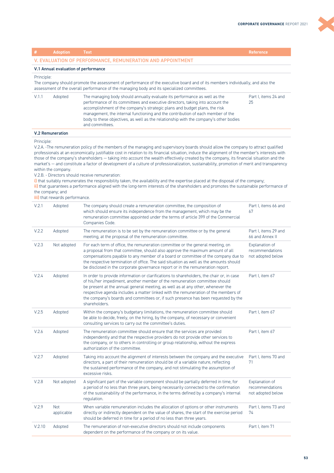K

|                                                                                                                                                                                                                                                                                                                                                                                                                                                                                                                                                                                                                                                                                                                                                                                                                                                                                                                                                                                                                   | <b>Adoption</b>          | Text                                                                                                                                                                                                                                                                                                                                                                                                                                                   | <b>Reference</b>                                       |  |
|-------------------------------------------------------------------------------------------------------------------------------------------------------------------------------------------------------------------------------------------------------------------------------------------------------------------------------------------------------------------------------------------------------------------------------------------------------------------------------------------------------------------------------------------------------------------------------------------------------------------------------------------------------------------------------------------------------------------------------------------------------------------------------------------------------------------------------------------------------------------------------------------------------------------------------------------------------------------------------------------------------------------|--------------------------|--------------------------------------------------------------------------------------------------------------------------------------------------------------------------------------------------------------------------------------------------------------------------------------------------------------------------------------------------------------------------------------------------------------------------------------------------------|--------------------------------------------------------|--|
|                                                                                                                                                                                                                                                                                                                                                                                                                                                                                                                                                                                                                                                                                                                                                                                                                                                                                                                                                                                                                   |                          | V. EVALUATION OF PERFORMANCE, REMUNERATION AND APPOINTMENT                                                                                                                                                                                                                                                                                                                                                                                             |                                                        |  |
| V.1 Annual evaluation of performance                                                                                                                                                                                                                                                                                                                                                                                                                                                                                                                                                                                                                                                                                                                                                                                                                                                                                                                                                                              |                          |                                                                                                                                                                                                                                                                                                                                                                                                                                                        |                                                        |  |
| Principle:<br>The company should promote the assessment of performance of the executive board and of its members individually, and also the<br>assessment of the overall performance of the managing body and its specialized committees.                                                                                                                                                                                                                                                                                                                                                                                                                                                                                                                                                                                                                                                                                                                                                                         |                          |                                                                                                                                                                                                                                                                                                                                                                                                                                                        |                                                        |  |
| V.1.1                                                                                                                                                                                                                                                                                                                                                                                                                                                                                                                                                                                                                                                                                                                                                                                                                                                                                                                                                                                                             | Adopted                  | The managing body should annually evaluate its performance as well as the<br>performance of its committees and executive directors, taking into account the<br>accomplishment of the company's strategic plans and budget plans, the risk<br>management, the internal functioning and the contribution of each member of the<br>body to these objectives, as well as the relationship with the company's other bodies<br>and committees.               | Part I, items 24 and<br>25                             |  |
|                                                                                                                                                                                                                                                                                                                                                                                                                                                                                                                                                                                                                                                                                                                                                                                                                                                                                                                                                                                                                   | <b>V.2 Remuneration</b>  |                                                                                                                                                                                                                                                                                                                                                                                                                                                        |                                                        |  |
| Principle:<br>V.2.A. -The remuneration policy of the members of the managing and supervisory boards should allow the company to attract qualified<br>professionals at an economically justifiable cost in relation to its financial situation, induce the alignment of the member's interests with<br>those of the company's shareholders - taking into account the wealth effectively created by the company, its financial situation and the<br>market's - and constitute a factor of development of a culture of professionalization, sustainability, promotion of merit and transparency<br>within the company.<br>V.2.B. - Directors should receive remuneration:<br>i) that suitably remunerates the responsibility taken, the availability and the expertise placed at the disposal of the company;<br>ii) that guarantees a performance aligned with the long-term interests of the shareholders and promotes the sustainable performance of<br>the company; and<br><b>iii)</b> that rewards performance. |                          |                                                                                                                                                                                                                                                                                                                                                                                                                                                        |                                                        |  |
| V.2.1                                                                                                                                                                                                                                                                                                                                                                                                                                                                                                                                                                                                                                                                                                                                                                                                                                                                                                                                                                                                             | Adopted                  | The company should create a remuneration committee, the composition of<br>which should ensure its independence from the management, which may be the<br>remuneration committee appointed under the terms of article 399 of the Commercial<br>Companies Code.                                                                                                                                                                                           | Part I, items 66 and<br>67                             |  |
| V.2.2                                                                                                                                                                                                                                                                                                                                                                                                                                                                                                                                                                                                                                                                                                                                                                                                                                                                                                                                                                                                             | Adopted                  | The remuneration is to be set by the remuneration committee or by the general<br>meeting, at the proposal of the remuneration committee.                                                                                                                                                                                                                                                                                                               | Part I, items 29 and<br>66 and Annex II                |  |
| V.2.3                                                                                                                                                                                                                                                                                                                                                                                                                                                                                                                                                                                                                                                                                                                                                                                                                                                                                                                                                                                                             | Not adopted              | For each term of office, the remuneration committee or the general meeting, on<br>a proposal from that committee, should also approve the maximum amount of all<br>compensations payable to any member of a board or committee of the company due to<br>the respective termination of office. The said situation as well as the amounts should<br>be disclosed in the corporate governance report or in the remuneration report.                       | Explanation of<br>recommendations<br>not adopted below |  |
| V.2.4                                                                                                                                                                                                                                                                                                                                                                                                                                                                                                                                                                                                                                                                                                                                                                                                                                                                                                                                                                                                             | Adopted                  | In order to provide information or clarifications to shareholders, the chair or, in case<br>of his/her impediment, another member of the remuneration committee should<br>be present at the annual general meeting, as well as at any other, whenever the<br>respective agenda includes a matter linked with the remuneration of the members of<br>the company's boards and committees or, if such presence has been requested by the<br>shareholders. | Part I, item 67                                        |  |
| V.2.5                                                                                                                                                                                                                                                                                                                                                                                                                                                                                                                                                                                                                                                                                                                                                                                                                                                                                                                                                                                                             | Adopted                  | Within the company's budgetary limitations, the remuneration committee should<br>be able to decide, freely, on the hiring, by the company, of necessary or convenient<br>consulting services to carry out the committee's duties.                                                                                                                                                                                                                      | Part I, item 67                                        |  |
| V.2.6                                                                                                                                                                                                                                                                                                                                                                                                                                                                                                                                                                                                                                                                                                                                                                                                                                                                                                                                                                                                             | Adopted                  | The remuneration committee should ensure that the services are provided<br>independently and that the respective providers do not provide other services to<br>the company, or to others in controlling or group relationship, without the express<br>authorization of the committee.                                                                                                                                                                  | Part I, item 67                                        |  |
| V.2.7                                                                                                                                                                                                                                                                                                                                                                                                                                                                                                                                                                                                                                                                                                                                                                                                                                                                                                                                                                                                             | Adopted                  | Taking into account the alignment of interests between the company and the executive<br>directors, a part of their remuneration should be of a variable nature, reflecting<br>the sustained performance of the company, and not stimulating the assumption of<br>excessive risks.                                                                                                                                                                      | Part I, items 70 and<br>71                             |  |
| V.2.8                                                                                                                                                                                                                                                                                                                                                                                                                                                                                                                                                                                                                                                                                                                                                                                                                                                                                                                                                                                                             | Not adopted              | A significant part of the variable component should be partially deferred in time, for<br>a period of no less than three years, being necessarily connected to the confirmation<br>of the sustainability of the performance, in the terms defined by a company's internal<br>regulation.                                                                                                                                                               | Explanation of<br>recommendations<br>not adopted below |  |
| V.2.9                                                                                                                                                                                                                                                                                                                                                                                                                                                                                                                                                                                                                                                                                                                                                                                                                                                                                                                                                                                                             | <b>Not</b><br>applicable | When variable remuneration includes the allocation of options or other instruments<br>directly or indirectly dependent on the value of shares, the start of the exercise period<br>should be deferred in time for a period of no less than three years.                                                                                                                                                                                                | Part I, items 73 and<br>74                             |  |
| V.2.10                                                                                                                                                                                                                                                                                                                                                                                                                                                                                                                                                                                                                                                                                                                                                                                                                                                                                                                                                                                                            | Adopted                  | The remuneration of non-executive directors should not include components<br>dependent on the performance of the company or on its value.                                                                                                                                                                                                                                                                                                              | Part I, item 71                                        |  |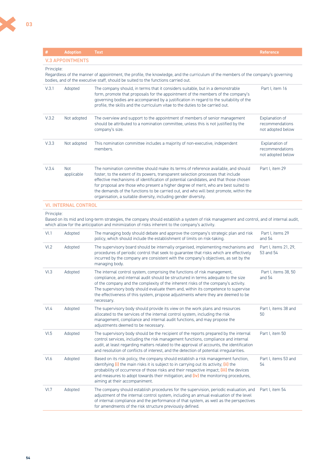X

| #          | <b>Adoption</b>             | <b>Text</b>                                                                                                                                                                                                                                                                                                                                                                                                                                                                                                        | <b>Reference</b>                                       |
|------------|-----------------------------|--------------------------------------------------------------------------------------------------------------------------------------------------------------------------------------------------------------------------------------------------------------------------------------------------------------------------------------------------------------------------------------------------------------------------------------------------------------------------------------------------------------------|--------------------------------------------------------|
|            | <b>V.3 APPOINTMENTS</b>     |                                                                                                                                                                                                                                                                                                                                                                                                                                                                                                                    |                                                        |
| Principle: |                             | Regardless of the manner of appointment, the profile, the knowledge, and the curriculum of the members of the company's governing<br>bodies, and of the executive staff, should be suited to the functions carried out.                                                                                                                                                                                                                                                                                            |                                                        |
| V.3.1      | Adopted                     | The company should, in terms that it considers suitable, but in a demonstrable<br>form, promote that proposals for the appointment of the members of the company's<br>governing bodies are accompanied by a justification in regard to the suitability of the<br>profile, the skills and the curriculum vitae to the duties to be carried out.                                                                                                                                                                     | Part I, item 16                                        |
| V.3.2      | Not adopted                 | The overview and support to the appointment of members of senior management<br>should be attributed to a nomination committee, unless this is not justified by the<br>company's size.                                                                                                                                                                                                                                                                                                                              | Explanation of<br>recommendations<br>not adopted below |
| V.3.3      | Not adopted                 | This nomination committee includes a majority of non-executive, independent<br>members.                                                                                                                                                                                                                                                                                                                                                                                                                            | Explanation of<br>recommendations<br>not adopted below |
| V.3.4      | <b>Not</b><br>applicable    | The nomination committee should make its terms of reference available, and should<br>foster, to the extent of its powers, transparent selection processes that include<br>effective mechanisms of identification of potential candidates, and that those chosen<br>for proposal are those who present a higher degree of merit, who are best suited to<br>the demands of the functions to be carried out, and who will best promote, within the<br>organisation, a suitable diversity, including gender diversity. | Part I, item 29                                        |
|            | <b>VI. INTERNAL CONTROL</b> |                                                                                                                                                                                                                                                                                                                                                                                                                                                                                                                    |                                                        |
| Principle: |                             | Based on its mid and long-term strategies, the company should establish a system of risk management and control, and of internal audit,<br>which allow for the anticipation and minimization of risks inherent to the company's activity.                                                                                                                                                                                                                                                                          |                                                        |
| VI.1       | Adopted                     | The managing body should debate and approve the company's strategic plan and risk<br>policy, which should include the establishment of limits on risk-taking.                                                                                                                                                                                                                                                                                                                                                      | Part I, items 29<br>and $54$                           |
| VI.2       | Adopted                     | The supervisory board should be internally organised, implementing mechanisms and<br>procedures of periodic control that seek to quarantee that risks which are effectively<br>incurred by the company are consistent with the company's objectives, as set by the<br>managing body.                                                                                                                                                                                                                               | Part I, items 21, 29,<br>53 and 54                     |
| VI.3       | Adopted                     | The internal control system, comprising the functions of risk management,<br>compliance, and internal audit should be structured in terms adequate to the size<br>of the company and the complexity of the inherent risks of the company's activity.<br>The supervisory body should evaluate them and, within its competence to supervise<br>the effectiveness of this system, propose adjustments where they are deemed to be<br>necessary.                                                                       | Part I, items 38, 50<br>and $54$                       |
| VI.4       | Adopted                     | The supervisory body should provide its view on the work plans and resources<br>allocated to the services of the internal control system, including the risk<br>management, compliance and internal audit functions, and may propose the<br>adjustments deemed to be necessary.                                                                                                                                                                                                                                    | Part I, items 38 and<br>50                             |
| VI.5       | Adopted                     | The supervisory body should be the recipient of the reports prepared by the internal<br>control services, including the risk management functions, compliance and internal<br>audit, at least regarding matters related to the approval of accounts, the identification<br>and resolution of conflicts of interest, and the detection of potential irregularities.                                                                                                                                                 | Part I, item 50                                        |
| VI.6       | Adopted                     | Based on its risk policy, the company should establish a risk management function,<br>identifying (i) the main risks it is subject to in carrying out its activity; (ii) the<br>probability of occurrence of those risks and their respective impact; (iii) the devices<br>and measures to adopt towards their mitigation; and $(iv)$ the monitoring procedures,<br>aiming at their accompaniment.                                                                                                                 | Part I, items 53 and<br>54                             |
| VI.7       | Adopted                     | The company should establish procedures for the supervision, periodic evaluation, and<br>adjustment of the internal control system, including an annual evaluation of the level<br>of internal compliance and the performance of that system, as well as the perspectives<br>for amendments of the risk structure previously defined.                                                                                                                                                                              | Part I, item 54                                        |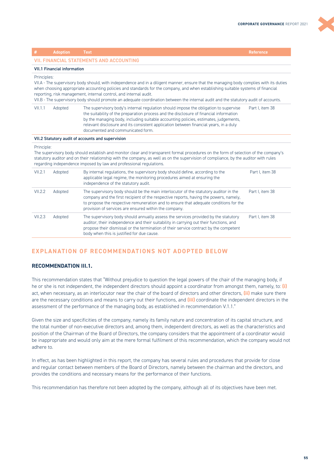|                                                                                                                                                                                                                                                                                                                                                                                                                                                                                                         | <b>Adoption</b>                    | <b>Text</b>                                                                                                                                                                                                                                                                                                                                                                                          | Reference       |  |
|---------------------------------------------------------------------------------------------------------------------------------------------------------------------------------------------------------------------------------------------------------------------------------------------------------------------------------------------------------------------------------------------------------------------------------------------------------------------------------------------------------|------------------------------------|------------------------------------------------------------------------------------------------------------------------------------------------------------------------------------------------------------------------------------------------------------------------------------------------------------------------------------------------------------------------------------------------------|-----------------|--|
|                                                                                                                                                                                                                                                                                                                                                                                                                                                                                                         |                                    | <b>VII. FINANCIAL STATEMENTS AND ACCOUNTING</b>                                                                                                                                                                                                                                                                                                                                                      |                 |  |
|                                                                                                                                                                                                                                                                                                                                                                                                                                                                                                         | <b>VII.1 Financial information</b> |                                                                                                                                                                                                                                                                                                                                                                                                      |                 |  |
| Principles:<br>VII.A - The supervisory body should, with independence and in a diligent manner, ensure that the managing body complies with its duties<br>when choosing appropriate accounting policies and standards for the company, and when establishing suitable systems of financial<br>reporting, risk management, internal control, and internal audit.<br>VII.B - The supervisory body should promote an adequate coordination between the internal audit and the statutory audit of accounts. |                                    |                                                                                                                                                                                                                                                                                                                                                                                                      |                 |  |
| VII.1.1                                                                                                                                                                                                                                                                                                                                                                                                                                                                                                 | Adopted                            | The supervisory body's internal regulation should impose the obligation to supervise<br>the suitability of the preparation process and the disclosure of financial information<br>by the managing body, including suitable accounting policies, estimates, judgements,<br>relevant disclosure and its consistent application between financial years, in a duly<br>documented and communicated form. | Part I. item 38 |  |
|                                                                                                                                                                                                                                                                                                                                                                                                                                                                                                         |                                    | VII.2 Statutory audit of accounts and supervision                                                                                                                                                                                                                                                                                                                                                    |                 |  |
| Principle:<br>The supervisory body should establish and monitor clear and transparent formal procedures on the form of selection of the company's<br>statutory auditor and on their relationship with the company, as well as on the supervision of compliance, by the auditor with rules<br>regarding independence imposed by law and professional regulations.                                                                                                                                        |                                    |                                                                                                                                                                                                                                                                                                                                                                                                      |                 |  |
| VII.2.1                                                                                                                                                                                                                                                                                                                                                                                                                                                                                                 | Adopted                            | By internal regulations, the supervisory body should define, according to the<br>applicable legal regime, the monitoring procedures aimed at ensuring the<br>independence of the statutory audit.                                                                                                                                                                                                    | Part I. item 38 |  |
| VII.2.2                                                                                                                                                                                                                                                                                                                                                                                                                                                                                                 | Adopted                            | The supervisory body should be the main interlocutor of the statutory auditor in the<br>company and the first recipient of the respective reports, having the powers, namely,<br>to propose the respective remuneration and to ensure that adequate conditions for the<br>provision of services are ensured within the company.                                                                      | Part I. item 38 |  |
| VII.2.3                                                                                                                                                                                                                                                                                                                                                                                                                                                                                                 | Adopted                            | The supervisory body should annually assess the services provided by the statutory<br>auditor, their independence and their suitability in carrying out their functions, and<br>propose their dismissal or the termination of their service contract by the competent<br>body when this is justified for due cause.                                                                                  | Part I. item 38 |  |

# **EXPLANATION OF RECOMMENDATIONS NOT ADOPTED BELOW**

# **RECOMMENDATION III.1.**

This recommendation states that "Without prejudice to question the legal powers of the chair of the managing body, if he or she is not independent, the independent directors should appoint a coordinator from amongst them, namely, to: **(i)** act, when necessary, as an interlocutor near the chair of the board of directors and other directors, **(ii)** make sure there are the necessary conditions and means to carry out their functions, and **(iii)** coordinate the independent directors in the assessment of the performance of the managing body, as established in recommendation V.1.1."

Given the size and specificities of the company, namely its family nature and concentration of its capital structure, and the total number of non-executive directors and, among them, independent directors, as well as the characteristics and position of the Chairman of the Board of Directors, the company considers that the appointment of a coordinator would be inappropriate and would only aim at the mere formal fulfilment of this recommendation, which the company would not adhere to.

In effect, as has been highlighted in this report, the company has several rules and procedures that provide for close and regular contact between members of the Board of Directors, namely between the chairman and the directors, and provides the conditions and necessary means for the performance of their functions.

This recommendation has therefore not been adopted by the company, although all of its objectives have been met.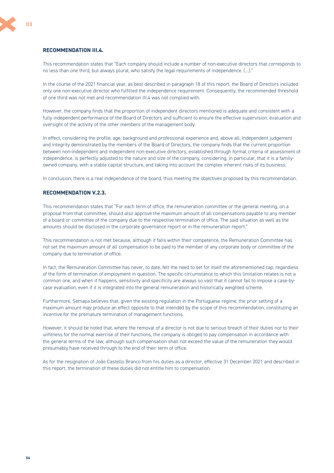#### **RECOMMENDATION III.4.**

This recommendation states that "Each company should include a number of non-executive directors that corresponds to no less than one third, but always plural, who satisfy the legal requirements of independence. (…)."

In the course of the 2021 financial year, as best described in paragraph 18 of this report, the Board of Directors included only one non-executive director who fulfilled the independence requirement. Consequently, the recommended threshold of one third was not met and recommendation III.4 was not complied with.

However, the company finds that the proportion of independent directors mentioned is adequate and consistent with a fully independent performance of the Board of Directors and sufficient to ensure the effective supervision, evaluation and oversight of the activity of the other members of the management body.

In effect, considering the profile, age, background and professional experience and, above all, independent judgement and integrity demonstrated by the members of the Board of Directors, the company finds that the current proportion between non-independent and independent non-executive directors, established through formal criteria of assessment of independence, is perfectly adjusted to the nature and size of the company, considering, in particular, that it is a familyowned company, with a stable capital structure, and taking into account the complex inherent risks of its business.

In conclusion, there is a real independence of the board, thus meeting the objectives proposed by this recommendation.

#### **RECOMMENDATION V.2.3.**

This recommendation states that "For each term of office, the remuneration committee or the general meeting, on a proposal from that committee, should also approve the maximum amount of all compensations payable to any member of a board or committee of the company due to the respective termination of office. The said situation as well as the amounts should be disclosed in the corporate governance report or in the remuneration report."

This recommendation is not met because, although it falls within their competence, the Remuneration Committee has not set the maximum amount of all compensation to be paid to the member of any corporate body or committee of the company due to termination of office.

In fact, the Remuneration Committee has never, to date, felt the need to set for itself the aforementioned cap, regardless of the form of termination of employment in question. The specific circumstance to which this limitation relates is not a common one, and when it happens, sensitivity and specificity are always so vast that it cannot fail to impose a case-bycase evaluation, even if it is integrated into the general remuneration and historically weighted scheme.

Furthermore, Semapa believes that, given the existing regulation in the Portuguese regime, the prior setting of a maximum amount may produce an effect opposite to that intended by the scope of this recommendation, constituting an incentive for the premature termination of management functions.

However, it should be noted that, where the removal of a director is not due to serious breach of their duties nor to their unfitness for the normal exercise of their functions, the company is obliged to pay compensation in accordance with the general terms of the law, although such compensation shall not exceed the value of the remuneration they would presumably have received through to the end of their term of office.

As for the resignation of João Castello Branco from his duties as a director, effective 31 December 2021 and described in this report, the termination of these duties did not entitle him to compensation.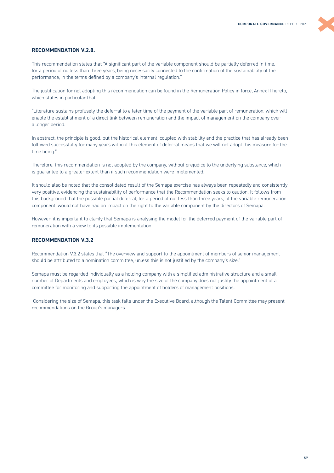#### **RECOMMENDATION V.2.8.**

This recommendation states that "A significant part of the variable component should be partially deferred in time, for a period of no less than three years, being necessarily connected to the confirmation of the sustainability of the performance, in the terms defined by a company's internal regulation."

The justification for not adopting this recommendation can be found in the Remuneration Policy in force, Annex II hereto, which states in particular that:

"Literature sustains profusely the deferral to a later time of the payment of the variable part of remuneration, which will enable the establishment of a direct link between remuneration and the impact of management on the company over a longer period.

In abstract, the principle is good, but the historical element, coupled with stability and the practice that has already been followed successfully for many years without this element of deferral means that we will not adopt this measure for the time being."

Therefore, this recommendation is not adopted by the company, without prejudice to the underlying substance, which is guarantee to a greater extent than if such recommendation were implemented.

It should also be noted that the consolidated result of the Semapa exercise has always been repeatedly and consistently very positive, evidencing the sustainability of performance that the Recommendation seeks to caution. It follows from this background that the possible partial deferral, for a period of not less than three years, of the variable remuneration component, would not have had an impact on the right to the variable component by the directors of Semapa.

However, it is important to clarify that Semapa is analysing the model for the deferred payment of the variable part of remuneration with a view to its possible implementation.

# **RECOMMENDATION V.3.2**

Recommendation V.3.2 states that "The overview and support to the appointment of members of senior management should be attributed to a nomination committee, unless this is not justified by the company's size."

Semapa must be regarded individually as a holding company with a simplified administrative structure and a small number of Departments and employees, which is why the size of the company does not justify the appointment of a committee for monitoring and supporting the appointment of holders of management positions.

 Considering the size of Semapa, this task falls under the Executive Board, although the Talent Committee may present recommendations on the Group's managers.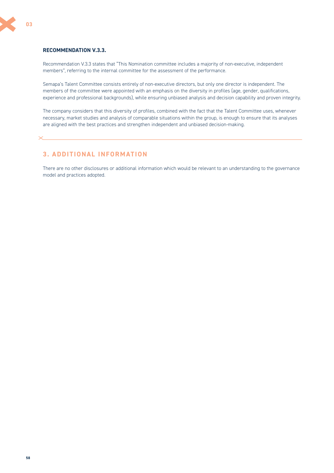# <span id="page-57-0"></span>**RECOMMENDATION V.3.3.**

Recommendation V.3.3 states that "This Nomination committee includes a majority of non-executive, independent members", referring to the internal committee for the assessment of the performance.

Semapa's Talent Committee consists entirely of non-executive directors, but only one director is independent. The members of the committee were appointed with an emphasis on the diversity in profiles (age, gender, qualifications, experience and professional backgrounds), while ensuring unbiased analysis and decision capability and proven integrity.

The company considers that this diversity of profiles, combined with the fact that the Talent Committee uses, whenever necessary, market studies and analysis of comparable situations within the group, is enough to ensure that its analyses are aligned with the best practices and strengthen independent and unbiased decision-making.

# **3. ADDITIONAL INFORMATION**

There are no other disclosures or additional information which would be relevant to an understanding to the governance model and practices adopted.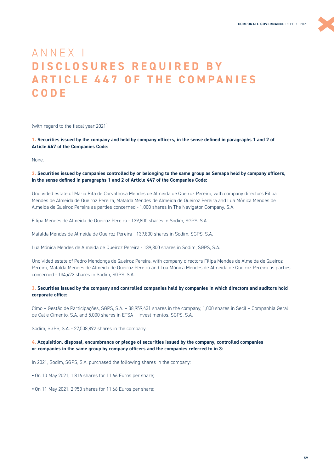

# <span id="page-58-0"></span>ANNEX I **DISCLOSURES REQUIRED BY ARTICLE 447 OF THE COMPANIES CODE**

(with regard to the fiscal year 2021)

**1. Securities issued by the company and held by company officers, in the sense defined in paragraphs 1 and 2 of Article 447 of the Companies Code:**

None.

#### **2. Securities issued by companies controlled by or belonging to the same group as Semapa held by company officers, in the sense defined in paragraphs 1 and 2 of Article 447 of the Companies Code:**

Undivided estate of Maria Rita de Carvalhosa Mendes de Almeida de Queiroz Pereira, with company directors Filipa Mendes de Almeida de Queiroz Pereira, Mafalda Mendes de Almeida de Queiroz Pereira and Lua Mónica Mendes de Almeida de Queiroz Pereira as parties concerned - 1,000 shares in The Navigator Company, S.A.

Filipa Mendes de Almeida de Queiroz Pereira ‐ 139,800 shares in Sodim, SGPS, S.A.

Mafalda Mendes de Almeida de Queiroz Pereira - 139,800 shares in Sodim, SGPS, S.A.

Lua Mónica Mendes de Almeida de Queiroz Pereira - 139,800 shares in Sodim, SGPS, S.A.

Undivided estate of Pedro Mendonça de Queiroz Pereira, with company directors Filipa Mendes de Almeida de Queiroz Pereira, Mafalda Mendes de Almeida de Queiroz Pereira and Lua Mónica Mendes de Almeida de Queiroz Pereira as parties concerned - 134,422 shares in Sodim, SGPS, S.A.

#### **3. Securities issued by the company and controlled companies held by companies in which directors and auditors hold corporate office:**

Cimo – Gestão de Participações, SGPS, S.A. – 38,959,431 shares in the company, 1,000 shares in Secil – Companhia Geral de Cal e Cimento, S.A. and 5,000 shares in ETSA – Investimentos, SGPS, S.A.

Sodim, SGPS, S.A. - 27,508,892 shares in the company.

#### **4. Acquisition, disposal, encumbrance or pledge of securities issued by the company, controlled companies or companies in the same group by company officers and the companies referred to in 3:**

In 2021, Sodim, SGPS, S.A. purchased the following shares in the company:

**-** On 10 May 2021, 1,816 shares for 11.66 Euros per share;

**-** On 11 May 2021, 2,953 shares for 11.66 Euros per share;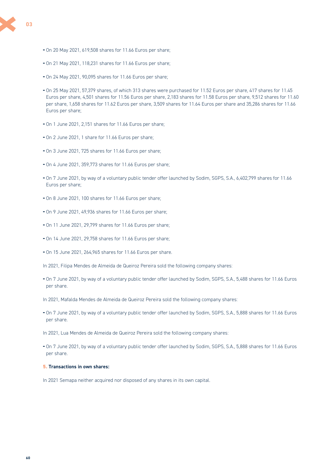

- **-** On 20 May 2021, 619,508 shares for 11.66 Euros per share;
- **-** On 21 May 2021, 118,231 shares for 11.66 Euros per share;
- **-** On 24 May 2021, 90,095 shares for 11.66 Euros per share;
- **-** On 25 May 2021, 57,379 shares, of which 313 shares were purchased for 11.52 Euros per share, 417 shares for 11.45 Euros per share, 4,501 shares for 11.56 Euros per share, 2,183 shares for 11.58 Euros per share, 9,512 shares for 11.60 per share, 1,658 shares for 11.62 Euros per share, 3,509 shares for 11.64 Euros per share and 35,286 shares for 11.66 Euros per share;
- **-** On 1 June 2021, 2,151 shares for 11.66 Euros per share;
- **-** On 2 June 2021, 1 share for 11.66 Euros per share;
- **-** On 3 June 2021, 725 shares for 11.66 Euros per share;
- **-** On 4 June 2021, 359,773 shares for 11.66 Euros per share;
- **-** On 7 June 2021, by way of a voluntary public tender offer launched by Sodim, SGPS, S.A., 6,402,799 shares for 11.66 Euros per share;
- **-** On 8 June 2021, 100 shares for 11.66 Euros per share;
- **-** On 9 June 2021, 49,936 shares for 11.66 Euros per share;
- **-** On 11 June 2021, 29,799 shares for 11.66 Euros per share;
- **-** On 14 June 2021, 29,758 shares for 11.66 Euros per share;
- **-** On 15 June 2021, 264,965 shares for 11.66 Euros per share.
- In 2021, Filipa Mendes de Almeida de Queiroz Pereira sold the following company shares:
- **-** On 7 June 2021, by way of a voluntary public tender offer launched by Sodim, SGPS, S.A., 5,488 shares for 11.66 Euros per share.
- In 2021, Mafalda Mendes de Almeida de Queiroz Pereira sold the following company shares:
- **-** On 7 June 2021, by way of a voluntary public tender offer launched by Sodim, SGPS, S.A., 5,888 shares for 11.66 Euros per share.
- In 2021, Lua Mendes de Almeida de Queiroz Pereira sold the following company shares:
- **-** On 7 June 2021, by way of a voluntary public tender offer launched by Sodim, SGPS, S.A., 5,888 shares for 11.66 Euros per share.

### **5. Transactions in own shares:**

In 2021 Semapa neither acquired nor disposed of any shares in its own capital.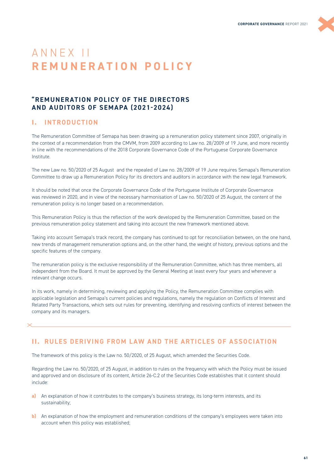

# <span id="page-60-0"></span>ANNEX II **R E M U N E R A T I O N P O L I C Y**

# **"REMUNERATION POLICY OF THE DIRECTORS AND AUDITORS OF SEMAPA (2021-2024)**

# **I. INTRODUCTION**

The Remuneration Committee of Semapa has been drawing up a remuneration policy statement since 2007, originally in the context of a recommendation from the CMVM, from 2009 according to Law no. 28/2009 of 19 June, and more recently in line with the recommendations of the 2018 Corporate Governance Code of the Portuguese Corporate Governance Institute.

The new Law no. 50/2020 of 25 August and the repealed of Law no. 28/2009 of 19 June requires Semapa's Remuneration Committee to draw up a Remuneration Policy for its directors and auditors in accordance with the new legal framework.

It should be noted that once the Corporate Governance Code of the Portuguese Institute of Corporate Governance was reviewed in 2020, and in view of the necessary harmonisation of Law no. 50/2020 of 25 August, the content of the remuneration policy is no longer based on a recommendation.

This Remuneration Policy is thus the reflection of the work developed by the Remuneration Committee, based on the previous remuneration policy statement and taking into account the new framework mentioned above.

Taking into account Semapa's track record, the company has continued to opt for reconciliation between, on the one hand, new trends of management remuneration options and, on the other hand, the weight of history, previous options and the specific features of the company.

The remuneration policy is the exclusive responsibility of the Remuneration Committee, which has three members, all independent from the Board. It must be approved by the General Meeting at least every four years and whenever a relevant change occurs.

In its work, namely in determining, reviewing and applying the Policy, the Remuneration Committee complies with applicable legislation and Semapa's current policies and regulations, namely the regulation on Conflicts of Interest and Related Party Transactions, which sets out rules for preventing, identifying and resolving conflicts of interest between the company and its managers.

# **II. RULES DERIVING FROM LAW AND THE ARTICLES OF ASSOCIATION**

The framework of this policy is the Law no. 50/2020, of 25 August, which amended the Securities Code.

Regarding the Law no. 50/2020, of 25 August, in addition to rules on the frequency with which the Policy must be issued and approved and on disclosure of its content, Article 26-C.2 of the Securities Code establishes that it content should include:

- **a)** An explanation of how it contributes to the company's business strategy, its long-term interests, and its sustainability;
- **b)** An explanation of how the employment and remuneration conditions of the company's employees were taken into account when this policy was established;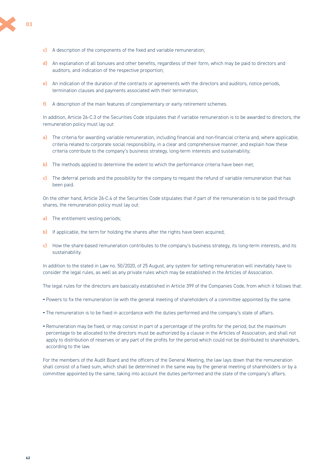- **c)** A description of the components of the fixed and variable remuneration;
- **d)** An explanation of all bonuses and other benefits, regardless of their form, which may be paid to directors and auditors, and indication of the respective proportion;
- **e)** An indication of the duration of the contracts or agreements with the directors and auditors, notice periods, termination clauses and payments associated with their termination;
- **f)** A description of the main features of complementary or early retirement schemes.

In addition, Article 26-C.3 of the Securities Code stipulates that if variable remuneration is to be awarded to directors, the remuneration policy must lay out:

- **a)** The criteria for awarding variable remuneration, including financial and non-financial criteria and, where applicable, criteria related to corporate social responsibility, in a clear and comprehensive manner, and explain how these criteria contribute to the company's business strategy, long-term interests and sustainability;
- **b)** The methods applied to determine the extent to which the performance criteria have been met;
- **c)** The deferral periods and the possibility for the company to request the refund of variable remuneration that has been paid.

On the other hand, Article 26-C.4 of the Securities Code stipulates that if part of the remuneration is to be paid through shares, the remuneration policy must lay out:

- **a)** The entitlement vesting periods;
- **b)** If applicable, the term for holding the shares after the rights have been acquired;
- **c)** How the share-based remuneration contributes to the company's business strategy, its long-term interests, and its sustainability.

In addition to the stated in Law no. 50/2020, of 25 August, any system for setting remuneration will inevitably have to consider the legal rules, as well as any private rules which may be established in the Articles of Association.

The legal rules for the directors are basically established in Article 399 of the Companies Code, from which it follows that:

- **-** Powers to fix the remuneration lie with the general meeting of shareholders of a committee appointed by the same.
- **-** The remuneration is to be fixed in accordance with the duties performed and the company's state of affairs.
- **-** Remuneration may be fixed, or may consist in part of a percentage of the profits for the period, but the maximum percentage to be allocated to the directors must be authorized by a clause in the Articles of Association, and shall not apply to distribution of reserves or any part of the profits for the period which could not be distributed to shareholders, according to the law.

For the members of the Audit Board and the officers of the General Meeting, the law lays down that the remuneration shall consist of a fixed sum, which shall be determined in the same way by the general meeting of shareholders or by a committee appointed by the same, taking into account the duties performed and the state of the company's affairs.

**62**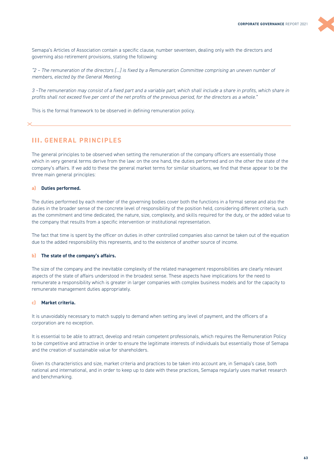

Semapa's Articles of Association contain a specific clause, number seventeen, dealing only with the directors and governing also retirement provisions, stating the following:

*"2 – The remuneration of the directors […] is fixed by a Remuneration Committee comprising an uneven number of members, elected by the General Meeting.*

*3 –The remuneration may consist of a fixed part and a variable part, which shall include a share in profits, which share in profits shall not exceed five per cent of the net profits of the previous period, for the directors as a whole."* 

This is the formal framework to be observed in defining remuneration policy.

# **III. GENERAL PRINCIPLES**

The general principles to be observed when setting the remuneration of the company officers are essentially those which in very general terms derive from the law: on the one hand, the duties performed and on the other the state of the company's affairs. If we add to these the general market terms for similar situations, we find that these appear to be the three main general principles:

#### **a) Duties performed.**

The duties performed by each member of the governing bodies cover both the functions in a formal sense and also the duties in the broader sense of the concrete level of responsibility of the position held, considering different criteria, such as the commitment and time dedicated, the nature, size, complexity, and skills required for the duty, or the added value to the company that results from a specific intervention or institutional representation.

The fact that time is spent by the officer on duties in other controlled companies also cannot be taken out of the equation due to the added responsibility this represents, and to the existence of another source of income.

#### **b) The state of the company's affairs.**

The size of the company and the inevitable complexity of the related management responsibilities are clearly relevant aspects of the state of affairs understood in the broadest sense. These aspects have implications for the need to remunerate a responsibility which is greater in larger companies with complex business models and for the capacity to remunerate management duties appropriately.

#### **c) Market criteria.**

It is unavoidably necessary to match supply to demand when setting any level of payment, and the officers of a corporation are no exception.

It is essential to be able to attract, develop and retain competent professionals, which requires the Remuneration Policy to be competitive and attractive in order to ensure the legitimate interests of individuals but essentially those of Semapa and the creation of sustainable value for shareholders.

Given its characteristics and size, market criteria and practices to be taken into account are, in Semapa's case, both national and international, and in order to keep up to date with these practices, Semapa regularly uses market research and benchmarking.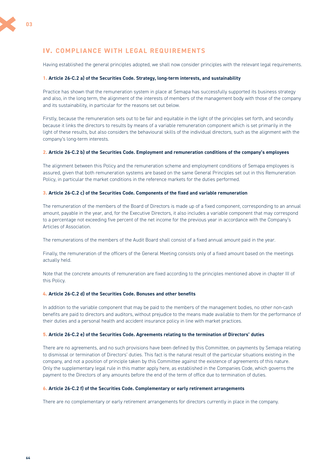# **IV. COMPLIANCE WITH LEGAL REQUIREMENTS**

Having established the general principles adopted, we shall now consider principles with the relevant legal requirements.

#### **1. Article 26-C.2 a) of the Securities Code. Strategy, long-term interests, and sustainability**

Practice has shown that the remuneration system in place at Semapa has successfully supported its business strategy and also, in the long term, the alignment of the interests of members of the management body with those of the company and its sustainability, in particular for the reasons set out below.

Firstly, because the remuneration sets out to be fair and equitable in the light of the principles set forth, and secondly because it links the directors to results by means of a variable remuneration component which is set primarily in the light of these results, but also considers the behavioural skills of the individual directors, such as the alignment with the company's long-term interests.

#### **2. Article 26-C.2 b) of the Securities Code. Employment and remuneration conditions of the company's employees**

The alignment between this Policy and the remuneration scheme and employment conditions of Semapa employees is assured, given that both remuneration systems are based on the same General Principles set out in this Remuneration Policy, in particular the market conditions in the reference markets for the duties performed.

#### **3. Article 26-C.2 c) of the Securities Code. Components of the fixed and variable remuneration**

The remuneration of the members of the Board of Directors is made up of a fixed component, corresponding to an annual amount, payable in the year, and, for the Executive Directors, it also includes a variable component that may correspond to a percentage not exceeding five percent of the net income for the previous year in accordance with the Company's Articles of Association.

The remunerations of the members of the Audit Board shall consist of a fixed annual amount paid in the year.

Finally, the remuneration of the officers of the General Meeting consists only of a fixed amount based on the meetings actually held.

Note that the concrete amounts of remuneration are fixed according to the principles mentioned above in chapter III of this Policy.

#### **4. Article 26-C.2 d) of the Securities Code. Bonuses and other benefits**

In addition to the variable component that may be paid to the members of the management bodies, no other non-cash benefits are paid to directors and auditors, without prejudice to the means made available to them for the performance of their duties and a personal health and accident insurance policy in line with market practices.

#### **5. Article 26-C.2 e) of the Securities Code. Agreements relating to the termination of Directors' duties**

There are no agreements, and no such provisions have been defined by this Committee, on payments by Semapa relating to dismissal or termination of Directors' duties. This fact is the natural result of the particular situations existing in the company, and not a position of principle taken by this Committee against the existence of agreements of this nature. Only the supplementary legal rule in this matter apply here, as established in the Companies Code, which governs the payment to the Directors of any amounts before the end of the term of office due to termination of duties.

#### **6. Article 26-C.2 f) of the Securities Code. Complementary or early retirement arrangements**

There are no complementary or early retirement arrangements for directors currently in place in the company.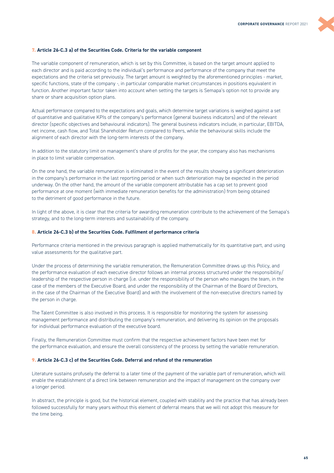#### **7. Article 26-C.3 a) of the Securities Code. Criteria for the variable component**

The variable component of remuneration, which is set by this Committee, is based on the target amount applied to each director and is paid according to the individual's performance and performance of the company that meet the expectations and the criteria set previously. The target amount is weighted by the aforementioned principles - market, specific functions, state of the company -, in particular comparable market circumstances in positions equivalent in function. Another important factor taken into account when setting the targets is Semapa's option not to provide any share or share acquisition option plans.

Actual performance compared to the expectations and goals, which determine target variations is weighed against a set of quantitative and qualitative KPIs of the company's performance (general business indicators) and of the relevant director (specific objectives and behavioural indicators). The general business indicators include, in particular, EBITDA, net income, cash flow, and Total Shareholder Return compared to Peers, while the behavioural skills include the alignment of each director with the long-term interests of the company.

In addition to the statutory limit on management's share of profits for the year, the company also has mechanisms in place to limit variable compensation.

On the one hand, the variable remuneration is eliminated in the event of the results showing a significant deterioration in the company's performance in the last reporting period or when such deterioration may be expected in the period underway. On the other hand, the amount of the variable component attributable has a cap set to prevent good performance at one moment (with immediate remuneration benefits for the administration) from being obtained to the detriment of good performance in the future.

In light of the above, it is clear that the criteria for awarding remuneration contribute to the achievement of the Semapa's strategy, and to the long-term interests and sustainability of the company.

#### **8. Article 26-C.3 b) of the Securities Code. Fulfilment of performance criteria**

Performance criteria mentioned in the previous paragraph is applied mathematically for its quantitative part, and using value assessments for the qualitative part.

Under the process of determining the variable remuneration, the Remuneration Committee draws up this Policy, and the performance evaluation of each executive director follows an internal process structured under the responsibility/ leadership of the respective person in charge (i.e. under the responsibility of the person who manages the team, in the case of the members of the Executive Board, and under the responsibility of the Chairman of the Board of Directors, in the case of the Chairman of the Executive Board) and with the involvement of the non-executive directors named by the person in charge.

The Talent Committee is also involved in this process. It is responsible for monitoring the system for assessing management performance and distributing the company's remuneration, and delivering its opinion on the proposals for individual performance evaluation of the executive board.

Finally, the Remuneration Committee must confirm that the respective achievement factors have been met for the performance evaluation, and ensure the overall consistency of the process by setting the variable remuneration.

#### **9. Article 26-C.3 c) of the Securities Code. Deferral and refund of the remuneration**

Literature sustains profusely the deferral to a later time of the payment of the variable part of remuneration, which will enable the establishment of a direct link between remuneration and the impact of management on the company over a longer period.

In abstract, the principle is good, but the historical element, coupled with stability and the practice that has already been followed successfully for many years without this element of deferral means that we will not adopt this measure for the time being.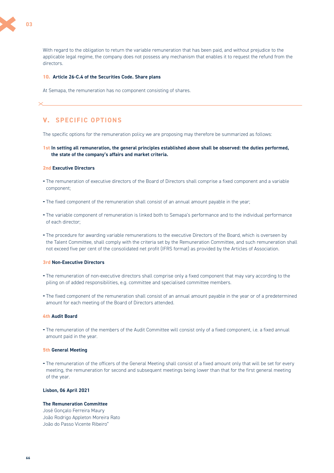

With regard to the obligation to return the variable remuneration that has been paid, and without prejudice to the applicable legal regime, the company does not possess any mechanism that enables it to request the refund from the directors.

#### **10. Article 26-C.4 of the Securities Code. Share plans**

At Semapa, the remuneration has no component consisting of shares.

# **V. SPECIFIC OPTIONS**

The specific options for the remuneration policy we are proposing may therefore be summarized as follows:

#### **1st In setting all remuneration, the general principles established above shall be observed: the duties performed, the state of the company's affairs and market criteria.**

#### **2nd Executive Directors**

- **-** The remuneration of executive directors of the Board of Directors shall comprise a fixed component and a variable component;
- **-** The fixed component of the remuneration shall consist of an annual amount payable in the year;
- **-** The variable component of remuneration is linked both to Semapa's performance and to the individual performance of each director;
- **-** The procedure for awarding variable remunerations to the executive Directors of the Board, which is overseen by the Talent Committee, shall comply with the criteria set by the Remuneration Committee, and such remuneration shall not exceed five per cent of the consolidated net profit (IFRS format) as provided by the Articles of Association.

### **3rd Non-Executive Directors**

- **-** The remuneration of non-executive directors shall comprise only a fixed component that may vary according to the piling on of added responsibilities, e.g. committee and specialised committee members.
- **-** The fixed component of the remuneration shall consist of an annual amount payable in the year or of a predetermined amount for each meeting of the Board of Directors attended.

# **4th Audit Board**

**-** The remuneration of the members of the Audit Committee will consist only of a fixed component, i.e. a fixed annual amount paid in the year.

#### **5th General Meeting**

**-** The remuneration of the officers of the General Meeting shall consist of a fixed amount only that will be set for every meeting, the remuneration for second and subsequent meetings being lower than that for the first general meeting of the year.

#### **Lisbon, 06 April 2021**

## **The Remuneration Committee**

José Gonçalo Ferreira Maury João Rodrigo Appleton Moreira Rato João do Passo Vicente Ribeiro"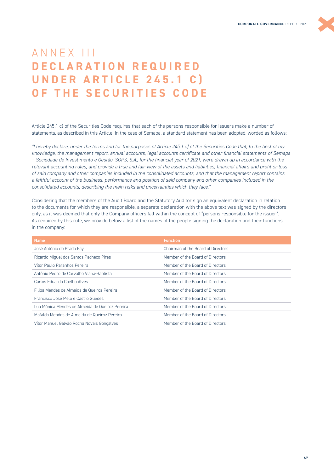

# <span id="page-66-0"></span>ANNEX III **DECLARATION REQUIRED UNDER ARTICLE 245.1 C) OF THE SECURITIES CODE**

Article 245.1 c) of the Securities Code requires that each of the persons responsible for issuers make a number of statements, as described in this Article. In the case of Semapa, a standard statement has been adopted, worded as follows:

*"I hereby declare, under the terms and for the purposes of Article 245.1 c) of the Securities Code that, to the best of my knowledge, the management report, annual accounts, legal accounts certificate and other financial statements of Semapa – Sociedade de Investimento e Gestão, SGPS, S.A., for the financial year of 2021, were drawn up in accordance with the relevant accounting rules, and provide a true and fair view of the assets and liabilities, financial affairs and profit or loss of said company and other companies included in the consolidated accounts, and that the management report contains a faithful account of the business, performance and position of said company and other companies included in the consolidated accounts, describing the main risks and uncertainties which they face."*

Considering that the members of the Audit Board and the Statutory Auditor sign an equivalent declaration in relation to the documents for which they are responsible, a separate declaration with the above text was signed by the directors only, as it was deemed that only the Company officers fall within the concept of "persons responsible for the issuer". As required by this rule, we provide below a list of the names of the people signing the declaration and their functions in the company:

| <b>Name</b>                                     | <b>Function</b>                    |
|-------------------------------------------------|------------------------------------|
| José Antônio do Prado Fay                       | Chairman of the Board of Directors |
| Ricardo Miguel dos Santos Pacheco Pires         | Member of the Board of Directors   |
| Vítor Paulo Paranhos Pereira                    | Member of the Board of Directors   |
| António Pedro de Carvalho Viana-Baptista        | Member of the Board of Directors   |
| Carlos Eduardo Coelho Alves                     | Member of the Board of Directors   |
| Filipa Mendes de Almeida de Queiroz Pereira     | Member of the Board of Directors   |
| Francisco José Melo e Castro Guedes             | Member of the Board of Directors   |
| Lua Mónica Mendes de Almeida de Queiroz Pereira | Member of the Board of Directors   |
| Mafalda Mendes de Almeida de Queiroz Pereira    | Member of the Board of Directors   |
| Vítor Manuel Galvão Rocha Novais Gonçalves      | Member of the Board of Directors   |